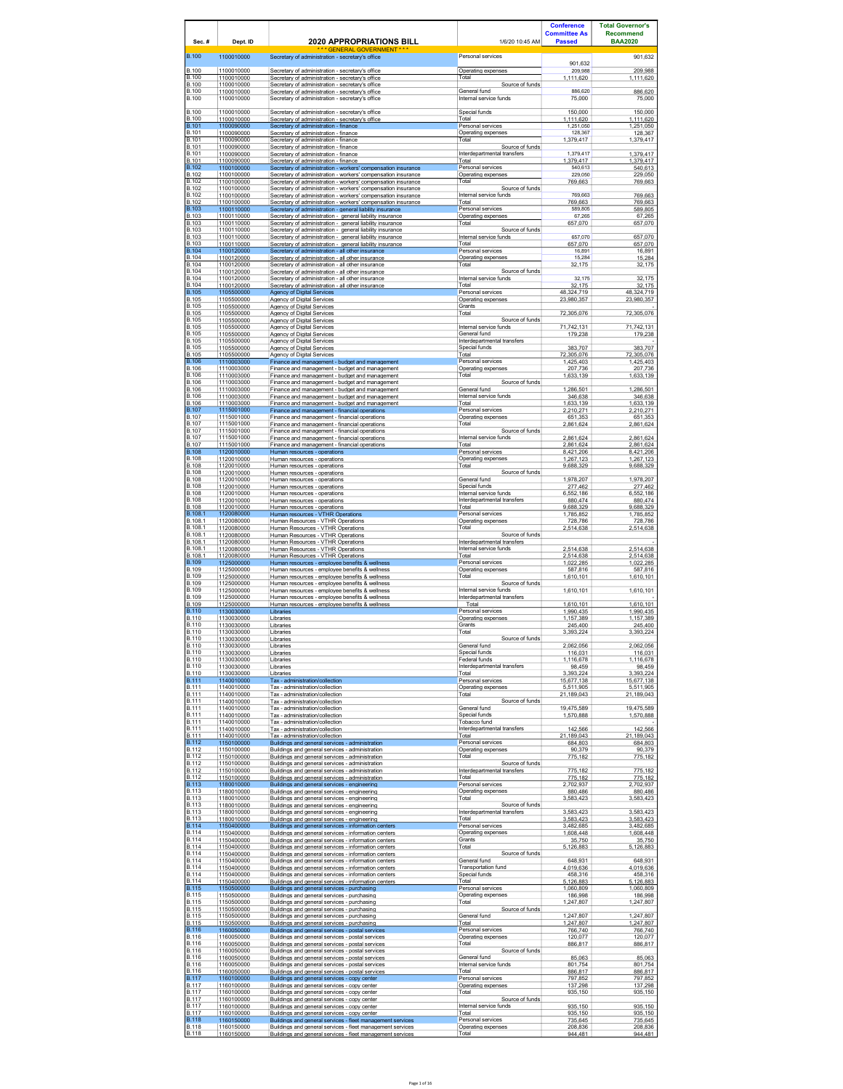| Sec.#                                        | Dept. ID                               | <b>2020 APPROPRIATIONS BILL</b>                                                                                                                              | 1/6/20 10:45 AM                                         | <b>Conference</b><br><b>Committee As</b><br><b>Passed</b> | <b>Total Governor's</b><br><b>Recommend</b><br><b>BAA2020</b> |
|----------------------------------------------|----------------------------------------|--------------------------------------------------------------------------------------------------------------------------------------------------------------|---------------------------------------------------------|-----------------------------------------------------------|---------------------------------------------------------------|
| <b>B.100</b>                                 | 1100010000                             | * GENERAL GOVERNMENT **<br>Secretary of administration - secretary's office                                                                                  | Personal services                                       | 901,632                                                   | 901,632                                                       |
| <b>B.100</b>                                 | 1100010000                             | Secretary of administration - secretary's office                                                                                                             | Operating expenses                                      | 209,988                                                   | 209,988                                                       |
| B.100                                        | 1100010000                             | Secretary of administration - secretary's office                                                                                                             | Total                                                   | 1,111,620                                                 | 1,111,620                                                     |
| <b>B.100</b><br><b>B.100</b>                 | 1100010000<br>1100010000               | Secretary of administration - secretary's office<br>Secretary of administration - secretary's office                                                         | Source of funds<br>General fund                         | 886,620                                                   | 886,620                                                       |
| <b>B.100</b>                                 | 1100010000                             | Secretary of administration - secretary's office                                                                                                             | Internal service funds                                  | 75,000                                                    | 75,000                                                        |
| <b>B.100</b>                                 | 1100010000                             | Secretary of administration - secretary's office                                                                                                             | Special funds                                           | 150,000                                                   | 150,000                                                       |
| <b>B.100</b>                                 | 1100010000                             | Secretary of administration - secretary's office                                                                                                             | Total                                                   | 1.111.620                                                 | 1.111.620                                                     |
| <b>B.101</b>                                 | 1100090000                             | Secretary of administration - finance                                                                                                                        | Personal services                                       | 1,251,050                                                 | 1,251,050                                                     |
| <b>B</b> 101                                 | 1100090000                             | Secretary of administration - finance                                                                                                                        | Operating expenses                                      | 128,367                                                   | 128,367                                                       |
| B.101<br><b>B.101</b>                        | 1100090000<br>1100090000               | Secretary of administration - finance<br>Secretary of administration - finance                                                                               | Total<br>Source of funds                                | 1,379,417                                                 | 1,379,417                                                     |
| <b>B.101</b>                                 | 1100090000                             | Secretary of administration - finance                                                                                                                        | Interdepartmental transfers                             | 1,379,417                                                 | 1,379,417                                                     |
| <b>B.101</b>                                 | 1100090000                             | Secretary of administration - finance                                                                                                                        | Total                                                   | 1,379,417                                                 | 1,379,417                                                     |
| <b>B.102</b>                                 | 1100100000                             | Secretary of administration - workers' compensation insurance                                                                                                | Personal services                                       | 540.613                                                   | 540.613                                                       |
| <b>B.102</b>                                 | 1100100000                             | Secretary of administration - workers' compensation insurance                                                                                                | Operating expenses                                      | 229,050                                                   | 229,050                                                       |
| <b>B.102</b><br><b>B.102</b>                 | 1100100000<br>1100100000               | Secretary of administration - workers' compensation insurance<br>Secretary of administration - workers' compensation insurance                               | Total<br>Source of funds                                | 769,663                                                   | 769,663                                                       |
| <b>B.102</b>                                 | 1100100000                             | Secretary of administration - workers' compensation insurance                                                                                                | Internal service funds                                  | 769,663                                                   | 769,663                                                       |
| B.102                                        | 1100100000                             | Secretary of administration - workers' compensation insurance                                                                                                | Total                                                   | 769,663                                                   | 769.663                                                       |
| <b>B.103</b>                                 | 1100110000                             | Secretary of administration - general liability insurance                                                                                                    | Personal services                                       | 589,805                                                   | 589,805                                                       |
| <b>B.103</b>                                 | 1100110000                             | Secretary of administration - general liability insurance                                                                                                    | Operating expenses                                      | 67,265                                                    | 67.265                                                        |
| B.103                                        | 1100110000                             | Secretary of administration - general liability insurance                                                                                                    | Total                                                   | 657,070                                                   | 657,070                                                       |
| <b>B.103</b><br>B.103                        | 1100110000<br>1100110000               | Secretary of administration - general liability insurance<br>Secretary of administration - general liability insurance                                       | Source of funds<br>Internal service funds               | 657,070                                                   | 657,070                                                       |
| <b>B.103</b>                                 | 1100110000                             | Secretary of administration - general liability insurance                                                                                                    | Total                                                   | 657.070                                                   | 657,070                                                       |
| <b>B.104</b>                                 | 1100120000                             | Secretary of administration - all other insurance                                                                                                            | Personal services                                       | 16,891                                                    | 16,891                                                        |
| <b>B.104</b>                                 | 1100120000                             | Secretary of administration - all other insurance                                                                                                            | Operating expenses                                      | 15,284                                                    | 15,284                                                        |
| <b>B.104</b>                                 | 1100120000                             | Secretary of administration - all other insurance                                                                                                            | Total                                                   | 32,175                                                    | 32,175                                                        |
| <b>B.104</b><br><b>B.104</b>                 | 1100120000<br>1100120000               | Secretary of administration - all other insurance<br>Secretary of administration - all other insurance                                                       | Source of funds<br>Internal service funds               | 32,175                                                    | 32.175                                                        |
| <b>B.104</b><br><b>B.105</b><br><b>B.105</b> | 1100120000<br>1105500000<br>1105500000 | Secretary of administration - all other insurance<br><b>Agency of Digital Services</b><br>Agency of Digital Services                                         | Total<br>Personal services<br>Operating expenses        | 32,175<br>48.324.719                                      | 32,175<br>48.324.719                                          |
| <b>B.105</b>                                 | 1105500000                             | Agency of Digital Services                                                                                                                                   | Grants                                                  | 23,980,357                                                | 23,980,357                                                    |
| <b>B.105</b>                                 | 1105500000                             | <b>Agency of Digital Services</b>                                                                                                                            | Total                                                   | 72,305,076                                                | 72,305,076                                                    |
| <b>B.105</b><br><b>B.105</b>                 | 1105500000<br>1105500000               | Agency of Digital Services<br><b>Agency of Digital Services</b>                                                                                              | Source of funds<br>Internal service funds               | 71,742,131                                                | 71,742,131                                                    |
| <b>B.105</b><br><b>B.105</b>                 | 1105500000<br>1105500000               | Agency of Digital Services<br>Agency of Digital Services                                                                                                     | General fund<br>Interdepartmental transfers             | 179,238                                                   | 179,238                                                       |
| <b>B.105</b><br><b>B.105</b>                 | 1105500000<br>1105500000               | Agency of Digital Services<br>Agency of Digital Services                                                                                                     | Special funds<br>Total                                  | 383,707<br>72<br>305,076                                  | 383,707<br>72<br>,305,076                                     |
| <b>B.106</b>                                 | 1110003000                             | Finance and management - budget and management                                                                                                               | Personal services                                       | 1.425.403                                                 | 1,425,403                                                     |
| <b>B.106</b>                                 | 1110003000                             | Finance and management - budget and management                                                                                                               | Operating expenses                                      | 207,736                                                   | 207,736                                                       |
| <b>B.106</b><br><b>B.106</b>                 | 1110003000<br>1110003000               | Finance and management - budget and management<br>Finance and management - budget and management                                                             | Total<br>Source of funds                                | 1,633,139                                                 | 1,633,139                                                     |
| <b>B.106</b>                                 | 1110003000                             | Finance and management - budget and management                                                                                                               | General fund                                            | 1.286.501                                                 | 1.286.501                                                     |
| <b>B.106</b>                                 | 1110003000                             | Finance and management - budget and management                                                                                                               | Internal service funds                                  | 346,638                                                   | 346,638                                                       |
| <b>B.106</b><br><b>B.107</b><br><b>B.107</b> | 1110003000<br>1115001000<br>1115001000 | Finance and management - budget and management<br>Finance and management - financial operations                                                              | Total<br>Personal services<br>Operating expenses        | 1.633.139<br>2,210,271                                    | 1.633.139<br>2,210,271                                        |
| <b>B.107</b><br><b>B.107</b>                 | 1115001000<br>1115001000               | Finance and management - financial operations<br>Finance and management - financial operations<br>Finance and management - financial operations              | Total<br>Source of funds                                | 651.353<br>2,861,624                                      | 651.353<br>2,861,624                                          |
| <b>B.107</b>                                 | 1115001000                             | Finance and management - financial operations                                                                                                                | Internal service funds                                  | 2,861,624                                                 | 2,861,624                                                     |
| <b>B.107</b>                                 | 1115001000                             | Finance and management - financial operations                                                                                                                | Total                                                   | 2,861,624                                                 | 2,861,624                                                     |
| <b>B.108</b>                                 | 1120010000                             | Human resources - operations                                                                                                                                 | Personal services                                       | 8.421.206                                                 | 8.421.206                                                     |
| <b>B.108</b>                                 | 1120010000                             | Human resources - operations                                                                                                                                 | Operating expenses                                      | 1,267,123                                                 | 1,267,123                                                     |
| <b>B.108</b><br><b>B.108</b>                 | 1120010000<br>1120010000               | Human resources - operations<br>Human resources - operations                                                                                                 | Total<br>Source of funds                                | 9.688.329                                                 | 9.688.329                                                     |
| <b>B.108</b>                                 | 1120010000                             | Human resources - operations                                                                                                                                 | General fund                                            | 1,978,207                                                 | 1,978,207                                                     |
| <b>B.108</b>                                 | 1120010000                             | Human resources - operations                                                                                                                                 | Special funds                                           | 277,462                                                   | 277,462                                                       |
| <b>B.108</b>                                 | 1120010000                             | Human resources - operations                                                                                                                                 | Internal service funds                                  | 6,552,186                                                 | 6,552,186                                                     |
| <b>B.108</b>                                 | 1120010000                             | Human resources - operations                                                                                                                                 | Interdepartmental transfers                             | 880,474                                                   | 880,474                                                       |
| <b>B.108</b>                                 | 1120010000                             | Human resources - operations                                                                                                                                 | Total                                                   | 9,688,329                                                 | 9,688,329                                                     |
| B.108.1                                      | 1120080000                             | Human resources - VTHR Operations                                                                                                                            | Personal services                                       | 1.785.852                                                 | 1.785.852                                                     |
| B.108.1<br>B.108.1<br>B.108.1                | 1120080000<br>1120080000<br>1120080000 | Human Resources - VTHR Operations<br>Human Resources - VTHR Operations                                                                                       | Operating expenses<br>Total<br>Source of funds          | 728,786<br>2,514,638                                      | 728,786<br>2,514,638                                          |
| B.108.1<br>B.108.1                           | 1120080000<br>1120080000               | Human Resources - VTHR Operations<br>Human Resources - VTHR Operations<br>Human Resources - VTHR Operations                                                  | Interdepartmental transfers<br>Internal service funds   | 2,514,638                                                 | 2,514,638                                                     |
| B.108.1                                      | 1120080000                             | Human Resources - VTHR Operations                                                                                                                            | Total                                                   | 2,514,638                                                 | 2,514,638                                                     |
| <b>B.109</b>                                 | 1125000000                             | Human resources - emplovee benefits & wellness                                                                                                               | Personal services                                       | 1.022.285                                                 | 1.022.285                                                     |
| <b>B.109</b>                                 | 1125000000                             | Human resources - employee benefits & wellness                                                                                                               | Operating expenses                                      | 587,816                                                   | 587,816                                                       |
| <b>B.109</b>                                 | 1125000000                             | Human resources - emplovee benefits & wellness                                                                                                               | Total                                                   | 1.610.101                                                 | 1.610.101                                                     |
| <b>B.109</b><br>B.109                        | 1125000000<br>1125000000               | Human resources - employee benefits & wellness<br>Human resources - emplovee benefits & wellness                                                             | Source of funds<br>Internal service funds               | 1,610,101                                                 | 1,610,101                                                     |
| <b>B.109</b><br><b>B.109</b>                 | 1125000000<br>1125000000               | Human resources - employee benefits & wellness<br>Human resources - employee benefits & wellness                                                             | Interdepartmental transfers<br>Total                    | 1,610,101                                                 | 1,610,101                                                     |
| <b>B.110</b><br><b>B.110</b>                 | 1130030000<br>1130030000               | Libraries<br>Libraries                                                                                                                                       | Personal services<br>Operating expenses<br>Grants       | 1,990,435<br>1,157,389                                    | 1,990,435<br>1,157,389                                        |
| <b>B.110</b><br><b>B.110</b><br><b>B.110</b> | 1130030000<br>1130030000<br>1130030000 | Libraries<br>Libraries<br>Libraries                                                                                                                          | Total<br>Source of funds                                | 245.400<br>3,393,224                                      | 245.400<br>3,393,224                                          |
| <b>B.110</b>                                 | 1130030000                             | Libraries                                                                                                                                                    | General fund                                            | 2 062 056                                                 | 2,062,056                                                     |
| <b>B.110</b>                                 | 1130030000                             | Libraries                                                                                                                                                    | Special funds                                           | 116,031                                                   | 116.031                                                       |
| <b>B.110</b>                                 | 1130030000                             | Libraries                                                                                                                                                    | Federal funds                                           | 1,116,678                                                 | 1,116,678                                                     |
| <b>B.110</b>                                 | 1130030000                             | Libraries                                                                                                                                                    | Interdepartmental transfers                             | 98,459                                                    | 98,459                                                        |
| <b>B.110</b>                                 | 1130030000                             | Libraries                                                                                                                                                    | Total                                                   | 3,393,224                                                 | 3,393,224                                                     |
| <b>B.111</b>                                 | 1140010000                             | Tax - administration/collection                                                                                                                              | Personal services                                       | 15,677,138                                                | 15,677,138                                                    |
| <b>B.111</b>                                 | 1140010000                             | Tax - administration/collection                                                                                                                              | Operating expenses                                      | 5.511.905                                                 | 5.511.905                                                     |
| <b>B.111</b>                                 | 1140010000                             | Tax - administration/collection                                                                                                                              | Total                                                   | 21,189,043                                                | 21,189,043                                                    |
| <b>B.111</b><br><b>B.111</b>                 | 1140010000<br>1140010000               | Tax - administration/collection<br>Tax - administration/collection                                                                                           | Source of funds<br>General fund                         | 19,475,589                                                | 19,475,589                                                    |
| <b>B.111</b><br><b>B.111</b>                 | 1140010000<br>1140010000               | Tax - administration/collection<br>Tax - administration/collection                                                                                           | Special funds<br>Tobacco fund                           | 1,570,888                                                 | 1,570,888                                                     |
| <b>B.111</b>                                 | 1140010000                             | Tax - administration/collection                                                                                                                              | Interdepartmental transfers                             | 142,566                                                   | 142,566                                                       |
| <b>B.111</b>                                 | 1140010000                             | Tax - administration/collection                                                                                                                              | Total                                                   | 21.189.043                                                | 21.189.043                                                    |
| B.112                                        | 1150100000                             | Buildings and general services - administration                                                                                                              | Personal services                                       | 684,803                                                   | 684,803                                                       |
| <b>B.112</b>                                 | 1150100000                             | Buildings and general services - administration                                                                                                              | Operating expenses                                      | 90.379                                                    | 90.379                                                        |
| <b>B.112</b>                                 | 1150100000                             | Buildings and general services - administration                                                                                                              | Total                                                   | 775,182                                                   | 775,182                                                       |
| <b>B.112</b><br><b>B.112</b>                 | 1150100000<br>1150100000               | Buildings and general services - administration<br>Buildings and general services - administration                                                           | Source of funds<br>Interdepartmental transfers          | 775,182                                                   | 775,182                                                       |
| <b>B.112</b>                                 | 1150100000                             | Buildings and general services - administration                                                                                                              | Total                                                   | 775,182                                                   | 775,182                                                       |
| <b>B.113</b>                                 | 1180010000                             | Buildings and general services - engineering                                                                                                                 | Personal services                                       | 2,702,937                                                 | 2,702,937                                                     |
| <b>B.113</b>                                 | 1180010000                             | Buildings and general services - engineering                                                                                                                 | Operating expenses                                      | 880,486                                                   | 880,486                                                       |
| <b>B.113</b>                                 | 1180010000                             | Buildings and general services - engineering                                                                                                                 | Total                                                   | 3.583.423                                                 | 3.583.423                                                     |
| <b>B.113</b><br><b>B.113</b><br><b>B.113</b> | 1180010000<br>1180010000<br>1180010000 | Buildings and general services - engineering<br>Buildings and general services - engineering                                                                 | Source of funds<br>Interdepartmental transfers<br>Total | 3.583.423                                                 | 3.583.423<br>3.583.423                                        |
| <b>B.114</b><br><b>B.114</b>                 | 1150400000<br>1150400000               | Buildings and general services - engineering<br>Buildings and general services - information centers<br>Buildings and general services - information centers | Personal services<br>Operating expenses                 | 3,583,423<br>3,482,685<br>1,608,448                       | 3,482,685<br>1,608,448                                        |
| <b>B.114</b>                                 | 1150400000                             | Buildings and general services - information centers                                                                                                         | Grants                                                  | 35,750                                                    | 35.750                                                        |
| <b>B.114</b>                                 | 1150400000                             | Buildings and general services - information centers                                                                                                         | Total                                                   | 5,126,883                                                 | 5,126,883                                                     |
| <b>B.114</b><br><b>B.114</b>                 | 1150400000<br>1150400000               | Buildings and general services - information centers<br>Buildings and general services - information centers                                                 | Source of funds<br>General fund                         | 648.931                                                   | 648.931                                                       |
| <b>B.114</b>                                 | 1150400000                             | Buildings and general services - information centers                                                                                                         | <b>Transportation fund</b>                              | 4,019,636                                                 | 4,019,636                                                     |
| <b>B.114</b>                                 | 1150400000                             | Buildings and general services - information centers                                                                                                         | Special funds                                           | 458,316                                                   | 458,316                                                       |
| <b>B.114</b>                                 | 1150400000                             | Buildings and general services - information centers                                                                                                         | Total                                                   | 5,126,883                                                 | 5.126.883                                                     |
| <b>B.115</b>                                 | 1150500000                             | Buildings and general services - purchasing                                                                                                                  | Personal services                                       | 1,060,809                                                 | 1,060,809                                                     |
| <b>B.115</b>                                 | 1150500000                             | Buildings and general services - purchasing                                                                                                                  | Operating expenses                                      | 186.998                                                   | 186,998                                                       |
| <b>B.115</b>                                 | 1150500000                             | Buildings and general services - purchasing                                                                                                                  | Total                                                   | 1,247,807                                                 | 1,247,807                                                     |
| <b>B.115</b><br><b>B.115</b>                 | 1150500000<br>1150500000               | Buildings and general services - purchasing<br>Buildings and general services - purchasing                                                                   | Source of funds<br>General fund                         | 1,247,807                                                 | 1,247,807                                                     |
| <b>B.115</b>                                 | 1150500000                             | Buildings and general services - purchasing                                                                                                                  | Total                                                   | 1.247.807                                                 | 1.247.807                                                     |
| <b>B.116</b>                                 | 1160050000                             | Buildings and general services - postal services                                                                                                             | Personal services                                       | 766,740                                                   | 766,740                                                       |
| <b>B.116</b>                                 | 1160050000                             | Buildings and general services - postal services                                                                                                             | Operating expenses                                      | 120.077                                                   | 120.077                                                       |
| <b>B.116</b><br><b>B.116</b>                 | 1160050000<br>1160050000               | Buildings and general services - postal services<br>Buildings and general services - postal services                                                         | Total<br>Source of funds                                | 886,817                                                   | 886,817                                                       |
| <b>B.116</b>                                 | 1160050000                             | Buildings and general services - postal services                                                                                                             | General fund                                            | 85.063                                                    | 85,063                                                        |
| <b>B.116</b>                                 | 1160050000                             | Buildings and general services - postal services                                                                                                             | Internal service funds                                  | 801,754                                                   | 801,754                                                       |
| <b>B.116</b>                                 | 1160050000                             | Buildings and general services - postal services                                                                                                             | Total                                                   | 886.817                                                   | 886.817                                                       |
| <b>B.117</b>                                 | 1160100000                             | Buildings and general services - copy center                                                                                                                 | Personal services                                       | 797,852                                                   | 797,852                                                       |
| <b>B.117</b>                                 | 1160100000                             | Buildings and general services - copy center                                                                                                                 | Operating expenses                                      | 137.298                                                   | 137.298                                                       |
| <b>B.117</b>                                 | 1160100000                             | Buildings and general services - copy center                                                                                                                 | Total                                                   | 935,150                                                   | 935,150                                                       |
| <b>B.117</b><br>B.117                        | 1160100000<br>1160100000               | Buildings and general services - copy center<br>Buildings and general services - copy center                                                                 | Source of funds<br>Internal service funds               | 935,150                                                   | 935,150                                                       |
| <b>B.117</b>                                 | 1160100000                             | Buildings and general services - copy center                                                                                                                 | Total                                                   | 935,150                                                   | 935,150                                                       |
| <b>B.118</b>                                 | 1160150000                             | Buildings and general services - fleet management services                                                                                                   | Personal services                                       | 735,645                                                   | 735,645                                                       |
| <b>B.118</b>                                 | 1160150000                             | Buildings and general services - fleet management services                                                                                                   | Operating expenses                                      | 208,836                                                   | 208,836                                                       |
| B.118                                        | 1160150000                             | Buildings and general services - fleet management services                                                                                                   | Total                                                   | 944.481                                                   | 944.481                                                       |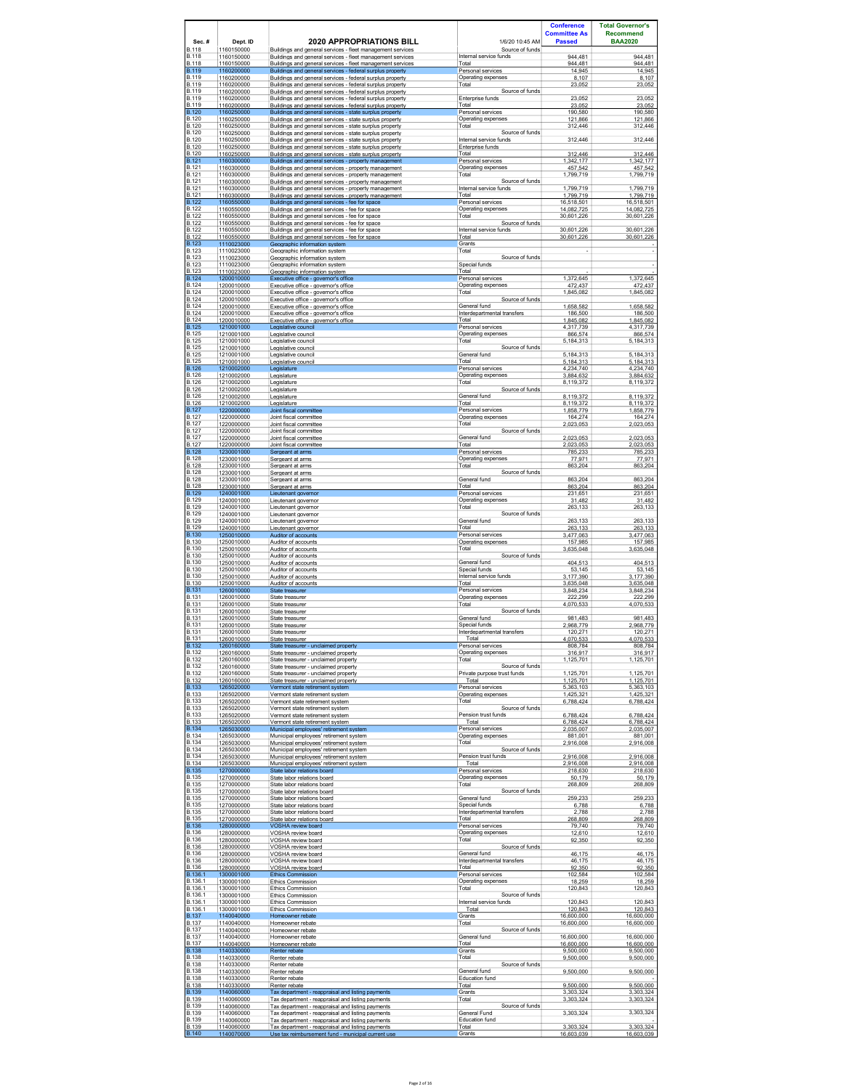|                              |                                        |                                                                                                                                                                               |                                                | <b>Conference</b><br><b>Committee As</b> | <b>Total Governor's</b><br><b>Recommend</b> |
|------------------------------|----------------------------------------|-------------------------------------------------------------------------------------------------------------------------------------------------------------------------------|------------------------------------------------|------------------------------------------|---------------------------------------------|
| $Sec.$ #<br>B.118            | Dept. ID<br>1160150000                 | <b>2020 APPROPRIATIONS BILL</b>                                                                                                                                               | 1/6/20 10:45 AM<br>Source of funds             | <b>Passed</b>                            | <b>BAA2020</b>                              |
| B.118                        | 1160150000                             | Buildings and general services - fleet management services                                                                                                                    | Internal service funds                         | 944.481                                  | 944.481                                     |
| B.118                        |                                        | Buildings and general services - fleet management services                                                                                                                    | Total                                          | 944.481                                  | 944 481                                     |
| <b>B.119</b><br>B.119        | 1160150000<br>1160200000               | Buildings and general services - fleet management services<br>Buildings and general services - federal surplus property                                                       | Personal services<br>Operating expenses        | 14,945                                   | 14,945                                      |
| B.119<br>B.119               | 1160200000<br>1160200000<br>1160200000 | Buildings and general services - federal surplus property<br>Buildings and general services - federal surplus property                                                        | Total<br>Source of funds                       | 8,107<br>23.052                          | 8,107<br>23,052                             |
| B.119                        | 1160200000                             | Buildings and general services - federal surplus property                                                                                                                     | Enterprise funds                               | 23,052                                   | 23,052                                      |
| B.119                        | 1160200000                             | Buildings and general services - federal surplus property                                                                                                                     | Total                                          | 23.052                                   |                                             |
| <b>B.120</b><br>B.120        | 1160250000<br>1160250000               | Buildings and general services - federal surplus property<br>Buildings and general services - state surplus property                                                          | Personal services<br>Operating expenses        | 190,580<br>121.866                       | 23.052<br>190,580<br>121 866                |
| <b>B.120</b><br>B.120        | 1160250000<br>1160250000               | Buildings and general services - state surplus property<br>Buildings and general services - state surplus property<br>Buildings and general services - state surplus property | Total<br>Source of funds                       | 312,446                                  | 312,446                                     |
| <b>B.120</b><br><b>B.120</b> | 1160250000<br>1160250000               | Buildings and general services - state surplus property<br>Buildings and general services - state surplus property                                                            | Internal service funds<br>Enterprise funds     | 312,446                                  | 312,446                                     |
| B.120                        | 1160250000                             | Buildings and general services - state surplus property                                                                                                                       | Total                                          | 312,446                                  | 312,446                                     |
| <b>B.121</b>                 | 1160300000                             | Buildings and general services - property management                                                                                                                          | Personal services                              | 1.342.177                                | 1,342,177                                   |
| <b>B.121</b>                 | 1160300000                             | Buildings and general services - property management                                                                                                                          | Operating expenses                             | 457.542                                  | 457.542                                     |
| B.121                        | 1160300000                             | Buildings and general services - property management                                                                                                                          | Total                                          | 1,799,719                                | 1,799,719                                   |
| <b>B.121</b><br><b>B.121</b> | 1160300000<br>1160300000               | Buildings and general services - property management<br>Buildings and general services - property management                                                                  | Source of funds<br>Internal service funds      | 1,799,719                                | 1,799,719                                   |
| <b>B.121</b>                 | 1160300000                             | Buildings and general services - property management                                                                                                                          | Total                                          | 1,799,719                                | 1,799,719                                   |
| $\overline{B.122}$           | 1160550000                             | Buildings and general services - fee for space                                                                                                                                | Personal services                              | 16,518,501                               | 16.518.501                                  |
| <b>B.122</b>                 | 1160550000                             | Buildings and general services - fee for space                                                                                                                                | Operating expenses                             | 14,082,725                               | 14,082,725                                  |
| <b>B.122</b>                 | 1160550000                             | Buildings and general services - fee for space                                                                                                                                | Total                                          | 30.601.226                               | 30.601.226                                  |
| <b>B.122</b><br>B.122        | 1160550000<br>1160550000               | Buildings and general services - fee for space<br>Buildings and general services - fee for space                                                                              | Source of funds<br>Internal service funds      | 30.601.226                               | 30.601.226                                  |
| <b>B.122</b><br><b>B.123</b> | 1160550000<br>1110023000               | Buildings and general services - fee for space<br>Geographic information system                                                                                               | Total<br>Grants                                | 30,601,226                               | 30,601,226                                  |
| B.123<br><b>B.123</b>        | 1110023000<br>1110023000               | Geographic information system<br>Geographic information system                                                                                                                | Total<br>Source of funds                       | ٠                                        |                                             |
| B.123<br>B.123               | 1110023000<br>1110023000               | Geographic information system<br>Geographic information system                                                                                                                | Special funds<br>Total                         |                                          |                                             |
| <b>B.124</b>                 | 1200010000                             | Executive office - aovernor's office                                                                                                                                          | Personal services                              | 1.372.645                                | 1.372.645                                   |
| <b>B.124</b>                 | 1200010000                             | Executive office - governor's office                                                                                                                                          | Operating expenses                             | 472,437                                  | 472,437                                     |
| B.124<br><b>B.124</b>        | 1200010000<br>1200010000               | Executive office - aovernor's office<br>Executive office - governor's office                                                                                                  | Total<br>Source of funds                       | 1.845.082                                | 1.845.082                                   |
| B.124                        | 1200010000                             | Executive office - governor's office                                                                                                                                          | General fund                                   | 1,658,582                                | 1,658,582                                   |
| B.124                        | 1200010000                             | Executive office - governor's office                                                                                                                                          | Interdepartmental transfers                    | 186,500                                  | 186,500                                     |
| <b>B.124</b>                 | 1200010000                             | Executive office - governor's office                                                                                                                                          | Total                                          | 1,845,082                                | 1,845,082                                   |
| <b>B.125</b>                 | 1210001000                             | Legislative council                                                                                                                                                           | Personal services                              | 4,317,739                                | 4,317,739                                   |
| <b>B.125</b>                 | 1210001000                             | Legislative council                                                                                                                                                           | Operating expenses                             | 866,574                                  | 866,574                                     |
| <b>B.125</b>                 | 1210001000                             | Legislative council                                                                                                                                                           | Total                                          | 5.184.313                                | 5.184.313                                   |
| <b>B.125</b><br><b>B.125</b> | 1210001000<br>1210001000               | Legislative council<br>Legislative council                                                                                                                                    | Source of funds<br>General fund                | 5.184.313                                | 5.184.313                                   |
| <b>B.125</b>                 | 1210001000                             | Legislative council                                                                                                                                                           | Total                                          | 5,184,313                                | 5,184,313                                   |
| <b>B.126</b>                 | 1210002000                             | Legislature                                                                                                                                                                   | Personal services                              | 4,234,740                                | 4,234,740                                   |
| <b>B.126</b>                 | 1210002000                             | Legislature                                                                                                                                                                   | Operating expenses                             | 3,884,632                                | 3,884,632                                   |
| <b>B.126</b>                 | 1210002000                             | Legislature                                                                                                                                                                   | Total                                          | 8,119,372                                | 8,119,372                                   |
| <b>B.126</b><br><b>B.126</b> | 1210002000<br>1210002000               | I egislature<br>Legislature                                                                                                                                                   | Source of funds<br>General fund                | 8,119,372                                | 8,119,372                                   |
| <b>B.126</b>                 | 1210002000                             | Legislature                                                                                                                                                                   | Total                                          | 8.119.372                                | 8.119.372                                   |
| <b>B.127</b>                 | 1220000000                             | Joint fiscal committee                                                                                                                                                        | Personal services                              | 1,858,779                                | 1,858,779                                   |
| B.127                        | 1220000000                             | Joint fiscal committee                                                                                                                                                        | Operating expenses                             | 164,274                                  | 164,274                                     |
| B.127                        | 1220000000                             | Joint fiscal committee                                                                                                                                                        | Total                                          | 2,023,053                                | 2,023,053                                   |
| <b>B.127</b><br>B.127        | 1220000000<br>1220000000               | Joint fiscal committee<br>Joint fiscal committee                                                                                                                              | Source of funds<br>General fund                | 2,023,053                                | 2,023,053                                   |
| B.127                        | 1220000000                             | Joint fiscal committee                                                                                                                                                        | Total                                          | 2,023,053                                | 2,023,053                                   |
| <b>B.128</b>                 | 1230001000                             | Sergeant at arms                                                                                                                                                              | Personal services                              | 785.233                                  | 785.233                                     |
| <b>B.128</b>                 | 1230001000                             | Sergeant at arms                                                                                                                                                              | Operating expenses                             | 77,971                                   | 77,971                                      |
| B.128                        | 1230001000                             | Sergeant at arms                                                                                                                                                              | Total                                          | 863.204                                  | 863.204                                     |
| <b>B.128</b><br>B.128        | 1230001000<br>1230001000               | Sergeant at arms<br>Sergeant at arms                                                                                                                                          | Source of funds<br>General fund                | 863,204                                  | 863,204                                     |
| B.128                        | 1230001000                             | Sergeant at arms                                                                                                                                                              | Total                                          | 863.204                                  | 863,204                                     |
| <b>B.129</b>                 | 1240001000                             | Lieutenant governor                                                                                                                                                           | Personal services                              | 231,651                                  | 231,651                                     |
| B.129                        | 1240001000                             | Lieutenant governor                                                                                                                                                           | Operating expenses                             | 31,482                                   | 31,482                                      |
| <b>B.129</b>                 | 1240001000                             | Lieutenant governor                                                                                                                                                           | Total                                          | 263,133                                  | 263,133                                     |
| <b>B.129</b><br>B.129        | 1240001000<br>1240001000               | Lieutenant governor<br>Lieutenant governor                                                                                                                                    | Source of funds<br>General fund                | 263,133                                  | 263,133                                     |
| <b>B.129</b>                 | 1240001000                             | Lieutenant governor                                                                                                                                                           | Total                                          | 263.133                                  | 263.133                                     |
| <b>B.130</b>                 | 1250010000                             | Auditor of accounts                                                                                                                                                           | Personal services                              | 3,477,063                                | 3,477,063                                   |
| <b>B.130</b>                 | 1250010000                             | Auditor of accounts                                                                                                                                                           | Operating expenses                             | 157,985                                  | 157,985                                     |
| <b>B.130</b>                 | 1250010000                             | Auditor of accounts                                                                                                                                                           | Total                                          | 3,635,048                                | 3,635,048                                   |
| <b>B.130</b><br><b>B.130</b> | 1250010000<br>1250010000               | Auditor of accounts<br>Auditor of accounts                                                                                                                                    | Source of funds<br>General fund                | 404 513                                  | 404.513                                     |
| <b>B.130</b>                 | 1250010000                             | Auditor of accounts                                                                                                                                                           | Special funds                                  | 53,145                                   | 53,145                                      |
| <b>B.130</b>                 | 1250010000                             | Auditor of accounts                                                                                                                                                           | Internal service funds                         | 3.177.390                                | 3.177.390                                   |
| <b>B.130</b>                 | 1250010000                             | Auditor of accounts                                                                                                                                                           | Total                                          | 3,635,048                                | 3,635,048                                   |
| <b>B.131</b>                 | 1260010000                             | State treasurer                                                                                                                                                               | Personal services                              | 3,848,234                                | 3.848.234                                   |
| <b>B.131</b>                 | 1260010000                             | State treasurer                                                                                                                                                               | Operating expenses                             | 222,299                                  | 222,299                                     |
| <b>B.131</b>                 | 1260010000                             | State treasurer                                                                                                                                                               | Total                                          | 4,070,533                                | 4,070,533                                   |
| <b>B.131</b><br><b>B.131</b> | 1260010000<br>1260010000               | State treasurer<br>State treasurer                                                                                                                                            | Source of funds<br>General fund                | 981,483                                  | 981,483                                     |
| <b>B.131</b>                 | 1260010000                             | State treasurer                                                                                                                                                               | Special funds                                  | 2.968.779                                | 2.968.779                                   |
| B.131                        | 1260010000                             | State treasurer                                                                                                                                                               | Interdepartmental transfers                    | 120,271                                  | 120,271                                     |
| <b>B.131</b>                 | 1260010000                             | State treasurer                                                                                                                                                               | Total                                          | 4.070.533                                | 4.070.533                                   |
| <b>B.132</b>                 | 1260160000                             | State treasurer - unclaimed property                                                                                                                                          | Personal services                              | 808,784                                  | 808,784                                     |
| B.132                        | 1260160000                             | State treasurer - unclaimed property                                                                                                                                          | Operating expenses                             | 316,917                                  | 316,917                                     |
| <b>B.132</b>                 | 1260160000                             | State treasurer - unclaimed property                                                                                                                                          | Total                                          | 1,125,701                                | 1,125,701                                   |
| <b>B.132</b><br>B.132        | 1260160000<br>1260160000               | State treasurer - unclaimed property<br>State treasurer - unclaimed property                                                                                                  | Source of funds<br>Private purpose trust funds | 1,125,701                                | 1,125,701                                   |
| B.132                        | 1260160000                             | State treasurer - unclaimed property                                                                                                                                          | Total                                          | 1,125,701                                | 1,125,701                                   |
| <b>B.133</b>                 | 1265020000                             | Vermont state retirement system                                                                                                                                               | Personal services                              | 5.363.103                                | 5.363.103                                   |
| B.133                        | 1265020000                             | Vermont state retirement system                                                                                                                                               | Operating expenses                             | 1,425,321                                | 1,425,321                                   |
| <b>B.133</b>                 | 1265020000                             | Vermont state retirement system                                                                                                                                               | Total                                          | 6,788,424                                | 6,788,424                                   |
| B.133<br><b>B.133</b>        | 1265020000<br>1265020000               | Vermont state retirement system<br>Vermont state retirement system                                                                                                            | Source of funds<br>Pension trust funds         | 6,788,424                                | 6,788,424                                   |
| <b>B.133</b>                 | 1265020000                             | Vermont state retirement system                                                                                                                                               | Total                                          | 6.788.424                                | 6,788,424                                   |
| <b>B.134</b>                 | 1265030000                             | Municipal employees' retirement system                                                                                                                                        | Personal services                              | 2,035,007                                | 2,035,007                                   |
| B.134                        | 1265030000                             | Municipal emplovees' retirement system                                                                                                                                        | Operating expenses                             | 881.001                                  | 881 001                                     |
| <b>B.134</b>                 | 1265030000                             | Municipal employees' retirement system                                                                                                                                        | Total                                          | 2,916,008                                | 2,916,008                                   |
| B.134<br>B.134               | 1265030000<br>1265030000               | Municipal emplovees' retirement system<br>Municipal employees' retirement system                                                                                              | Source of funds<br>Pension trust funds         | 2,916,008                                | 2,916,008                                   |
| B.134                        | 1265030000                             | Municipal employees' retirement system                                                                                                                                        | Total                                          | 2,916,008                                | 2,916,008                                   |
| <b>B.135</b>                 | 1270000000                             | State labor relations board                                                                                                                                                   | Personal services                              | 218,630                                  | 218,630                                     |
| <b>B.135</b>                 | 1270000000                             | State labor relations board                                                                                                                                                   | Operating expenses                             | 50,179                                   | 50,179                                      |
| B.135                        | 1270000000                             | State labor relations board                                                                                                                                                   | Total                                          | 268,809                                  | 268,809                                     |
| <b>B.135</b><br><b>B.135</b> | 1270000000<br>1270000000               | State labor relations board<br>State labor relations board                                                                                                                    | Source of funds<br>General fund                | 259.233                                  | 259.233                                     |
| B.135                        | 1270000000                             | State labor relations board                                                                                                                                                   | Special funds                                  | 6,788                                    | 6,788                                       |
| <b>B.135</b>                 | 1270000000                             | State labor relations board                                                                                                                                                   | Interdepartmental transfers                    | 2.788                                    | 2.788                                       |
| <b>B.135</b>                 | 1270000000                             | State labor relations board                                                                                                                                                   | Total                                          | 268,809                                  | 268,809                                     |
| <b>B.136</b>                 | 1280000000                             | VOSHA review board                                                                                                                                                            | Personal services                              | 79,740                                   | 79,740                                      |
| <b>B.136</b>                 | 1280000000                             | VOSHA review board                                                                                                                                                            | Operating expenses                             | 12.610                                   | 12,610                                      |
| <b>B.136</b>                 | 1280000000                             | VOSHA review board                                                                                                                                                            | Total                                          | 92,350                                   | 92,350                                      |
| B.136<br><b>B.136</b>        | 1280000000<br>1280000000               | VOSHA review board<br>VOSHA review board                                                                                                                                      | Source of funds<br>General fund                | 46,175                                   | 46,175                                      |
| <b>B.136</b>                 | 1280000000                             | VOSHA review board                                                                                                                                                            | Interdepartmental transfers                    | 46.175                                   | 46.175                                      |
| <b>B.136</b>                 | 1280000000                             | VOSHA review board                                                                                                                                                            | Total                                          | 92,350                                   | 92,350                                      |
| B.136.1                      | 1300001000                             | <b>Ethics Commission</b>                                                                                                                                                      | Personal services                              | 102.584                                  | 102.584                                     |
| B.136.1                      | 1300001000                             | Ethics Commission                                                                                                                                                             | Operating expenses                             | 18,259                                   | 18,259                                      |
| B.136.1<br>B.136.1           | 1300001000<br>1300001000               | Ethics Commission<br><b>Ethics Commission</b>                                                                                                                                 | Total<br>Source of funds                       | 120,843                                  | 120,843                                     |
| B.136.1                      | 1300001000                             | Ethics Commission                                                                                                                                                             | Internal service funds                         | 120,843                                  | 120,843                                     |
| B.136.1                      | 1300001000                             | <b>Ethics Commission</b>                                                                                                                                                      | Total                                          | 120.843                                  | 120.843                                     |
| <b>B.137</b>                 | 1140040000                             | Homeowner rebate                                                                                                                                                              | Grants                                         | 16,600,000                               | 16,600,000                                  |
| B.137                        | 1140040000                             | Homeowner rebate                                                                                                                                                              | Total                                          | 16.600.000                               | 16.600.000                                  |
| B.137<br>B.137               | 1140040000<br>1140040000               | Homeowner rebate<br>Homeowner rebate                                                                                                                                          | Source of funds<br>General fund                | 16,600,000                               | 16,600,000                                  |
| B.137                        | 1140040000                             | Homeowner rebate                                                                                                                                                              | Total                                          | 16,600,000                               | 16,600,000                                  |
| <b>B.138</b>                 | 1140330000                             | Renter rebate                                                                                                                                                                 | Grants                                         | 9.500.000                                | 9,500,000                                   |
| <b>B.138</b><br><b>B.138</b> | 1140330000<br>1140330000               | Renter rebate<br>Renter rebate                                                                                                                                                | Total<br>Source of funds                       | 9,500,000                                | 9,500,000                                   |
| <b>B.138</b><br>B.138        | 1140330000<br>1140330000               | Renter rebate<br>Renter rebate                                                                                                                                                | General fund<br>Education fund                 | 9.500.000                                | 9.500.000                                   |
| <b>B.138</b>                 | 1140330000                             | Renter rebate                                                                                                                                                                 | Total                                          | 9.500.000                                | 9.500.000                                   |
| <b>B.139</b>                 | 1140060000                             | Tax department - reappraisal and listing payments                                                                                                                             | Grants                                         | 3,303,324                                | 3,303,324                                   |
| B.139<br>B.139               | 1140060000<br>1140060000               | Tax department - reappraisal and listing payments<br>Tax department - reappraisal and listing payments                                                                        | Total<br>Source of funds                       | 3,303,324                                | 3,303,324                                   |
| <b>B.139</b><br>B.139        | 1140060000<br>1140060000               | Tax department - reappraisal and listing payments<br>Tax department - reappraisal and listing payments                                                                        | General Fund<br>Education fund                 | 3,303,324                                | 3,303,324                                   |
| <b>B.139</b>                 | 1140060000                             | Tax department - reappraisal and listing payments                                                                                                                             | Total                                          | 3,303,324                                | 3,303,324                                   |
| <b>B.140</b>                 | 1140070000                             | Use tax reimbursement fund - municipal current use                                                                                                                            | Grants                                         | 16.603.039                               | 16.603.039                                  |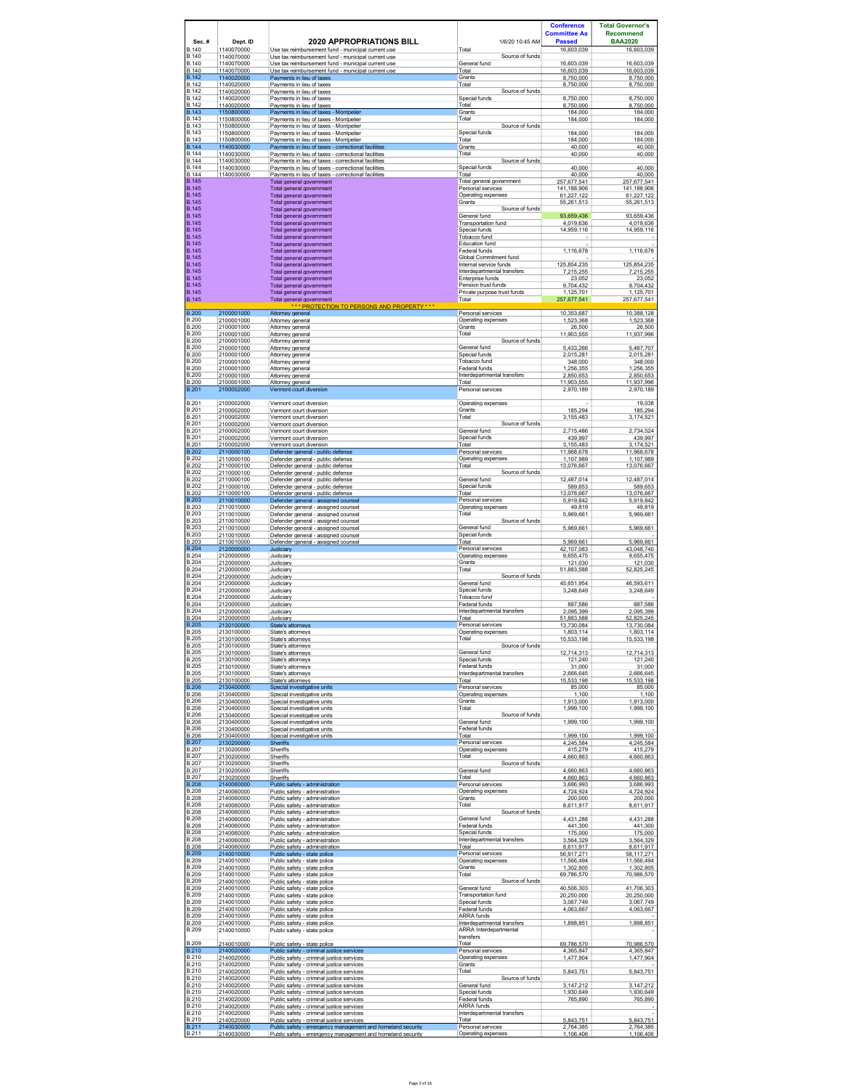|                                              |                                        |                                                                                                                                                                   |                                                              | <b>Conference</b><br><b>Committee As</b> | <b>Total Governor's</b><br><b>Recommend</b> |
|----------------------------------------------|----------------------------------------|-------------------------------------------------------------------------------------------------------------------------------------------------------------------|--------------------------------------------------------------|------------------------------------------|---------------------------------------------|
| Sec.#<br><b>B.140</b>                        | Dept. ID<br>1140070000                 | <b>2020 APPROPRIATIONS BILL</b><br>Use tax reimbursement fund - municipal current use                                                                             | 1/6/20 10:45 AM<br>Total<br>Source of funds                  | <b>Passed</b><br>16,603,039              | <b>BAA2020</b><br>16,603,039                |
| <b>B.140</b><br><b>B.140</b><br><b>B.140</b> | 1140070000<br>1140070000<br>1140070000 | Use tax reimbursement fund - municipal current use<br>Use tax reimbursement fund - municipal current use<br>Use tax reimbursement fund - municipal current use    | General fund<br>Total                                        | 16,603,039<br>16,603,039                 | 16.603.039<br>16,603,039                    |
| <b>B.142</b>                                 | 1140020000                             | Payments in lieu of taxes                                                                                                                                         | Grants                                                       | 8,750,000                                | 8,750,000                                   |
| <b>B.142</b>                                 | 1140020000                             | Payments in lieu of taxes                                                                                                                                         | Total                                                        | 8,750,000                                | 8,750,000                                   |
| <b>B.142</b><br><b>B.142</b>                 | 1140020000<br>1140020000               | Payments in lieu of taxes<br>Payments in lieu of taxes                                                                                                            | Source of funds<br>Special funds                             | 8,750,000                                | 8.750.000                                   |
| <b>B.142</b>                                 | 1140020000                             | Payments in lieu of taxes                                                                                                                                         | Total                                                        | 8.750.000                                | 8.750.000                                   |
| <b>B.143</b>                                 | 1150800000                             | Payments in lieu of taxes - Montpelier                                                                                                                            | Grants                                                       | 184,000                                  | 184,000                                     |
| <b>B.143</b><br><b>B.143</b>                 | 1150800000<br>1150800000               | Pavments in lieu of taxes - Montpelier<br>Payments in lieu of taxes - Montpelier                                                                                  | Total<br>Source of funds                                     | 184.000                                  | 184.000                                     |
| <b>B.143</b>                                 | 1150800000                             | Payments in lieu of taxes - Montpelier                                                                                                                            | Special funds                                                | 184.000                                  | 184,000                                     |
| <b>B.143</b>                                 | 1150800000                             | Payments in lieu of taxes - Montpelier                                                                                                                            | Total                                                        | 184.000                                  | 184,000                                     |
| <b>B.144</b><br><b>B.144</b><br><b>B.144</b> | 1140030000<br>1140030000<br>1140030000 | Payments in lieu of taxes - correctional facilities<br>Payments in lieu of taxes - correctional facilities<br>Payments in lieu of taxes - correctional facilities | Grants<br>Total<br>Source of funds                           | 40,000<br>40,000                         | 40,000<br>40,000                            |
| <b>B.144</b>                                 | 1140030000                             | Pavments in lieu of taxes - correctional facilities                                                                                                               | Special funds                                                | 40,000                                   | 40.000                                      |
| <b>B.144</b>                                 | 1140030000                             | Payments in lieu of taxes - correctional facilities                                                                                                               | Total                                                        | 40,000                                   | 40,000                                      |
| <b>B.145</b>                                 |                                        | Total general government                                                                                                                                          | Total general government                                     | 257,677,541                              | 257,677,541                                 |
| <b>B.145</b>                                 |                                        | Total general government                                                                                                                                          | Personal services                                            | 141,188,906                              | 141,188,906                                 |
| <b>B.145</b>                                 |                                        | Total general government                                                                                                                                          | Operating expenses                                           | 61.227.122                               | 61,227,122                                  |
| <b>B.145</b>                                 |                                        | Total general government                                                                                                                                          | Grants                                                       | 55,261,513                               | 55,261,513                                  |
| <b>B.145</b><br><b>B.145</b>                 |                                        | Total general government<br>Total general government                                                                                                              | Source of funds<br>General fund                              | 93 659 436                               | 93.659.436                                  |
| <b>B.145</b><br><b>B.145</b><br><b>B.145</b> |                                        | Total general government<br>Total general government                                                                                                              | <b>Transportation fund</b><br>Special funds<br>Tobacco fund  | 4,019,636<br>14.959.116                  | 4,019,636<br>14.959.116                     |
| <b>B.145</b><br><b>B.145</b>                 |                                        | Total general government<br>Total general government<br>Total general government                                                                                  | Education fund<br>Federal funds                              |                                          |                                             |
| <b>B.145</b>                                 |                                        | Total general government                                                                                                                                          | Global Commitment fund                                       | 1,116,678                                | 1,116,678                                   |
| <b>B.145</b>                                 |                                        | Total general government                                                                                                                                          | Internal service funds                                       | 125,854,235                              | 125,854,235                                 |
| <b>B.145</b>                                 |                                        | Total general government                                                                                                                                          | Interdepartmental transfers                                  | 7,215,255                                | 7,215,255                                   |
| <b>B.145</b>                                 |                                        | Total general government                                                                                                                                          | Enterprise funds                                             | 23.052                                   | 23.052                                      |
| <b>B.145</b>                                 |                                        | Total general government                                                                                                                                          | Pension trust funds                                          | 9,704,432                                | 9,704,432                                   |
| <b>B.145</b>                                 |                                        | Total general government                                                                                                                                          | Private purpose trust funds                                  | 1.125.701                                | 1.125.701                                   |
| <b>B.145</b>                                 |                                        | Total general government<br>*** PROTECTION TO PERSONS AND PROPERTY***                                                                                             | Total                                                        | 257,677,541                              | 257,677,541                                 |
| <b>B.200</b>                                 | 2100001000                             | Attorney general                                                                                                                                                  | Personal services                                            | 10,353,687                               | 10,388,128                                  |
| <b>B.200</b>                                 | 2100001000                             | Attomey general                                                                                                                                                   | Operating expenses                                           | 1,523,368                                | 1,523,368                                   |
| <b>B.200</b>                                 | 2100001000                             | Attorney general                                                                                                                                                  | Grants                                                       | 26,500                                   | 26,500                                      |
| <b>B.200</b>                                 | 2100001000                             | Attorney general                                                                                                                                                  | Total                                                        | 11,903,555                               | 11,937,996                                  |
| <b>B.200</b><br><b>B.200</b><br><b>B.200</b> | 2100001000<br>2100001000<br>2100001000 | Attorney general<br>Attorney general                                                                                                                              | Source of funds<br>General fund<br>Special funds             | 5.433.266                                | 5,467,707                                   |
| <b>B.200</b><br><b>B.200</b>                 | 2100001000<br>2100001000               | Attorney general<br>Attorney general<br>Attomey general                                                                                                           | Tobacco fund<br>Federal funds                                | 2,015,281<br>348,000<br>1.256.355        | 2,015,281<br>348,000<br>1.256.355           |
| <b>B.200</b>                                 | 2100001000                             | Attorney general                                                                                                                                                  | Interdepartmental transfers                                  | 2,850,653                                | 2,850,653                                   |
| <b>B.200</b>                                 | 2100001000                             | Attorney general                                                                                                                                                  | Total                                                        | 11,903,555                               | 11,937,996                                  |
| <b>B.201</b>                                 | 2100002000                             | Vermont court diversion                                                                                                                                           | Personal services                                            | 2.970.189                                | 2.970.189                                   |
| <b>B.201</b>                                 | 2100002000                             | Vermont court diversion                                                                                                                                           | Operating expenses                                           | 185.294                                  | 19.038                                      |
| <b>B.201</b>                                 | 2100002000                             | Vermont court diversion                                                                                                                                           | Grants                                                       |                                          | 185,294                                     |
| <b>B.201</b><br><b>B.201</b>                 | 2100002000<br>2100002000               | Vermont court diversion<br>Vermont court diversion                                                                                                                | Total<br>Source of funds                                     | 3,155,483                                | 3,174,521                                   |
| <b>B.201</b>                                 | 2100002000                             | Vermont court diversion                                                                                                                                           | General fund                                                 | 2,715,486                                | 2,734,524                                   |
| <b>B.201</b>                                 | 2100002000                             | Vermont court diversion                                                                                                                                           | Special funds                                                | 439,997                                  | 439,997                                     |
| <b>B.201</b>                                 | 2100002000                             | Vermont court diversion                                                                                                                                           | Total                                                        | 3,155,483                                | 3,174,521                                   |
| <b>B.202</b>                                 | 2110000100                             | Defender general - public defense                                                                                                                                 | Personal services                                            | 11.968.678                               | 11.968.678                                  |
| <b>B.202</b><br><b>B.202</b><br><b>B.202</b> | 2110000100<br>2110000100<br>2110000100 | Defender general - public defense<br>Defender general - public defense                                                                                            | Operating expenses<br>Total<br>Source of funds               | 1,107,989<br>13.076.667                  | 1,107,989<br>13.076.667                     |
| <b>B.202</b><br><b>B.202</b>                 | 2110000100<br>2110000100               | Defender general - public defense<br>Defender general - public defense<br>Defender general - public defense                                                       | General fund<br>Special funds                                | 12,487,014<br>589,653                    | 12,487,014<br>589,653                       |
| <b>B.202</b>                                 | 2110000100                             | Defender general - public defense                                                                                                                                 | Total                                                        | 13,076,667                               | 13,076,667                                  |
| <b>B.203</b>                                 | 2110010000                             | Defender general - assigned counsel                                                                                                                               | Personal services                                            | 5,919,842                                | 5,919,842                                   |
| <b>B.203</b>                                 | 2110010000                             | Defender general - assigned counsel                                                                                                                               | Operating expenses                                           | 49,819                                   | 49,819                                      |
| <b>B.203</b>                                 | 2110010000                             | Defender general - assigned counsel                                                                                                                               | Total                                                        | 5.969.661                                | 5.969.661                                   |
| <b>B.203</b><br><b>B.203</b>                 | 2110010000<br>2110010000               | Defender general - assigned counsel<br>Defender general - assigned counsel                                                                                        | Source of funds<br>General fund                              | 5,969,661                                | 5,969,661                                   |
| <b>B.203</b><br><b>B.203</b>                 | 2110010000<br>2110010000               | Defender general - assigned counsel<br>Defender general - assigned counsel                                                                                        | Special funds<br>Total                                       | 5.969.661                                | 5,969,661                                   |
| <b>B.204</b>                                 | 2120000000                             | Judiciary                                                                                                                                                         | Personal services                                            | 42,107,083                               | 43,048,740                                  |
| <b>B.204</b>                                 | 2120000000                             | Judiciary                                                                                                                                                         | Operating expenses                                           | 9,655,475                                | 9,655,475                                   |
| <b>B.204</b>                                 | 2120000000                             | Judiciarv                                                                                                                                                         | Grants                                                       | 121.030                                  | 121.030                                     |
| <b>B.204</b>                                 | 2120000000                             | Judiciary                                                                                                                                                         | Total                                                        | 51,883,588                               | 52,825,245                                  |
| <b>B.204</b><br><b>B.204</b><br><b>B.204</b> | 2120000000<br>2120000000<br>2120000000 | Judiciarv<br>Judiciary<br>Judiciary                                                                                                                               | Source of funds<br>General fund<br>Special funds             | 45,651,954<br>3,248,649                  | 46,593,611<br>3,248,649                     |
| <b>B.204</b><br><b>B.204</b>                 | 2120000000<br>2120000000               | Judiciarv<br>Judiciary                                                                                                                                            | Tobacco fund<br>Federal funds                                | 887,586                                  | 887,586                                     |
| <b>B.204</b>                                 | 2120000000                             | Judiciary                                                                                                                                                         | Interdepartmental transfers                                  | 2,095,399                                | 2,095,399                                   |
| <b>B.204</b>                                 | 2120000000                             | Judiciary                                                                                                                                                         | Total                                                        | 51.883.588                               | 52,825,245                                  |
| <b>B.205</b>                                 | 2130100000                             | State's attorneys                                                                                                                                                 | Personal services                                            | 13.730.084                               | 13.730.084                                  |
| <b>B.205</b>                                 | 2130100000                             | State's attorneys                                                                                                                                                 | Operating expenses                                           | 1,803,114                                | 1,803,114                                   |
| <b>B.205</b><br><b>B.205</b>                 | 2130100000<br>2130100000               | State's attorneys<br>State's attorneys                                                                                                                            | Total<br>Source of funds                                     | 15.533.198                               | 15.533.198                                  |
| <b>B.205</b>                                 | 2130100000                             | State's attorneys                                                                                                                                                 | General fund                                                 | 12,714,313                               | 12,714,313                                  |
| <b>B.205</b>                                 | 2130100000                             | State's attorneys                                                                                                                                                 | Special funds                                                | 121,240                                  | 121,240                                     |
| <b>B.205</b><br><b>B.205</b><br><b>B.205</b> | 2130100000<br>2130100000               | State's attorneys<br>State's attorneys<br>State's attorneys                                                                                                       | Federal funds<br>Interdepartmental transfers<br>Total        | 31,000<br>2 666 645<br>15,533,198        | 31,000<br>2.666.645                         |
| <b>B.206</b><br><b>B.206</b>                 | 2130100000<br>2130400000<br>2130400000 | Special investigative units<br>Special investigative units                                                                                                        | Personal services<br>Operating expenses                      | 85.000<br>1,100                          | 15,533,198<br>85.000<br>1,100               |
| <b>B.206</b>                                 | 2130400000                             | Special investigative units                                                                                                                                       | Grants                                                       | 1,913,000                                | 1,913,000                                   |
| <b>B.206</b>                                 | 2130400000                             | Special investigative units                                                                                                                                       | Total                                                        | 1,999,100                                | 1,999,100                                   |
| <b>B.206</b><br><b>B.206</b>                 | 2130400000<br>2130400000               | Special investigative units<br>Special investigative units                                                                                                        | Source of funds<br>General fund                              | 1,999,100                                | 1,999,100                                   |
| <b>B.206</b><br><b>B.206</b>                 | 2130400000<br>2130400000               | Special investigative units<br>Special investigative units                                                                                                        | Federal funds<br>Total                                       | 1.999.100                                | 1.999.100                                   |
| <b>B.207</b>                                 | 2130200000                             | Sheriffs                                                                                                                                                          | Personal services                                            | 4,245,584                                | 4,245,584                                   |
| <b>B.207</b>                                 | 2130200000                             | Sheriffs                                                                                                                                                          | Operating expenses                                           | 415 279                                  | 415.279                                     |
| <b>B.207</b><br><b>B.207</b>                 | 2130200000<br>2130200000               | Sheriffs<br>Sheriffs                                                                                                                                              | Total<br>Source of funds                                     | 4,660,863                                | 4,660,863                                   |
| <b>B.207</b>                                 | 2130200000                             | Sheriffs                                                                                                                                                          | General fund                                                 | 4,660,863                                | 4,660,863                                   |
| <b>B.207</b>                                 | 2130200000                             | Sheriffs                                                                                                                                                          | Total                                                        | 4,660,863                                | 4,660,863                                   |
| <b>B.208</b>                                 | 2140060000                             | Public safety - administration                                                                                                                                    | Personal services                                            | 3,686,993                                | 3,686,993                                   |
| <b>B.208</b>                                 | 2140060000                             | Public safety - administration                                                                                                                                    | Operating expenses                                           | 4,724,924                                | 4,724,924                                   |
| <b>B.208</b>                                 | 2140060000                             | Public safety - administration                                                                                                                                    | Grants                                                       | 200.000                                  | 200.000                                     |
| <b>B.208</b><br><b>B.208</b>                 | 2140060000<br>2140060000               | Public safety - administration<br>Public safety - administration                                                                                                  | Total<br>Source of funds                                     | 8,611,917                                | 8,611,917                                   |
| <b>B.208</b>                                 | 2140060000                             | Public safety - administration                                                                                                                                    | General fund                                                 | 4,431,288                                | 4,431,288                                   |
| <b>B.208</b>                                 | 2140060000                             | Public safety - administration                                                                                                                                    | Federal funds                                                | 441,300                                  | 441,300                                     |
| <b>B.208</b>                                 | 2140060000                             | Public safety - administration                                                                                                                                    | Special funds                                                | 175,000                                  | 175,000                                     |
| <b>B.208</b>                                 | 2140060000                             | Public safety - administration                                                                                                                                    | Interdepartmental transfers                                  | 3,564,329                                | 3,564,329                                   |
| <b>B.208</b>                                 | 2140060000                             | Public safety - administration                                                                                                                                    | Total                                                        | 8.611.917                                | 8.611.917                                   |
| <b>B.209</b>                                 | 2140010000                             | Public safety - state police                                                                                                                                      | Personal services                                            | 56,917,271                               | 58,117,271                                  |
| <b>B.209</b>                                 | 2140010000                             | Public safety - state police                                                                                                                                      | Operating expenses                                           | 11.566.494                               | 11.566.494                                  |
| <b>B.209</b>                                 | 2140010000                             | Public safety - state police                                                                                                                                      | Grants                                                       | 1.302.805                                | 1,302,805                                   |
| <b>B.209</b><br><b>B.209</b><br><b>B.209</b> | 2140010000<br>2140010000<br>2140010000 | Public safety - state police<br>Public safety - state police<br>Public safety - state police                                                                      | Total<br>Source of funds<br>General fund                     | 69,786,570<br>40.506.303                 | 70,986,570<br>41,706,303                    |
| <b>B.209</b>                                 | 2140010000                             | Public safety - state police                                                                                                                                      | Transportation fund                                          | 20,250,000                               | 20,250,000                                  |
| <b>B.209</b>                                 | 2140010000                             | Public safety - state police                                                                                                                                      | Special funds                                                | 3,067,749                                | 3,067,749                                   |
| <b>B.209</b><br><b>B.209</b>                 | 2140010000<br>2140010000               | Public safety - state police<br>Public safety - state police                                                                                                      | Federal funds<br>ARRA funds                                  | 4.063.667                                | 4.063.667                                   |
| <b>B.209</b><br><b>B.209</b>                 | 2140010000<br>2140010000               | Public safety - state police<br>Public safety - state police                                                                                                      | Interdepartmental transfers<br><b>ARRA</b> Interdepartmental | 1.898.851                                | 1.898.851                                   |
| <b>B.209</b>                                 | 2140010000                             | Public safety - state police                                                                                                                                      | transfers<br>Total                                           | 69.786.570                               | 70,986,570                                  |
| <b>B.210</b>                                 | 2140020000                             | Public safety - criminal justice services                                                                                                                         | Personal services                                            | 4,365,847                                | 4,365,847                                   |
| B.210                                        | 2140020000                             | Public safety - criminal justice services                                                                                                                         | Operating expenses                                           | 1,477,904                                | 1,477,904                                   |
| <b>B.210</b><br><b>B.210</b><br>B.210        | 2140020000<br>2140020000<br>2140020000 | Public safety - criminal justice services<br>Public safety - criminal iustice services<br>Public safety - criminal justice services                               | Grants<br>Total<br>Source of funds                           | 5.843.751                                | 5.843.751                                   |
| <b>B.210</b>                                 | 2140020000                             | Public safety - criminal iustice services                                                                                                                         | General fund                                                 | 3.147.212                                | 3.147.212                                   |
| <b>B.210</b>                                 | 2140020000                             | Public safety - criminal justice services                                                                                                                         | Special funds                                                | 1,930,649                                | 1,930,649                                   |
| B.210<br><b>B.210</b>                        | 2140020000<br>2140020000               | Public safety - criminal justice services<br>Public safety - criminal justice services                                                                            | Federal funds<br>ARRA funds                                  | 765,890                                  | 765,890                                     |
| <b>B.210</b><br>B.210                        | 2140020000<br>2140020000               | Public safety - criminal justice services<br>Public safety - criminal justice services                                                                            | Interdepartmental transfers<br>Total                         | 5.843.751                                | 5,843,751                                   |
| <b>B.211</b>                                 | 2140030000                             | Public safety - emergency management and homeland security                                                                                                        | Personal services                                            | 2,764,385                                | 2,764,385                                   |
| <b>B.211</b>                                 | 2140030000                             | Public safety - emergency management and homeland security                                                                                                        | Operating expenses                                           | 1.106.406                                | 1.106.406                                   |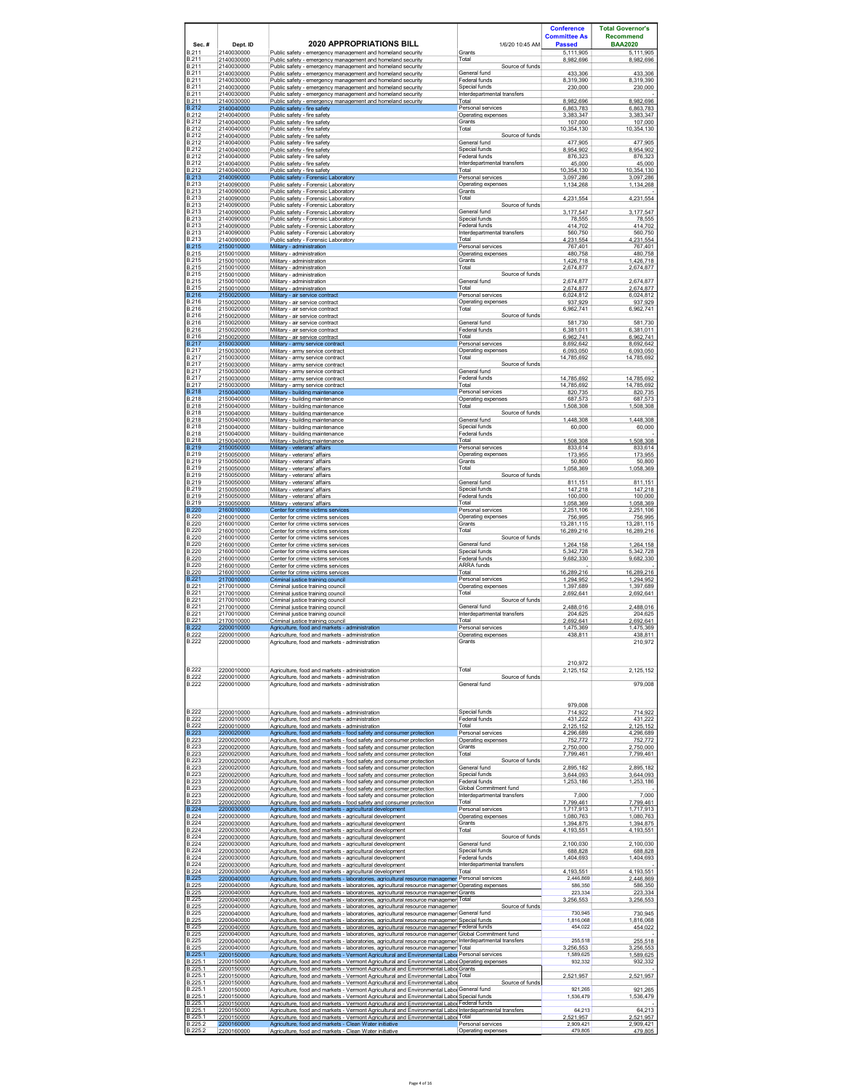|                                              |                                        |                                                                                                                                                                                                                                                                                          |                                                                | <b>Conference</b><br><b>Committee As</b> | <b>Total Governor's</b><br><b>Recommend</b> |
|----------------------------------------------|----------------------------------------|------------------------------------------------------------------------------------------------------------------------------------------------------------------------------------------------------------------------------------------------------------------------------------------|----------------------------------------------------------------|------------------------------------------|---------------------------------------------|
| Sec.#<br>B <sub>211</sub>                    | Dept. ID<br>2140030000                 | <b>2020 APPROPRIATIONS BILL</b><br>Public safety - emergency management and homeland security                                                                                                                                                                                            | 1/6/20 10:45 AM<br>Grants                                      | <b>Passed</b><br>5.111.905               | <b>BAA2020</b><br>5.111.905                 |
| B.211<br>B.211<br>B.211                      | 2140030000<br>2140030000<br>2140030000 | Public safety - emergency management and homeland security<br>Public safety - emergency management and homeland security<br>Public safety - emergency management and homeland security                                                                                                   | Total<br>Source of funds<br>General fund                       | 8,982,696<br>433,306                     | 8,982,696<br>433,306                        |
| B.211<br>B.211                               | 2140030000<br>2140030000               | Public safety - emergency management and homeland security<br>Public safety - emergency management and homeland security                                                                                                                                                                 | Federal funds<br>Special funds                                 | 8,319,390<br>230,000                     | 8,319,390<br>230,000                        |
| B.211<br>B.211<br><b>B.212</b>               | 2140030000<br>2140030000               | Public safety - emergency management and homeland security<br>Public safety - emergency management and homeland security                                                                                                                                                                 | Interdepartmental transfers<br>Total<br>Personal services      | 8.982.696                                | 8.982.696                                   |
| B.212<br>B.212                               | 2140040000<br>2140040000<br>2140040000 | Public safety - fire safety<br>Public safety - fire safety<br>Public safety - fire safety                                                                                                                                                                                                | Operating expenses<br>Grants                                   | 6,863,783<br>3.383.347<br>107,000        | 6,863,783<br>3.383.347<br>107,000           |
| B.212<br>B.212                               | 2140040000<br>2140040000               | Public safety - fire safety<br>Public safety - fire safety                                                                                                                                                                                                                               | Total<br>Source of funds                                       | 10,354,130                               | 10,354,130                                  |
| B.212<br>B.212<br>B.212                      | 2140040000<br>2140040000<br>2140040000 | Public safety - fire safety<br>Public safety - fire safety                                                                                                                                                                                                                               | General fund<br>Special funds                                  | 477,905<br>8,954,902                     | 477,905<br>8,954,902                        |
| B.212<br>B.212                               | 2140040000<br>2140040000               | Public safety - fire safety<br>Public safety - fire safety<br>Public safety - fire safety                                                                                                                                                                                                | Federal funds<br>Interdepartmental transfers<br>Total          | 876,323<br>45.000<br>10,354,130          | 876,323<br>45.000<br>10,354,130             |
| <b>B.213</b><br><b>B.213</b>                 | 2140090000<br>2140090000               | Public safety - Forensic Laboratory<br>Public safety - Forensic Laboratory                                                                                                                                                                                                               | Personal services<br>Operating expenses                        | 3,097,286<br>1,134,268                   | 3,097,286<br>1,134,268                      |
| B.213<br>B.213<br><b>B.213</b>               | 2140090000<br>2140090000<br>2140090000 | Public safety - Forensic Laboratory<br>Public safety - Forensic Laboratory<br>Public safety - Forensic Laboratory                                                                                                                                                                        | Grants<br>Total<br>Source of funds                             | 4,231,554                                | 4,231,554                                   |
| B.213<br>B.213                               | 2140090000<br>2140090000               | Public safety - Forensic Laboratory<br>Public safety - Forensic Laboratory                                                                                                                                                                                                               | General fund<br>Special funds                                  | 3.177.547<br>78,555                      | 3.177.547<br>78,555                         |
| <b>B.213</b><br>B.213                        | 2140090000<br>2140090000               | Public safety - Forensic Laboratory<br>Public safety - Forensic Laboratory                                                                                                                                                                                                               | Federal funds<br>Interdepartmental transfers                   | 414.702<br>560,750                       | 414.702<br>560,750                          |
| B.213<br><b>B.215</b><br>B.215               | 2140090000<br>2150010000<br>2150010000 | Public safety - Forensic Laboratory<br>Military - administration<br>Military - administration                                                                                                                                                                                            | Total<br>Personal services<br>Operating expenses               | 4.231.554<br>767,401<br>480,758          | 4,231,554<br>767,401<br>480,758             |
| B.215<br>B.215                               | 2150010000<br>2150010000               | Military - administration<br>Military - administration                                                                                                                                                                                                                                   | Grants<br>Total                                                | 1,426,718<br>2,674,877                   | 1,426,718<br>2,674,877                      |
| B.215<br><b>B.215</b><br>B.215               | 2150010000<br>2150010000               | Military - administration<br>Military - administration                                                                                                                                                                                                                                   | Source of funds<br>General fund<br>Total                       | 2,674,877                                | 2,674,877                                   |
| <b>B.216</b><br>B.216                        | 2150010000<br>2150020000<br>2150020000 | Militarv - administration<br>Military - air service contract<br>Military - air service contract                                                                                                                                                                                          | Personal services<br>Operating expenses                        | 2.674.877<br>6,024,812<br>937,929        | 2.674.877<br>6,024,812<br>937,929           |
| B.216<br>B.216                               | 2150020000<br>2150020000               | Military - air service contract<br>Military - air service contract                                                                                                                                                                                                                       | Total<br>Source of funds                                       | 6,962,741                                | 6,962,741                                   |
| B.216<br>B.216<br>B.216                      | 2150020000<br>2150020000<br>2150020000 | Military - air service contract<br>Military - air service contract                                                                                                                                                                                                                       | General fund<br>Federal funds<br>Total                         | 581,730<br>6,381,011<br>6.962.741        | 581,730<br>6,381,011<br>6.962.741           |
| <b>B.217</b><br>B.217                        | 2150030000<br>2150030000               | Military - air service contract<br>Military - army service contract<br>Military - army service contract                                                                                                                                                                                  | Personal services<br>Operating expenses                        | 8,692,642<br>6,093,050                   | 8,692,642<br>6,093,050                      |
| B.217<br>B.217                               | 2150030000<br>2150030000               | Military - army service contract<br>Military - army service contract                                                                                                                                                                                                                     | Total<br>Source of funds                                       | 14,785,692                               | 14,785,692                                  |
| B.217<br>B.217<br>B.217                      | 2150030000<br>2150030000<br>2150030000 | Military - army service contract<br>Military - army service contract<br>Military - army service contract                                                                                                                                                                                 | General fund<br>Federal funds<br>Total                         | 14,785,692<br>14.785.692                 | 14,785,692<br>14.785.692                    |
| <b>B.218</b><br>B.218                        | 2150040000<br>2150040000               | Military - building maintenance<br>Militarv - building maintenance                                                                                                                                                                                                                       | Personal services<br>Operating expenses                        | 820,735<br>687.573                       | 820,735<br>687.573                          |
| B.218<br>B.218                               | 2150040000<br>2150040000               | Military - building maintenance<br>Military - building maintenance                                                                                                                                                                                                                       | Total<br>Source of funds                                       | 1,508,308                                | 1,508,308                                   |
| <b>B.218</b><br>B.218<br><b>B.218</b>        | 2150040000<br>2150040000<br>2150040000 | Military - building maintenance<br>Military - building maintenance<br>Military - building maintenance                                                                                                                                                                                    | General fund<br>Special funds<br>Federal funds                 | 1,448,308<br>60,000                      | 1,448,308<br>60,000                         |
| <b>B.218</b><br><b>B.219</b>                 | 2150040000<br>2150050000               | Military - building maintenance<br>Military - veterans' affairs                                                                                                                                                                                                                          | Total<br>Personal services                                     | 1,508,308<br>833.614                     | 1,508,308<br>833.614                        |
| B.219<br>B.219<br>B.219                      | 2150050000<br>2150050000<br>2150050000 | Military - veterans' affairs<br>Militarv - veterans' affairs<br>Military - veterans' affairs                                                                                                                                                                                             | Operating expenses<br>Grants<br>Total                          | 173,955<br>50.800                        | 173,955<br>50.800                           |
| <b>B.219</b><br>B.219                        | 2150050000<br>2150050000               | Military - veterans' affairs<br>Military - veterans' affairs                                                                                                                                                                                                                             | Source of funds<br>General fund                                | 1,058,369<br>811,151                     | 1,058,369<br>811,151                        |
| B.219<br>B.219                               | 2150050000<br>2150050000               | Military - veterans' affairs<br>Military - veterans' affairs                                                                                                                                                                                                                             | Special funds<br>Federal funds                                 | 147.218<br>100,000                       | 147.218<br>100,000                          |
| B.219<br><b>B.220</b><br><b>B.220</b>        | 2150050000<br>2160010000<br>2160010000 | Military - veterans' affairs<br>Center for crime victims services<br>Center for crime victims services                                                                                                                                                                                   | Total<br>Personal services<br>Operating expenses               | 1,058,369<br>2.251.106<br>756,995        | 1,058,369<br>2.251.106<br>756,995           |
| B.220<br><b>B.220</b>                        | 2160010000<br>2160010000               | Center for crime victims services<br>Center for crime victims services                                                                                                                                                                                                                   | Grants<br>Total                                                | 13,281,115<br>16,289,216                 | 13,281,115<br>16,289,216                    |
| B.220<br>B.220                               | 2160010000<br>2160010000               | Center for crime victims services<br>Center for crime victims services                                                                                                                                                                                                                   | Source of funds<br>General fund                                | 1,264,158                                | 1,264,158                                   |
| <b>B.220</b><br>B.220<br>B.220               | 2160010000<br>2160010000<br>2160010000 | Center for crime victims services<br>Center for crime victims services<br>Center for crime victims services                                                                                                                                                                              | Special funds<br>Federal funds<br><b>ARRA</b> funds            | 5,342,728<br>9.682.330                   | 5,342,728<br>9.682.330                      |
| <b>B.220</b><br>B.221                        | 2160010000<br>2170010000               | Center for crime victims services<br>Criminal justice training council                                                                                                                                                                                                                   | Total<br>Personal services                                     | 16.289.216<br>1,294,952                  | 16.289.216<br>1,294,952                     |
| B.221<br>B.221                               | 2170010000<br>2170010000               | Criminal justice training council<br>Criminal justice training council                                                                                                                                                                                                                   | Operating expenses<br>Total                                    | 1 397 689<br>2,692,641                   | 1,397,689<br>2,692,641                      |
| B.221<br>B.221<br>B.221                      | 2170010000<br>2170010000<br>2170010000 | Criminal justice training council<br>Criminal justice training council<br>Criminal justice training council                                                                                                                                                                              | Source of funds<br>General fund<br>Interdepartmental transfers | 2,488,016<br>204,625                     | 2,488,016<br>204,625                        |
| B.221<br><b>B.222</b>                        | 2170010000<br>2200010000               | Criminal iustice training council<br>Agriculture, food and markets - administration                                                                                                                                                                                                      | Total<br>Personal services                                     | 2.692.641<br>1,475,369                   | 2,692.641<br>1,475,369                      |
| B.222<br>B.222                               | 2200010000<br>2200010000               | Agriculture. food and markets - administration<br>Agriculture, food and markets - administration                                                                                                                                                                                         | Operating expenses<br>Grants                                   | 438.811                                  | 438.811<br>210,972                          |
|                                              |                                        |                                                                                                                                                                                                                                                                                          |                                                                | 210,972                                  |                                             |
| B.222<br><b>B.222</b>                        | 2200010000<br>2200010000               | Agriculture, food and markets - administration<br>Agriculture, food and markets - administration                                                                                                                                                                                         | Total<br>Source of funds                                       | 2,125,152                                | 2,125,152                                   |
| <b>B.222</b>                                 | 2200010000                             | Agriculture, food and markets - administration                                                                                                                                                                                                                                           | General fund                                                   |                                          | 979,008                                     |
| <b>B.222</b>                                 | 2200010000                             | Agriculture, food and markets - administration                                                                                                                                                                                                                                           | Special funds                                                  | 979.008<br>714,922                       | 714.922                                     |
| B.222<br>B.222                               | 2200010000<br>2200010000               | Agriculture, food and markets - administration<br>Agriculture, food and markets - administration                                                                                                                                                                                         | Federal funds<br>Total                                         | 431,222<br>2.125.152                     | 431,222<br>2.125.152                        |
| <b>B.223</b><br>B.223<br>B.223               | 2200020000<br>2200020000<br>2200020000 | Agriculture, food and markets - food safety and consumer protection<br>Agriculture, food and markets - food safety and consumer protection<br>Agriculture, food and markets - food safety and consumer protection                                                                        | Personal services<br>Operating expenses<br>Grants              | 4.296.689<br>752.772<br>2.750.000        | 4.296.689<br>752.772<br>2.750.000           |
| <b>B.223</b><br>B.223                        | 2200020000<br>2200020000               | Agriculture, food and markets - food safety and consumer protection<br>Agriculture, food and markets - food safety and consumer protection                                                                                                                                               | Total<br>Source of funds                                       | 7.799.461                                | 7.799.461                                   |
| B.223<br><b>B.223</b>                        | 2200020000<br>2200020000               | Agriculture, food and markets - food safety and consumer protection<br>Agriculture, food and markets - food safety and consumer protection                                                                                                                                               | General fund<br>Special funds<br>Federal funds                 | 2,895,182<br>3,644,093                   | 2,895,182<br>3,644,093                      |
| <b>B.223</b><br><b>B.223</b><br><b>B.223</b> | 2200020000<br>2200020000<br>2200020000 | Agriculture, food and markets - food safety and consumer protection<br>Agriculture, food and markets - food safety and consumer protection<br>Agriculture, food and markets - food safety and consumer protection                                                                        | Global Commitment fund<br>Interdepartmental transfers          | 1,253,186<br>7,000                       | 1,253,186<br>7,000                          |
| <b>B.223</b><br><b>B.224</b>                 | 2200020000<br>2200030000               | Agriculture. food and markets - food safety and consumer protection<br>Agriculture, food and markets - agricultural development                                                                                                                                                          | Total<br>Personal services                                     | 7.799.461<br>1,717,913                   | 7.799.461<br>1,717,913                      |
| B.224<br>B.224<br><b>B.224</b>               | 2200030000<br>2200030000<br>2200030000 | Agriculture. food and markets - agricultural development<br>Agriculture, food and markets - agricultural development<br>Agriculture, food and markets - agricultural development                                                                                                         | Operating expenses<br>Grants<br>Total                          | 1.080.763<br>1.394.875<br>4,193,551      | 1.080.763<br>1,394,875<br>4,193,551         |
| B.224<br><b>B.224</b>                        | 2200030000<br>2200030000               | Agriculture, food and markets - agricultural development<br>Agriculture, food and markets - agricultural development                                                                                                                                                                     | Source of funds<br>General fund                                | 2,100,030                                | 2.100.030                                   |
| <b>B.224</b><br>B.224<br><b>B.224</b>        | 2200030000<br>2200030000<br>2200030000 | Agriculture, food and markets - agricultural development<br>Agriculture, food and markets - agricultural development                                                                                                                                                                     | Special funds<br>Federal funds<br>Interdepartmental transfers  | 688,828<br>1,404,693                     | 688,828<br>1,404,693                        |
| <b>B.224</b><br><b>B.225</b>                 | 2200030000<br>2200040000               | Agriculture, food and markets - agricultural development<br>Agriculture, food and markets - agricultural development<br>Agriculture, food and markets - laboratories, agricultural resource managemer Personal services                                                                  | Total                                                          | 4,193,551<br>2,446,869                   | 4,193,551<br>2,446,869                      |
| <b>B.225</b><br>B.225                        | 2200040000<br>2200040000               | Agriculture, food and markets - laboratories, agricultural resource managemer Operating expenses<br>Agriculture, food and markets - laboratories, agricultural resource managemer Grants                                                                                                 |                                                                | 586.350<br>223,334                       | 586,350<br>223,334                          |
| B.225<br><b>B.225</b><br>B.225               | 2200040000<br>2200040000<br>2200040000 | Agriculture, food and markets - laboratories, agricultural resource managemer Total<br>Agriculture, food and markets - laboratories, agricultural resource managemer<br>Agriculture. food and markets - laboratories. agricultural resource managemer General fund                       | Source of funds                                                | 3,256,553<br>730,945                     | 3,256,553<br>730.945                        |
| B.225<br><b>B.225</b>                        | 2200040000<br>2200040000               | Agriculture, food and markets - laboratories, agricultural resource managemer Special funds<br>Agriculture, food and markets - laboratories, agricultural resource managemer Federal funds                                                                                               |                                                                | 1,816,068<br>454,022                     | 1,816,068<br>454.022                        |
| B.225<br><b>B.225</b><br><b>B.225</b>        | 2200040000<br>2200040000               | Agriculture, food and markets - laboratories, agricultural resource managemer Global Commitment fund<br>Agriculture, food and markets - laboratories, agricultural resource managemer Interdepartmental transfers                                                                        |                                                                | 255.518                                  | 255,518                                     |
| B.225.1<br>B.225.1                           | 2200040000<br>2200150000<br>2200150000 | Agriculture, food and markets - laboratories, agricultural resource managemer Total<br>Agriculture, food and markets - Vermont Agricultural and Environmental Labor Personal services<br>Agriculture, food and markets - Vermont Agricultural and Environmental Labor Operating expenses |                                                                | 3,256,553<br>1,589,625<br>932.332        | 3,256,553<br>1,589,625<br>932,332           |
| B.225.1<br>B.225.1                           | 2200150000<br>2200150000               | Agriculture, food and markets - Vermont Agricultural and Environmental Laboi Grants<br>Agriculture. food and markets - Vermont Agricultural and Environmental Labor Total                                                                                                                |                                                                | 2.521.957                                | 2.521.957                                   |
| B.225.1<br>B.225.1<br>B.225.1                | 2200150000<br>2200150000<br>2200150000 | Agriculture, food and markets - Vermont Agricultural and Environmental Labor<br>Agriculture. food and markets - Vermont Agricultural and Environmental Labor General fund<br>Agriculture, food and markets - Vermont Agricultural and Environmental Laboi Special funds                  | Source of funds                                                | 921,265<br>1,536,479                     | 921.265<br>1,536,479                        |
| B.225.1<br>B.225.1                           | 2200150000<br>2200150000               | Agriculture, food and markets - Vermont Agricultural and Environmental Laboi Federal funds<br>Agriculture, food and markets - Vermont Agricultural and Environmental Labo Interdepartmental transfers                                                                                    |                                                                | 64,213                                   | 64,213                                      |
| B.225.1<br>B.225.2<br>B 225 3                | 2200150000<br>2200160000<br>2200160000 | Agriculture, food and markets - Vermont Agricultural and Environmental Labol Total<br>Agriculture, food and markets - Clean Water initiative<br>Agriculture, food and markets - Clean Water initiative                                                                                   | Personal services<br>Operating expenses                        | 2.521.957<br>2,909,421<br>479,805        | 2,521,957<br>2,909,421<br>479,805           |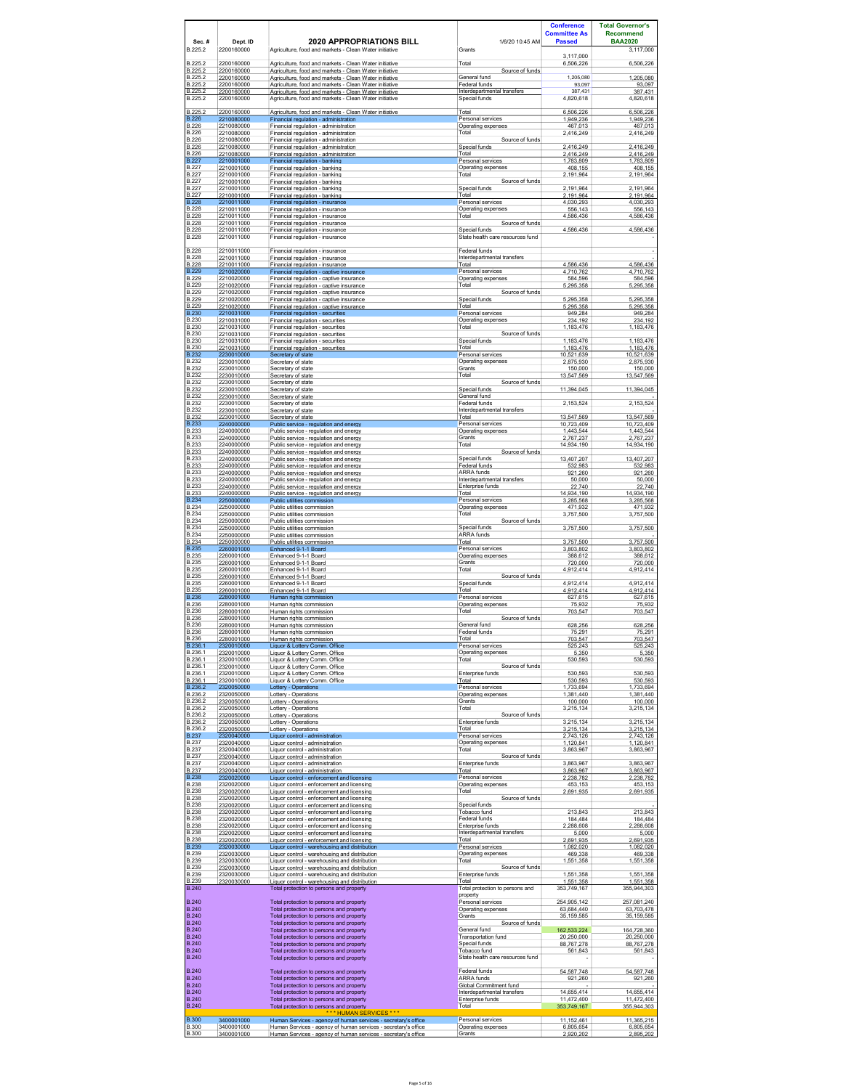| Sec.#<br>B.225.2                             | Dept. ID<br>2200160000                 | <b>2020 APPROPRIATIONS BILL</b><br>Agriculture, food and markets - Clean Water initiative                                        | 1/6/20 10:45 AM<br>Grants                         | <b>Conference</b><br><b>Committee As</b><br><b>Passed</b> | <b>Total Governor's</b><br><b>Recommend</b><br><b>BAA2020</b><br>3,117,000 |
|----------------------------------------------|----------------------------------------|----------------------------------------------------------------------------------------------------------------------------------|---------------------------------------------------|-----------------------------------------------------------|----------------------------------------------------------------------------|
| B.225.2                                      | 2200160000                             | Agriculture, food and markets - Clean Water initiative                                                                           | Total                                             | 3,117,000<br>6,506,226                                    | 6,506,226                                                                  |
| B.225.2<br>B.225.2                           | 2200160000<br>2200160000               | Agriculture, food and markets - Clean Water initiative<br>Agriculture, food and markets - Clean Water initiative                 | Source of funds<br>General fund                   | 1,205,080                                                 | 1,205,080                                                                  |
| B.225.2<br>3.225.2                           | 2200160000<br>2200160000               | Agriculture, food and markets - Clean Water initiative<br>Agriculture, food and markets - Clean Water initiative                 | Federal funds<br>Interdepartmental transfers      | 93,097<br>387,431                                         | 93,097<br>387,431                                                          |
| B.225.2                                      | 2200160000                             | Agriculture, food and markets - Clean Water initiative                                                                           | Special funds                                     | 4,820,618                                                 | 4.820.618                                                                  |
| B.225.2<br>B 226                             | 2200160000<br>2210080000               | Agriculture, food and markets - Clean Water initiative<br>Financial regulation - administration                                  | Total<br>Personal services                        | 6,506,226<br>1.949.236                                    | 6,506,226<br>1.949.236                                                     |
| B.226<br>B.226                               | 2210080000<br>2210080000               | Financial regulation - administration<br>Financial regulation - administration                                                   | Operating expenses<br>Total                       | 467,013<br>2,416,249                                      | 467,013<br>2,416,249                                                       |
| B.226<br><b>B.226</b>                        | 2210080000<br>2210080000               | Financial regulation - administration<br>Financial regulation - administration                                                   | Source of funds<br>Special funds                  | 2,416,249                                                 | 2,416,249                                                                  |
| B.226<br><b>B.227</b>                        | 2210080000<br>2210001000               | Financial regulation - administration<br>Financial regulation - banking                                                          | Total<br>Personal services                        | 2,416,249<br>1,783,809                                    | 2,416,249<br>1,783,809                                                     |
| <b>B.227</b><br><b>B.227</b>                 | 2210001000<br>2210001000               | Financial regulation - banking<br>Financial regulation - banking                                                                 | Operating expenses<br>Total                       | 408.155<br>2,191,964                                      | 408 155<br>2,191,964                                                       |
| <b>B.227</b><br><b>B.227</b><br>B.227        | 2210001000<br>2210001000               | Financial regulation - banking<br>Financial regulation - banking                                                                 | Source of funds<br>Special funds                  | 2,191,964                                                 | 2,191,964                                                                  |
| <b>B.228</b><br><b>B.228</b>                 | 2210001000<br>2210011000<br>2210011000 | Financial regulation - banking<br>Financial regulation - insurance<br>Financial regulation - insurance                           | Total<br>Personal services<br>Operating expenses  | 2,191,964<br>4,030,293<br>556,143                         | 2,191,964<br>4,030,293<br>556,143                                          |
| B 228<br>B.228                               | 2210011000<br>2210011000               | Financial regulation - insurance<br>Financial regulation - insurance                                                             | Total<br>Source of funds                          | 4.586.436                                                 | 4.586.436                                                                  |
| <b>B.228</b><br><b>B.228</b>                 | 2210011000<br>2210011000               | Financial regulation - insurance<br>Financial regulation - insurance                                                             | Special funds<br>State health care resources fund | 4.586.436                                                 | 4.586.436                                                                  |
| <b>B.228</b>                                 | 2210011000                             | Financial regulation - insurance                                                                                                 | Federal funds                                     |                                                           |                                                                            |
| <b>B.228</b><br>B.228                        | 2210011000<br>2210011000               | Financial regulation - insurance<br>Financial regulation - insurance                                                             | Interdepartmental transfers<br>Total              | 4.586.436                                                 | 4,586,436                                                                  |
| B 229<br>B.229                               | 2210020000<br>2210020000               | Financial regulation - captive insurance<br>Financial regulation - captive insurance                                             | Personal services<br>Operating expenses           | 4,710,762<br>584.596                                      | 4,710,762<br>584.596                                                       |
| B.229<br><b>B.229</b>                        | 2210020000<br>2210020000               | Financial regulation - captive insurance<br>Financial regulation - captive insurance                                             | Total<br>Source of funds                          | 5,295,358                                                 | 5,295,358                                                                  |
| B.229<br>B.229                               | 2210020000<br>2210020000               | Financial regulation - captive insurance<br>Financial regulation - captive insurance                                             | Special funds<br>Total                            | 5,295,358<br>5,295,358                                    | 5,295,358<br>5,295,358                                                     |
| B 230<br><b>B.230</b>                        | 2210031000<br>2210031000               | Financial regulation - securities<br>Financial regulation - securities                                                           | Personal services<br>Operating expenses           | 949,284<br>234,192                                        | 949,284<br>234,192                                                         |
| <b>B.230</b><br><b>B.230</b>                 | 2210031000<br>2210031000               | Financial regulation - securities<br>Financial regulation - securities                                                           | Total<br>Source of funds                          | 1,183,476                                                 | 1,183,476                                                                  |
| <b>B.230</b><br><b>B.230</b>                 | 2210031000<br>2210031000               | Financial regulation - securities<br>Financial regulation - securities                                                           | Special funds<br>Total                            | 1 183 476<br>1,183,476                                    | 1.183.476<br>1,183,476                                                     |
| <b>B.232</b><br><b>B.232</b><br><b>B.232</b> | 2230010000<br>2230010000               | Secretary of state<br>Secretary of state                                                                                         | Personal services<br>Operating expenses           | 10,521,639<br>2,875,930                                   | 10,521,639<br>2,875,930                                                    |
| <b>B.232</b>                                 | 2230010000<br>2230010000               | Secretary of state<br>Secretary of state                                                                                         | Grants<br>Total                                   | 150,000<br>13,547,569                                     | 150,000<br>13,547,569                                                      |
| <b>B.232</b><br><b>B.232</b><br><b>B.232</b> | 2230010000<br>2230010000<br>2230010000 | Secretary of state<br>Secretary of state<br>Secretary of state                                                                   | Source of funds<br>Special funds<br>General fund  | 11.394.045                                                | 11.394.045                                                                 |
| <b>B.232</b><br><b>B.232</b>                 | 2230010000                             | Secretary of state                                                                                                               | Federal funds<br>Interdepartmental transfers      | 2.153.524                                                 | 2.153.524                                                                  |
| <b>B.232</b><br><b>B.233</b>                 | 2230010000<br>2230010000<br>2240000000 | Secretary of state<br>Secretary of state<br>Public service - regulation and energy                                               | Total<br>Personal services                        | 13,547,569<br>10,723,409                                  | 13,547,569<br>10,723,409                                                   |
| <b>B.233</b><br><b>B.233</b>                 | 2240000000<br>2240000000               | Public service - regulation and energy<br>Public service - regulation and energy                                                 | Operating expenses<br>Grants                      | 1,443,544<br>2,767,237                                    | 1,443,544<br>2,767,237                                                     |
| <b>B.233</b><br><b>B.233</b>                 | 2240000000<br>2240000000               | Public service - regulation and energy<br>Public service - regulation and energy                                                 | Total<br>Source of funds                          | 14,934,190                                                | 14,934,190                                                                 |
| <b>B.233</b><br><b>B.233</b>                 | 2240000000<br>2240000000               | Public service - regulation and energy<br>Public service - regulation and energy                                                 | Special funds<br>Federal funds                    | 13,407,207<br>532.983                                     | 13,407,207<br>532.983                                                      |
| <b>B.233</b><br>B.233                        | 2240000000<br>2240000000               | Public service - regulation and energy<br>Public service - regulation and energy                                                 | ARRA funds<br>Interdepartmental transfers         | 921,260<br>50,000                                         | 921,260<br>50,000                                                          |
| <b>B.233</b><br><b>B.233</b>                 | 2240000000<br>2240000000               | Public service - regulation and energy<br>Public service - regulation and energy                                                 | Enterprise funds<br>Total                         | 22,740<br>14,934,190                                      | 22,740<br>14,934,190                                                       |
| <b>B.234</b><br><b>B.234</b>                 | 2250000000<br>2250000000               | Public utilities commission<br>Public utilities commission                                                                       | Personal services<br>Operating expenses           | 3,285,568<br>471,932                                      | 3,285,568<br>471,932                                                       |
| <b>B.234</b><br><b>B.234</b>                 | 2250000000<br>2250000000               | Public utilities commission<br>Public utilities commission                                                                       | Total<br>Source of funds                          | 3.757.500                                                 | 3.757.500                                                                  |
| <b>B.234</b><br><b>B.234</b>                 | 2250000000<br>2250000000               | Public utilities commission<br>Public utilities commission                                                                       | Special funds<br>ARRA funds                       | 3,757,500                                                 | 3,757,500                                                                  |
| <b>B.234</b><br><b>B.235</b>                 | 2250000000<br>2260001000               | Public utilities commission<br>Enhanced 9-1-1 Board                                                                              | Total<br>Personal services                        | 3,757,500<br>3,803,802                                    | 3,757,500<br>3,803,802                                                     |
| <b>B.235</b><br><b>B.235</b>                 | 2260001000<br>2260001000               | Enhanced 9-1-1 Board<br>Enhanced 9-1-1 Board                                                                                     | Operating expenses<br>Grants                      | 388,612<br>720.000                                        | 388.612<br>720.000                                                         |
| B.235<br><b>B.235</b>                        | 2260001000<br>2260001000               | Enhanced 9-1-1 Board<br>Enhanced 9-1-1 Board                                                                                     | Total<br>Source of funds                          | 4,912,414                                                 | 4,912,414                                                                  |
| <b>B.235</b><br><b>B.235</b><br><b>B.236</b> | 2260001000<br>2260001000               | Enhanced 9-1-1 Board<br>Enhanced 9-1-1 Board                                                                                     | Special funds<br>Total<br>Personal services       | 4,912,414<br>4,912,414<br>627,615                         | 4,912,414<br>4,912,414                                                     |
| <b>B.236</b><br><b>B.236</b>                 | 2280001000<br>2280001000<br>2280001000 | Human rights commission<br>Human rights commission<br>Human rights commission                                                    | Operating expenses<br>Total                       | 75,932<br>703,547                                         | 627,615<br>75,932<br>703,547                                               |
| <b>B.236</b><br><b>B.236</b>                 | 2280001000<br>2280001000               | Human rights commission<br>Human rights commission                                                                               | Source of funds<br>General fund                   | 628.256                                                   | 628.256                                                                    |
| <b>B.236</b><br><b>B.236</b>                 | 2280001000<br>2280001000               | Human rights commission<br>Human rights commission                                                                               | Federal funds<br>Total                            | 75,291<br>703.547                                         | 75,291<br>703.547                                                          |
| B.236.1<br>B.236.1                           | 2320010000<br>2320010000               | Liquor & Lottery Comm. Office<br>Liquor & Lottery Comm. Office                                                                   | Personal services<br>Operating expenses           | 525,243<br>5.350                                          | 525,243<br>5.350                                                           |
| B.236.1<br>B.236.1                           | 2320010000<br>2320010000               | Liquor & Lottery Comm. Office<br>Liquor & Lottery Comm. Office                                                                   | Total<br>Source of funds                          | 530,593                                                   | 530,593                                                                    |
| B.236.1<br>B.236.1                           | 2320010000<br>2320010000               | Liquor & Lottery Comm. Office<br>Liquor & Lottery Comm. Office                                                                   | Enterprise funds<br>Total                         | 530,593<br>530,593                                        | 530,593<br>530,593                                                         |
| B.236.2<br>B.236.2                           | 2320050000<br>2320050000               | <b>Lottery - Operations</b><br>Lottery - Operations                                                                              | Personal services<br>Operating expenses           | 1.733.694<br>1,381,440                                    | 1.733.694<br>1,381,440                                                     |
| B.236.2<br>B.236.2                           | 2320050000<br>2320050000               | Lottery - Operations<br>Lottery - Operations                                                                                     | Grants<br>Total                                   | 100,000<br>3,215,134                                      | 100,000<br>3,215,134                                                       |
| B.236.2<br>B.236.2                           | 2320050000<br>2320050000               | Lottery - Operations<br>Lottery - Operations                                                                                     | Source of funds<br>Enterprise funds               | 3,215,134                                                 | 3,215,134                                                                  |
| B.236.2<br><b>B.237</b>                      | 2320050000<br>2320040000               | Lottery - Operations<br>Liquor control - administration                                                                          | Total<br>Personal services                        | 3,215,134<br>2.743.126                                    | 3.215.134<br>2.743.126                                                     |
| <b>B.237</b><br><b>B.237</b><br><b>B.237</b> | 2320040000<br>2320040000               | Liquor control - administration<br>Liquor control - administration                                                               | Operating expenses<br>Total<br>Source of funds    | 1,120,841<br>3.863.967                                    | 1,120,841<br>3.863.967                                                     |
| <b>B.237</b><br><b>B.237</b>                 | 2320040000<br>2320040000<br>2320040000 | Liquor control - administration<br>Liquor control - administration                                                               | Enterprise funds<br>Total                         | 3,863,967                                                 | 3,863,967<br>3,863,967                                                     |
| <b>B.238</b><br><b>B.238</b>                 | 2320020000<br>2320020000               | Liquor control - administration<br>Liquor control - enforcement and licensing<br>Liquor control - enforcement and licensing      | Personal services<br>Operating expenses           | 3,863,967<br>2,238,782<br>453 153                         | 2,238,782<br>453,153                                                       |
| <b>B.238</b><br><b>B.238</b>                 | 2320020000<br>2320020000               | Liquor control - enforcement and licensing<br>Liquor control - enforcement and licensing                                         | Total<br>Source of funds                          | 2,691,935                                                 | 2,691,935                                                                  |
| <b>B.238</b><br><b>B.238</b>                 | 2320020000<br>2320020000               | Liquor control - enforcement and licensing<br>Liquor control - enforcement and licensing                                         | Special funds<br>Tobacco fund                     | 213.843                                                   | 213.843                                                                    |
| <b>B.238</b><br><b>B.238</b>                 | 2320020000<br>2320020000               | Liquor control - enforcement and licensing<br>Liquor control - enforcement and licensing                                         | Federal funds<br>Enterprise funds                 | 184,484<br>2.288.608                                      | 184,484<br>2.288.608                                                       |
| <b>B.238</b><br><b>B.238</b>                 | 2320020000<br>2320020000               | Liquor control - enforcement and licensing<br>Liquor control - enforcement and licensing                                         | Interdepartmental transfers<br>Total              | 5,000<br>2,691,935                                        | 5,000<br>2,691,935                                                         |
| <b>B.239</b><br><b>B.239</b>                 | 2320030000<br>2320030000               | Liquor control - warehousing and distribution<br>Liquor control - warehousing and distribution                                   | Personal services<br>Operating expenses           | 1,082,020<br>469,338                                      | 1,082,020<br>469,338                                                       |
| <b>B.239</b><br><b>B.239</b>                 | 2320030000<br>2320030000               | Liquor control - warehousing and distribution<br>Liquor control - warehousing and distribution                                   | Total<br>Source of funds                          | 1.551.358                                                 | 1.551.358                                                                  |
| <b>B.239</b><br><b>B.239</b>                 | 2320030000<br>2320030000               | Liquor control - warehousing and distribution<br>Liquor control - warehousing and distribution                                   | Enterprise funds<br>Total                         | 1,551,358<br>1,551,358                                    | 1,551,358<br>1,551,358                                                     |
| <b>B.240</b>                                 |                                        | Total protection to persons and property                                                                                         | Total protection to persons and<br>property       | 353,749,167                                               | 355,944,303                                                                |
| <b>B.240</b><br><b>B.240</b><br><b>B.240</b> |                                        | Total protection to persons and property<br>Total protection to persons and property                                             | Personal services<br>Operating expenses<br>Grants | 254,905,142<br>63.684.440                                 | 257,081,240<br>63.703.478                                                  |
| <b>B.240</b><br>B 240                        |                                        | Total protection to persons and property<br>Total protection to persons and property<br>Total protection to persons and property | Source of funds<br>General fund                   | 35,159,585<br>162,533,224                                 | 35,159,585<br>164,728,360                                                  |
| <b>B.240</b><br><b>B.240</b>                 |                                        | Total protection to persons and property<br>Total protection to persons and property                                             | Transportation fund<br>Special funds              | 20,250,000<br>88,767,278                                  | 20,250,000                                                                 |
| <b>B.240</b><br><b>B.240</b>                 |                                        | Total protection to persons and property<br>Total protection to persons and property                                             | Tobacco fund<br>State health care resources fund  | 561,843                                                   | 88,767,278<br>561,843                                                      |
| <b>B.240</b>                                 |                                        | Total protection to persons and property                                                                                         | Federal funds                                     | 54.587.748                                                | 54.587.748                                                                 |
| <b>B.240</b><br>B 240                        |                                        | Total protection to persons and property<br>Total protection to persons and property                                             | ARRA funds<br>Global Commitment fund              | 921,260                                                   | 921,260                                                                    |
| <b>B.240</b><br><b>B.240</b>                 |                                        | Total protection to persons and property<br>Total protection to persons and property                                             | Interdepartmental transfers<br>Enterprise funds   | 14,655,414<br>11.472.400                                  | 14,655,414<br>11.472.400                                                   |
| <b>B.240</b>                                 |                                        | Total protection to persons and property<br>** HUMAN SERVICES ***                                                                | Total                                             | 353,749,167                                               | 355,944,303                                                                |
| <b>B.300</b><br><b>B.300</b>                 | 3400001000<br>3400001000               | Human Services - agency of human services - secretary's office<br>Human Services - agency of human services - secretary's office | Personal services<br>Operating expenses           | 11,152,461<br>6,805,654                                   | 11,365,215<br>6,805,654                                                    |
| <b>B.300</b>                                 | 3400001000                             | Human Services - agency of human services - secretary's office                                                                   | Grants                                            | 2.920.202                                                 | 2.895.202                                                                  |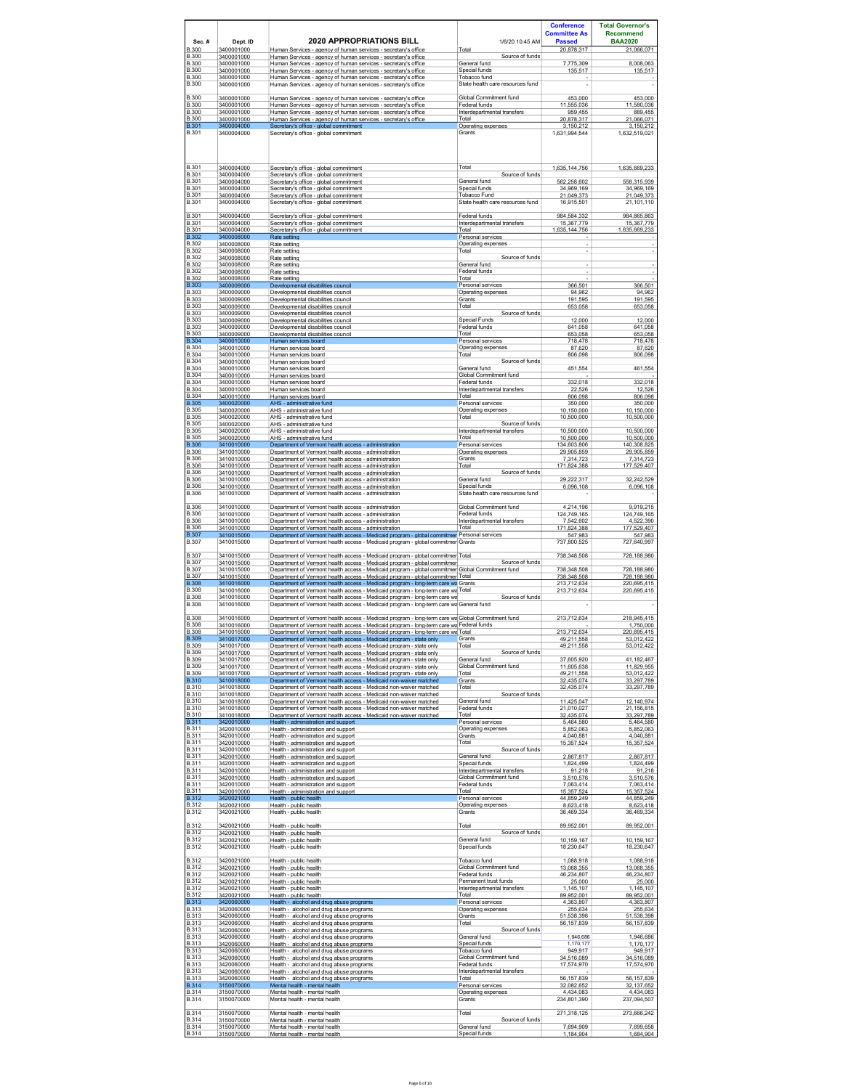|                              |                          |                                                                                                                                                                               |                                                       | <b>Conference</b>                         | <b>Total Governor's</b>            |
|------------------------------|--------------------------|-------------------------------------------------------------------------------------------------------------------------------------------------------------------------------|-------------------------------------------------------|-------------------------------------------|------------------------------------|
| Sec.#                        | Dept. ID                 | <b>2020 APPROPRIATIONS BILL</b>                                                                                                                                               | 1/6/20 10:45 AM                                       | <b>Committee As</b><br><b>Passed</b>      | <b>Recommend</b><br><b>BAA2020</b> |
| <b>B.300</b><br><b>B.300</b> | 3400001000<br>3400001000 | Human Services - agency of human services - secretary's office<br>Human Services - agency of human services - secretary's office                                              | Total<br>Source of funds                              | 20,878,317                                | 21,066,071                         |
| <b>B.300</b><br><b>B.300</b> | 3400001000<br>3400001000 | Human Services - agency of human services - secretary's office<br>Human Services - agency of human services - secretary's office                                              | General fund<br>Special funds                         | 7.775.309<br>135,517                      | 8.008.063<br>135,517               |
| <b>B.300</b>                 | 3400001000               | Human Services - agency of human services - secretary's office                                                                                                                | Tobacco fund                                          |                                           |                                    |
| <b>B.300</b>                 | 3400001000               | Human Services - agency of human services - secretary's office                                                                                                                | State health care resources fund                      |                                           |                                    |
| <b>B.300</b><br><b>B.300</b> | 3400001000<br>3400001000 | Human Services - agency of human services - secretary's office<br>Human Services - agency of human services - secretary's office                                              | Global Commitment fund<br>Federal funds               | 453,000<br>11,555,036                     | 453,000<br>11,580,036              |
| <b>B.300</b><br><b>B.300</b> | 3400001000<br>3400001000 | Human Services - agency of human services - secretary's office<br>Human Services - agency of human services - secretary's office                                              | Interdepartmental transfers<br>Total                  | 959,455<br>20,878,317                     | 889,455<br>21,066,071              |
| <b>B.301</b><br><b>B.301</b> | 3400004000<br>3400004000 | Secretary's office - global commitment<br>Secretary's office - global commitment                                                                                              | Operating expenses<br>Grants                          | 3.150.212<br>1,631,994,544                | 3.150.212<br>1,632,519,021         |
|                              |                          |                                                                                                                                                                               |                                                       |                                           |                                    |
|                              |                          |                                                                                                                                                                               |                                                       |                                           |                                    |
| B.301<br><b>B.301</b>        | 3400004000<br>3400004000 | Secretary's office - global commitment<br>Secretary's office - global commitment                                                                                              | Total<br>Source of funds                              | 1.635.144.756                             | 1.635.669.233                      |
| B.301<br><b>B.301</b>        | 3400004000<br>3400004000 | Secretary's office - global commitment<br>Secretary's office - global commitment                                                                                              | General fund<br>Special funds                         | 562,258,602<br>34,969,169                 | 558,315,939                        |
| <b>B.301</b>                 | 3400004000               | Secretary's office - global commitment                                                                                                                                        | Tobacco Fund                                          | 21,049,373                                | 34,969,169<br>21,049,373           |
| <b>B.301</b>                 | 3400004000               | Secretary's office - global commitment                                                                                                                                        | State health care resources fund                      | 16,915,501                                | 21,101,110                         |
| B.301<br>B.301               | 3400004000<br>3400004000 | Secretary's office - global commitment<br>Secretary's office - global commitment                                                                                              | Federal funds<br>Interdepartmental transfers          | 984.584.332<br>15,367,779                 | 984.865.863<br>15,367,779          |
| <b>B.301</b><br><b>B.302</b> | 3400004000<br>3400008000 | Secretary's office - global commitment<br>Rate setting                                                                                                                        | Total<br>Personal services                            | 1.635.144.756<br>$\overline{\phantom{a}}$ | 1.635.669.233                      |
| <b>B.302</b><br><b>B.302</b> | 3400008000<br>3400008000 | Rate setting<br>Rate setting                                                                                                                                                  | Operating expenses<br>Total                           | ٠<br>٠                                    |                                    |
| <b>B.302</b><br><b>B.302</b> | 3400008000<br>3400008000 | Rate setting<br>Rate setting                                                                                                                                                  | Source of funds<br>General fund                       |                                           |                                    |
| <b>B.302</b><br><b>B.302</b> | 3400008000<br>3400008000 | Rate setting<br>Rate setting                                                                                                                                                  | Federal funds<br>Total                                | ÷                                         |                                    |
| <b>B.303</b><br><b>B.303</b> | 3400009000<br>3400009000 | Developmental disabilities council<br>Developmental disabilities council                                                                                                      | Personal services<br>Operating expenses               | 366,501<br>94.962                         | 366,501<br>94.962                  |
| <b>B.303</b>                 | 3400009000               | Developmental disabilities council                                                                                                                                            | Grants                                                | 191 595                                   | 191,595                            |
| <b>B.303</b><br><b>B.303</b> | 3400009000<br>3400009000 | Developmental disabilities council<br>Developmental disabilities council                                                                                                      | Total<br>Source of funds                              | 653,058                                   | 653,058                            |
| <b>B.303</b><br><b>B.303</b> | 3400009000<br>3400009000 | Developmental disabilities council<br>Developmental disabilities council                                                                                                      | Special Funds<br>Federal funds                        | 12,000<br>641,058                         | 12.000<br>641,058                  |
| <b>B.303</b><br><b>B.304</b> | 3400009000<br>3400010000 | Developmental disabilities council<br>Human services board                                                                                                                    | Total<br>Personal services                            | 653,058<br>718.478                        | 653,058<br>718.478                 |
| <b>B.304</b>                 | 3400010000               | Human services board                                                                                                                                                          | Operating expenses                                    | 87,620                                    | 87,620                             |
| <b>B.304</b><br><b>B.304</b> | 3400010000<br>3400010000 | Human services board<br>Human services board                                                                                                                                  | Total<br>Source of funds                              | 806,098                                   | 806,098                            |
| <b>B.304</b><br>B.304        | 3400010000<br>3400010000 | Human services board<br>Human services board                                                                                                                                  | General fund<br>Global Commitment fund                | 451,554                                   | 461,554                            |
| <b>B.304</b><br>B.304        | 3400010000               | Human services board                                                                                                                                                          | Federal funds                                         | 332,018<br>22.526                         | 332,018                            |
| <b>B.304</b>                 | 3400010000<br>3400010000 | Human services board<br>Human services board                                                                                                                                  | Interdepartmental transfers<br>Total                  | 806.098                                   | 12.526<br>806,098                  |
| B 305<br><b>B.305</b>        | 3400020000<br>3400020000 | AHS - administrative fund<br>AHS - administrative fund                                                                                                                        | Personal services<br>Operating expenses               | 350.000<br>10,150,000                     | 350.000<br>10,150,000              |
| <b>B.305</b><br><b>B.305</b> | 3400020000<br>3400020000 | AHS - administrative fund<br>AHS - administrative fund                                                                                                                        | Total<br>Source of funds                              | 10,500,000                                | 10,500,000                         |
| <b>B.305</b><br><b>B.305</b> | 3400020000               | AHS - administrative fund                                                                                                                                                     | Interdepartmental transfers<br>Total                  | 10,500,000<br>10,500,000                  | 10,500,000<br>10,500,000           |
| <b>B.306</b>                 | 3400020000<br>3410010000 | AHS - administrative fund<br>Department of Vermont health access - administration                                                                                             | Personal services                                     | 134,603,806                               | 140,308,825                        |
| <b>B.306</b><br><b>B.306</b> | 3410010000<br>3410010000 | Department of Vermont health access - administration<br>Department of Vermont health access - administration                                                                  | Operating expenses<br>Grants                          | 29.905.859<br>7,314,723                   | 29.905.859<br>7,314,723            |
| <b>B.306</b><br><b>B.306</b> | 3410010000<br>3410010000 | Department of Vermont health access - administration<br>Department of Vermont health access - administration                                                                  | Total<br>Source of funds                              | 171.824.388                               | 177.529.407                        |
| <b>B.306</b><br>B.306        | 3410010000<br>3410010000 | Department of Vermont health access - administration<br>Department of Vermont health access - administration                                                                  | General fund<br>Special funds                         | 29.222.317<br>6,096,108                   | 32,242,529<br>6,096,108            |
| <b>B.306</b>                 | 3410010000               | Department of Vermont health access - administration                                                                                                                          | State health care resources fund                      |                                           |                                    |
| <b>B.306</b>                 | 3410010000               | Department of Vermont health access - administration                                                                                                                          | Global Commitment fund                                | 4,214,196                                 | 9,919,215                          |
| <b>B.306</b><br><b>B.306</b> | 3410010000<br>3410010000 | Department of Vermont health access - administration<br>Department of Vermont health access - administration                                                                  | Federal funds<br>Interdepartmental transfers          | 124.749.165<br>7,542,602                  | 124.749.165<br>4,522,390           |
| <b>B.306</b><br><b>B.307</b> | 3410010000<br>3410015000 | Department of Vermont health access - administration<br>Department of Vermont health access - Medicaid program - global commitmer Personal services                           | Total                                                 | 171,824,388<br>547,983                    | 177,529,407<br>547,983             |
| <b>B.307</b>                 | 3410015000               | Department of Vermont health access - Medicaid program - global commitmer Grants                                                                                              |                                                       | 737,800,525                               | 727,640,997                        |
| <b>B.307</b>                 | 3410015000               | Department of Vermont health access - Medicaid program - global commitmer Total                                                                                               |                                                       | 738,348,508                               | 728,188,980                        |
| B.307<br>B.307               | 3410015000<br>3410015000 | Department of Vermont health access - Medicaid program - global commitmer<br>Department of Vermont health access - Medicaid program - global commitmer Global Commitment fund | Source of funds                                       | 738.348.508                               | 728,188,980                        |
| <b>B.307</b><br><b>B.308</b> | 3410015000<br>3410016000 | Department of Vermont health access - Medicaid program - global commitmer Total<br>Department of Vermont health access - Medicaid program - long-term care wa Grants          |                                                       | 738.348.508<br>213,712,634                | 728.188.980<br>220,695,415         |
| <b>B.308</b><br><b>B.308</b> | 3410016000               | Department of Vermont health access - Medicaid program - long-term care wa Total                                                                                              | Source of funds                                       | 213,712,634                               | 220,695,415                        |
| <b>B.308</b>                 | 3410016000<br>3410016000 | Department of Vermont health access - Medicaid program - long-term care wa<br>Department of Vermont health access - Medicaid program - long-term care wa General fund         |                                                       |                                           |                                    |
| <b>B.308</b>                 | 3410016000               | Department of Vermont health access - Medicaid program - long-term care wa Global Commitment fund                                                                             |                                                       | 213,712,634                               | 218,945,415                        |
| <b>B.308</b><br><b>B.308</b> | 3410016000<br>3410016000 | Department of Vermont health access - Medicaid program - long-term care wa Federal funds<br>Department of Vermont health access - Medicaid program - long-term care wa Total  |                                                       | 213,712,634                               | 1.750.000<br>220,695,415           |
| <b>B.309</b><br><b>B.309</b> | 3410017000<br>3410017000 | Department of Vermont health access - Medicaid program - state only<br>Department of Vermont health access - Medicaid program - state only                                    | Grants<br>Total                                       | 49.211.558                                | 53.012.422<br>53,012,422           |
| <b>B.309</b>                 | 3410017000               | Department of Vermont health access - Medicaid program - state only                                                                                                           | Source of funds                                       | 49,211,558                                |                                    |
| <b>B.309</b><br><b>B.309</b> | 3410017000<br>3410017000 | Department of Vermont health access - Medicaid program - state only<br>Department of Vermont health access - Medicaid program - state only                                    | General fund<br>Global Commitment fund                | 37,605,920<br>11.605.638                  | 41,182,467<br>11.829.955           |
| <b>B.309</b><br><b>B.310</b> | 3410017000<br>3410018000 | Department of Vermont health access - Medicaid program - state only<br>Department of Vermont health access - Medicaid non-waiver matched                                      | Total<br>Grants                                       | 49,211,558<br>32,435,074                  | 53,012,422<br>33,297,789           |
| <b>B.310</b><br><b>B.310</b> | 3410018000<br>3410018000 | Department of Vermont health access - Medicaid non-waiver matched<br>Department of Vermont health access - Medicaid non-waiver matched                                        | Total<br>Source of funds                              | 32.435.074                                | 33.297.789                         |
| <b>B.310</b><br><b>B.310</b> | 3410018000<br>3410018000 | Department of Vermont health access - Medicaid non-waiver matched<br>Department of Vermont health access - Medicaid non-waiver matched                                        | General fund<br>Federal funds                         | 11,425,047                                | 12,140,974                         |
| <b>B.310</b>                 | 3410018000               | Department of Vermont health access - Medicaid non-waiver matched                                                                                                             | Total                                                 | 21,010,027<br>32,435,074                  | 21,156,815<br>33,297,789           |
| <b>B.311</b><br><b>B.311</b> | 3420010000<br>3420010000 | Health - administration and support<br>Health - administration and support                                                                                                    | Personal services<br>Operating expenses               | 5,464,580<br>5,852,063                    | 5464580<br>5,852,063               |
| <b>B.311</b><br><b>B.311</b> | 3420010000<br>3420010000 | Health - administration and support<br>Health - administration and support                                                                                                    | Grants<br>Total                                       | 4.040.881<br>15,357,524                   | 4.040.881<br>15,357,524            |
| <b>B.311</b><br><b>B.311</b> | 3420010000<br>3420010000 | Health - administration and support<br>Health - administration and support                                                                                                    | Source of funds<br>General fund                       | 2,867,817                                 | 2,867,817                          |
| <b>B.311</b><br><b>B.311</b> | 3420010000               | Health - administration and support<br>Health - administration and support                                                                                                    | Special funds                                         | 1,824,499                                 | 1,824,499                          |
| <b>B.311</b>                 | 3420010000<br>3420010000 | Health - administration and support                                                                                                                                           | Interdepartmental transfers<br>Global Commitment fund | 91,218<br>3,510,576                       | 91,218<br>3,510,576                |
| <b>B.311</b><br><b>B.311</b> | 3420010000<br>3420010000 | Health - administration and support<br>Health - administration and support                                                                                                    | Federal funds<br>Total                                | 7,063,414<br>15,357,524                   | 7,063,414<br>15,357,524            |
| <b>B.312</b><br><b>B.312</b> | 3420021000<br>3420021000 | Health - public health<br>Health - public health                                                                                                                              | Personal services<br>Operating expenses               | 44.859.249<br>8,623,418                   | 44.859.249<br>8,623,418            |
| <b>B.312</b>                 | 3420021000               | Health - public health                                                                                                                                                        | Grants                                                | 36,469,334                                | 36,469,334                         |
| <b>B.312</b><br><b>B.312</b> | 3420021000               | Health - public health                                                                                                                                                        | Total<br>Source of funds                              | 89,952,001                                | 89,952,001                         |
| <b>B.312</b>                 | 3420021000<br>3420021000 | Health - public health<br>Health - public health                                                                                                                              | General fund                                          | 10.159.167                                | 10.159.167                         |
| <b>B.312</b>                 | 3420021000               | Health - public health                                                                                                                                                        | Special funds                                         | 18,230,647                                | 18,230,647                         |
| <b>B.312</b><br><b>B.312</b> | 3420021000<br>3420021000 | Health - public health<br>Health - public health                                                                                                                              | Tobacco fund<br>Global Commitment fund                | 1.088.918<br>13,068,355                   | 1.088.918<br>13,068,355            |
| <b>B.312</b><br><b>B.312</b> | 3420021000<br>3420021000 | Health - public health                                                                                                                                                        | Federal funds<br>Permanent trust funds                | 46,234,807<br>25,000                      | 46,234,807<br>25,000               |
| <b>B.312</b>                 | 3420021000               | Health - public health<br>Health - public health                                                                                                                              | Interdepartmental transfers                           | 1,145,107                                 | 1,145,107                          |
| <b>B.312</b><br><b>B.313</b> | 3420021000<br>3420060000 | Health - public health<br>Health - alcohol and drug abuse programs                                                                                                            | Total<br>Personal services                            | 89.952.001<br>4,363,807                   | 89.952.001<br>4,363,807            |
| <b>B.313</b><br><b>B.313</b> | 3420060000<br>3420060000 | Health - alcohol and drug abuse programs<br>Health - alcohol and drug abuse programs                                                                                          | Operating expenses<br>Grants                          | 255.634<br>51,538,398                     | 255.634<br>51,538,398              |
| <b>B.313</b><br><b>B.313</b> | 3420060000<br>3420060000 | Health - alcohol and drug abuse programs<br>Health - alcohol and drug abuse programs                                                                                          | Total<br>Source of funds                              | 56.157.839                                | 56.157.839                         |
| <b>B.313</b>                 | 3420060000               | Health - alcohol and drug abuse programs                                                                                                                                      | General fund                                          | 1.946.686                                 | 1,946,686                          |
| <b>B.313</b><br><b>B.313</b> | 3420060000<br>3420060000 | Health - alcohol and drug abuse programs<br>Health - alcohol and drug abuse programs                                                                                          | Special funds<br>Tobacco fund                         | 1,170,177<br>949,917                      | 1,170,177<br>949,917               |
| <b>B.313</b><br><b>B.313</b> | 3420060000<br>3420060000 | Health - alcohol and drug abuse programs<br>Health - alcohol and drug abuse programs                                                                                          | Global Commitment fund<br>Federal funds               | 34,516,089<br>17,574,970                  | 34,516,089<br>17,574,970           |
| <b>B.313</b><br><b>B.313</b> | 3420060000<br>3420060000 | Health - alcohol and drug abuse programs<br>Health - alcohol and drug abuse programs                                                                                          | Interdepartmental transfers<br>Total                  | 56,157,839                                | 56, 157, 839                       |
| <b>B.314</b>                 | 3150070000               | Mental health - mental health                                                                                                                                                 | Personal services                                     | 32.082.652                                | 32.137.652                         |
| <b>B.314</b><br><b>B.314</b> | 3150070000<br>3150070000 | Mental health - mental health<br>Mental health - mental health                                                                                                                | Operating expenses<br>Grants                          | 4,434,083<br>234,801,390                  | 4.434.083<br>237,094,507           |
| <b>B.314</b>                 | 3150070000               | Mental health - mental health                                                                                                                                                 | Total                                                 | 271,318,125                               | 273,666,242                        |
| <b>B.314</b><br><b>B.314</b> | 3150070000<br>3150070000 | Mental health - mental health<br>Mental health - mental health                                                                                                                | Source of funds<br>General fund                       | 7,694,909                                 | 7,699,658                          |
| <b>B.314</b>                 | 3150070000               | Mental health - mental health                                                                                                                                                 | Special funds                                         | 1.184.904                                 | 1.684.904                          |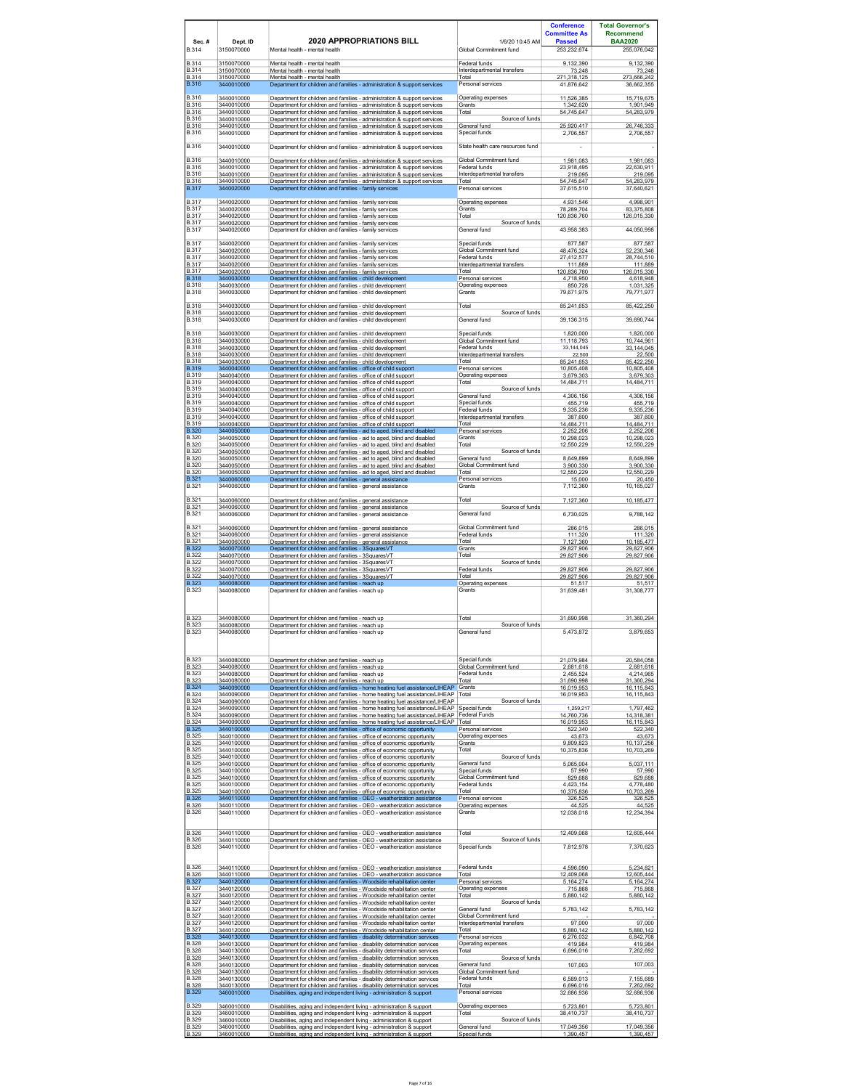| Sec.#<br><b>B.314</b>        | Dept. ID<br>3150070000   | <b>2020 APPROPRIATIONS BILL</b><br>Mental health - mental health                                                                                               | 1/6/20 10:45 AM<br>Global Commitment fund             | <b>Conference</b><br><b>Committee As</b><br><b>Passed</b><br>253,232,674 | <b>Total Governor's</b><br><b>Recommend</b><br><b>BAA2020</b><br>255,076,042 |
|------------------------------|--------------------------|----------------------------------------------------------------------------------------------------------------------------------------------------------------|-------------------------------------------------------|--------------------------------------------------------------------------|------------------------------------------------------------------------------|
| <b>B.314</b><br><b>B.314</b> | 3150070000<br>3150070000 | Mental health - mental health<br>Mental health - mental health                                                                                                 | Federal funds<br>Interdepartmental transfers          | 9.132.390<br>73,248                                                      | 9.132.390<br>73,248                                                          |
| <b>B.314</b><br><b>B.316</b> | 3150070000<br>3440010000 | Mental health - mental health<br>Department for children and families - administration & support services                                                      | Total<br>Personal services                            | 271.318.125                                                              | 273.666.242<br>36.662.355                                                    |
| <b>B.316</b>                 |                          |                                                                                                                                                                | Operating expenses                                    | 41,876,642                                                               |                                                                              |
| <b>B.316</b>                 | 3440010000<br>3440010000 | Department for children and families - administration & support services<br>Department for children and families - administration & support services           | Grants                                                | 11,526,385<br>1,342,620                                                  | 15,719,675<br>1,901,949                                                      |
| <b>B.316</b><br><b>B.316</b> | 3440010000<br>3440010000 | Department for children and families - administration & support services<br>Department for children and families - administration & support services           | Total<br>Source of funds                              | 54,745,647                                                               | 54,283,979                                                                   |
| <b>B.316</b><br><b>B.316</b> | 3440010000<br>3440010000 | Department for children and families - administration & support services<br>Department for children and families - administration & support services           | General fund<br>Special funds                         | 25.920.417<br>2,706,557                                                  | 26.746.333<br>2,706,557                                                      |
| <b>B.316</b>                 | 3440010000               | Department for children and families - administration & support services                                                                                       | State health care resources fund                      |                                                                          |                                                                              |
| <b>B.316</b>                 | 3440010000               | Department for children and families - administration & support services                                                                                       | Global Commitment fund                                | 1,981,083                                                                | 1,981,083                                                                    |
| <b>B.316</b><br><b>B.316</b> | 3440010000<br>3440010000 | Department for children and families - administration & support services<br>Department for children and families - administration & support services           | Federal funds<br>Interdepartmental transfers          | 23,918,495<br>219,095                                                    | 22,630,911<br>219,095                                                        |
| <b>B.316</b><br><b>B.317</b> | 3440010000<br>3440020000 | Department for children and families - administration & support services<br>Department for children and families - family services                             | Total<br>Personal services                            | 54,745,647<br>37,615,510                                                 | 54,283,979<br>37,640,621                                                     |
| <b>B.317</b>                 | 3440020000               |                                                                                                                                                                |                                                       | 4,931,546                                                                | 4,998,901                                                                    |
| <b>B.317</b>                 | 3440020000               | Department for children and families - family services<br>Department for children and families - family services                                               | Operating expenses<br>Grants                          | 78,289,704                                                               | 83,375,808                                                                   |
| <b>B.317</b><br><b>B.317</b> | 3440020000<br>3440020000 | Department for children and families - family services<br>Department for children and families - family services                                               | Total<br>Source of funds                              | 120.836.760                                                              | 126,015,330                                                                  |
| <b>B.317</b>                 | 3440020000               | Department for children and families - family services                                                                                                         | General fund                                          | 43,958,383                                                               | 44,050,998                                                                   |
| B 317<br><b>B.317</b>        | 3440020000<br>3440020000 | Department for children and families - family services<br>Department for children and families - family services                                               | Special funds<br>Global Commitment fund               | 877,587<br>48.476.324                                                    | 877,587<br>52.230.346                                                        |
| <b>B.317</b><br><b>B.317</b> | 3440020000<br>3440020000 | Department for children and families - family services<br>Department for children and families - family services                                               | Federal funds<br>Interdepartmental transfers          | 27,412,577<br>111,889                                                    | 28,744,510<br>111,889                                                        |
| <b>B.317</b><br>B 318        | 3440020000<br>3440030000 | Department for children and families - family services<br>Department for children and families - child development                                             | Total<br>Personal services                            | 120.836.760<br>4,718,950                                                 | 126,015,330<br>4,618,948                                                     |
| <b>B.318</b><br><b>B.318</b> | 3440030000<br>3440030000 | Department for children and families - child development<br>Department for children and families - child development                                           | Operating expenses<br>Grants                          | 850,728                                                                  | 1,031,325                                                                    |
|                              |                          |                                                                                                                                                                |                                                       | 79,671,975                                                               | 79,771,977                                                                   |
| B.318<br><b>B.318</b>        | 3440030000<br>3440030000 | Department for children and families - child development<br>Department for children and families - child development                                           | Total<br>Source of funds                              | 85,241,653                                                               | 85,422,250                                                                   |
| <b>B.318</b>                 | 3440030000               | Department for children and families - child development                                                                                                       | General fund                                          | 39,136,315                                                               | 39,690,744                                                                   |
| <b>B.318</b><br><b>B.318</b> | 3440030000<br>3440030000 | Department for children and families - child development<br>Department for children and families - child development                                           | Special funds<br>Global Commitment fund               | 1,820,000<br>11,118,793                                                  | 1,820,000<br>10,744,961                                                      |
| <b>B.318</b><br><b>B.318</b> | 3440030000<br>3440030000 | Department for children and families - child development<br>Department for children and families - child development                                           | Federal funds<br>Interdepartmental transfers          | 33,144,045<br>22,500                                                     | 33,144,045<br>22,500                                                         |
| <b>B.318</b><br><b>B.319</b> | 3440030000<br>3440040000 | Department for children and families - child development<br>Department for children and families - office of child support                                     | Total<br>Personal services                            | 85.241.653<br>10.805.408                                                 | 85.422.250<br>10,805,408                                                     |
| <b>B.319</b>                 | 3440040000               | Department for children and families - office of child support                                                                                                 | Operating expenses                                    | 3,679,303                                                                | 3,679,303                                                                    |
| <b>B.319</b><br><b>B.319</b> | 3440040000<br>3440040000 | Department for children and families - office of child support<br>Department for children and families - office of child support                               | Total<br>Source of funds                              | 14,484,711                                                               | 14,484,711                                                                   |
| <b>B.319</b><br><b>B.319</b> | 3440040000<br>3440040000 | Department for children and families - office of child support<br>Department for children and families - office of child support                               | General fund<br>Special funds                         | 4,306,156<br>455,719                                                     | 4,306,156<br>455,719                                                         |
| <b>B.319</b><br><b>B.319</b> | 3440040000<br>3440040000 | Department for children and families - office of child support<br>Department for children and families - office of child support                               | Federal funds<br>Interdepartmental transfers          | 9.335.236<br>387,600                                                     | 9.335.236<br>387,600                                                         |
| <b>B.319</b><br><b>B.320</b> | 3440040000<br>3440050000 | Department for children and families - office of child support<br>Department for children and families - aid to aged, blind and disabled                       | Total<br>Personal services                            | 14.484.711<br>2,252,206                                                  | 14.484.711<br>2,252,206                                                      |
| <b>B.320</b><br><b>B.320</b> | 3440050000<br>3440050000 | Department for children and families - aid to aged, blind and disabled                                                                                         | Grants<br>Total                                       | 10,298,023                                                               | 10,298,023                                                                   |
| <b>B.320</b>                 | 3440050000               | Department for children and families - aid to aged, blind and disabled<br>Department for children and families - aid to aged, blind and disabled               | Source of funds                                       | 12,550,229                                                               | 12,550,229                                                                   |
| <b>B.320</b><br><b>B.320</b> | 3440050000<br>3440050000 | Department for children and families - aid to aged, blind and disabled<br>Department for children and families - aid to aged, blind and disabled               | General fund<br>Global Commitment fund                | 8,649,899<br>3,900,330                                                   | 8,649,899<br>3,900,330                                                       |
| B 320<br><b>B.321</b>        | 3440050000<br>3440060000 | Department for children and families - aid to aged. blind and disabled<br>Department for children and families - general assistance                            | Total<br>Personal services                            | 12.550.229<br>15,000                                                     | 12.550.229<br>20,450                                                         |
| B.321                        | 3440060000               | Department for children and families - general assistance                                                                                                      | Grants                                                | 7,112,360                                                                | 10,165,027                                                                   |
| <b>B.321</b><br>B.321        | 3440060000<br>3440060000 | Department for children and families - general assistance<br>Department for children and families - general assistance                                         | Total<br>Source of funds                              | 7,127,360                                                                | 10,185,477                                                                   |
| <b>B.321</b>                 | 3440060000               | Department for children and families - general assistance                                                                                                      | General fund                                          | 6,730,025                                                                | 9,788,142                                                                    |
| <b>B.321</b>                 | 3440060000               | Department for children and families - general assistance                                                                                                      | Global Commitment fund                                | 286,015                                                                  | 286,015                                                                      |
| <b>B.321</b><br><b>B.321</b> | 3440060000<br>3440060000 | Department for children and families - general assistance<br>Department for children and families - general assistance                                         | Federal funds<br>Total                                | 111.320<br>7.127.360                                                     | 111.320<br>10,185,477                                                        |
| B 322<br><b>B.322</b>        | 3440070000<br>3440070000 | Department for children and families - 3SquaresVT<br>Department for children and families - 3SquaresVT                                                         | Grants<br>Total                                       | 29,827,906<br>29,827,906                                                 | 29,827,906<br>29,827,906                                                     |
| <b>B.322</b><br><b>B.322</b> | 3440070000<br>3440070000 | Department for children and families - 3SquaresVT<br>Department for children and families - 3SquaresVT                                                         | Source of funds<br>Federal funds                      | 29,827,906                                                               | 29,827,906                                                                   |
| <b>B.322</b><br><b>B.323</b> | 3440070000<br>3440080000 | Department for children and families - 3SquaresVT<br>Department for children and families - reach up                                                           | Total<br>Operating expenses                           | 29,827,906<br>51.517                                                     | 29,827,906<br>51.517                                                         |
| <b>B.323</b>                 | 3440080000               | Department for children and families - reach up                                                                                                                | Grants                                                | 31,639,481                                                               | 31,308,777                                                                   |
| <b>B.323</b><br><b>B.323</b> | 3440080000<br>3440080000 | Department for children and families - reach up<br>Department for children and families - reach up                                                             | Total<br>Source of funds                              | 31,690,998                                                               | 31,360,294                                                                   |
| <b>B.323</b>                 | 3440080000               | Department for children and families - reach up                                                                                                                | General fund                                          | 5.473.872                                                                | 3.879.653                                                                    |
|                              |                          |                                                                                                                                                                |                                                       |                                                                          |                                                                              |
| <b>B.323</b>                 | 3440080000               | Department for children and families - reach up                                                                                                                | Special funds                                         | 21,079,984                                                               | 20,584,058                                                                   |
| <b>B.323</b><br><b>B.323</b> | 3440080000<br>3440080000 | Department for children and families - reach up<br>Department for children and families - reach up                                                             | Global Commitment fund<br>Federal funds               | 2.681.618<br>2.455.524                                                   | 2.681.618<br>4,214,965                                                       |
| <b>B.323</b><br><b>B.324</b> | 3440080000<br>3440090000 | Department for children and families - reach up<br>Department for children and families - home heating fuel assistance/LIHEAP Grants                           | Total                                                 | 31,690,998<br>16,019,953                                                 | 31,360,294<br>16,115,843                                                     |
| <b>B.324</b><br><b>B.324</b> | 3440090000<br>3440090000 | Department for children and families - home heating fuel assistance/LIHEAP<br>Department for children and families - home heating fuel assistance/LIHEAP       | Total<br>Source of funds                              | 16,019,953                                                               | 16,115,843                                                                   |
| <b>B.324</b><br><b>B.324</b> | 3440090000               | Department for children and families - home heating fuel assistance/LIHEAP                                                                                     | Special funds<br><b>Federal Funds</b>                 | 1,259,217                                                                | 1,797,462                                                                    |
| <b>B.324</b>                 | 3440090000<br>3440090000 | Department for children and families - home heating fuel assistance/LIHEAP<br>Department for children and families - home heating fuel assistance/LIHEAP Total |                                                       | 14.760.736<br>16,019,953                                                 | 14.318.381<br>16,115,843                                                     |
| <b>B.325</b><br><b>B.325</b> | 3440100000<br>3440100000 | Department for children and families - office of economic opportunity<br>Department for children and families - office of economic opportunity                 | Personal services<br>Operating expenses               | 522 340<br>43,673                                                        | 522.340<br>43,673                                                            |
| <b>B.325</b><br><b>B.325</b> | 3440100000<br>3440100000 | Department for children and families - office of economic opportunity<br>Department for children and families - office of economic opportunity                 | Grants<br>Total                                       | 9,809,823<br>10,375,836                                                  | 10,137,256<br>10,703,269                                                     |
| <b>B.325</b><br><b>B.325</b> | 3440100000<br>3440100000 | Department for children and families - office of economic opportunity<br>Department for children and families - office of economic opportunity                 | Source of funds<br>General fund                       | 5,065,004                                                                | 5,037,111                                                                    |
| <b>B.325</b><br><b>B.325</b> | 3440100000<br>3440100000 | Department for children and families - office of economic opportunity<br>Department for children and families - office of economic opportunity                 | Special funds<br>Global Commitment fund               | 57,990<br>829.688                                                        | 57,990<br>829.688                                                            |
| <b>B.325</b><br><b>B.325</b> | 3440100000               | Department for children and families - office of economic opportunity                                                                                          | Federal funds<br>Total                                | 4,423,154                                                                | 4,778,480                                                                    |
| <b>B.326</b>                 | 3440100000<br>3440110000 | Department for children and families - office of economic opportunity<br>Department for children and families - OEO - weatherization assistance                | Personal services                                     | 10.375.836<br>326,525                                                    | 10.703.269<br>326,525                                                        |
| <b>B.326</b><br><b>B.326</b> | 3440110000<br>3440110000 | Department for children and families - OEO - weatherization assistance<br>Department for children and families - OEO - weatherization assistance               | Operating expenses<br>Grants                          | 44,525<br>12,038,018                                                     | 44,525<br>12,234,394                                                         |
| <b>B.326</b><br><b>B.326</b> | 3440110000<br>3440110000 | Department for children and families - OEO - weatherization assistance<br>Department for children and families - OEO - weatherization assistance               | Total<br>Source of funds                              | 12,409,068                                                               | 12,605,444                                                                   |
| <b>B.326</b>                 | 3440110000               | Department for children and families - OEO - weatherization assistance                                                                                         | Special funds                                         | 7,812,978                                                                | 7,370,623                                                                    |
|                              |                          |                                                                                                                                                                |                                                       |                                                                          |                                                                              |
| <b>B.326</b><br><b>B.326</b> | 3440110000<br>3440110000 | Department for children and families - OEO - weatherization assistance<br>Department for children and families - OEO - weatherization assistance               | Federal funds<br>Total                                | 4.596.090<br>12,409,068                                                  | 5,234,821<br>12,605,444                                                      |
| <b>B.327</b><br><b>B.327</b> | 3440120000<br>3440120000 | Department for children and families - Woodside rehabilitation center<br>Department for children and families - Woodside rehabilitation center                 | Personal services<br>Operating expenses               | 5,164,274<br>715.868                                                     | 5,164,274<br>715.868                                                         |
| <b>B.327</b><br><b>B.327</b> | 3440120000<br>3440120000 | Department for children and families - Woodside rehabilitation center<br>Department for children and families - Woodside rehabilitation center                 | Total<br>Source of funds                              | 5,880,142                                                                | 5,880,142                                                                    |
| <b>B.327</b>                 | 3440120000               | Department for children and families - Woodside rehabilitation center                                                                                          | General fund                                          | 5,783,142                                                                | 5,783,142                                                                    |
| <b>B.327</b><br><b>B.327</b> | 3440120000<br>3440120000 | Department for children and families - Woodside rehabilitation center<br>Department for children and families - Woodside rehabilitation center                 | Global Commitment fund<br>Interdepartmental transfers | 97,000                                                                   | 97.000                                                                       |
| <b>B.327</b><br><b>B.328</b> | 3440120000<br>3440130000 | Department for children and families - Woodside rehabilitation center<br>Department for children and families - disability determination services              | Total<br>Personal services                            | 5,880,142<br>6,276,032                                                   | 5,880,142<br>6,842,708                                                       |
| <b>B.328</b><br><b>B.328</b> | 3440130000<br>3440130000 | Department for children and families - disability determination services<br>Department for children and families - disability determination services           | Operating expenses<br>Total                           | 419.984<br>6.696.016                                                     | 419.984<br>7.262.692                                                         |
| <b>B.328</b><br><b>B.328</b> | 3440130000<br>3440130000 | Department for children and families - disability determination services<br>Department for children and families - disability determination services           | Source of funds<br>General fund                       | 107.003                                                                  | 107,003                                                                      |
| <b>B.328</b>                 | 3440130000               | Department for children and families - disability determination services                                                                                       | Global Commitment fund                                | 6.589.013                                                                |                                                                              |
| <b>B.328</b><br><b>B.328</b> | 3440130000<br>3440130000 | Department for children and families - disability determination services<br>Department for children and families - disability determination services           | Federal funds<br>Total                                | 6,696,016                                                                | 7,155,689<br>7,262,692                                                       |
| <b>B.329</b>                 | 3460010000               | Disabilities, aging and independent living - administration & support                                                                                          | Personal services                                     | 32,686,936                                                               | 32,686,936                                                                   |
| <b>B.329</b><br>B.329        | 3460010000<br>3460010000 | Disabilities, aging and independent living - administration & support<br>Disabilities. aging and independent living - administration & support                 | Operating expenses<br>Total                           | 5,723,801<br>38.410.737                                                  | 5,723,801<br>38.410.737                                                      |
| <b>B.329</b><br><b>B.329</b> | 3460010000<br>3460010000 | Disabilities, aging and independent living - administration & support<br>Disabilities, aging and independent living - administration & support                 | Source of funds<br>General fund                       | 17.049.356                                                               | 17,049,356                                                                   |
| B.329                        | 3460010000               | Disabilities, aging and independent living - administration & support                                                                                          | Special funds                                         | 1.390.457                                                                | 1.390.457                                                                    |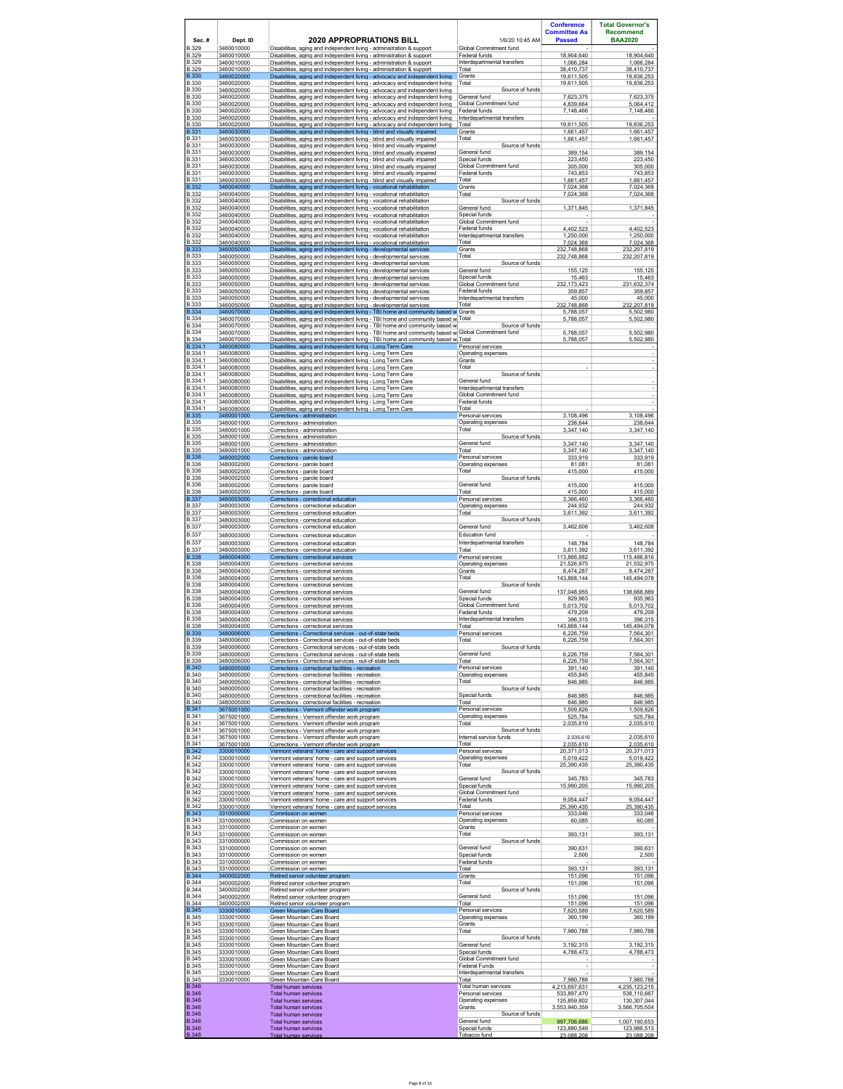|                                              |                                        |                                                                                                                                                                                                                              |                                                                 | <b>Conference</b><br><b>Committee As</b>    | <b>Total Governor's</b><br><b>Recommend</b> |
|----------------------------------------------|----------------------------------------|------------------------------------------------------------------------------------------------------------------------------------------------------------------------------------------------------------------------------|-----------------------------------------------------------------|---------------------------------------------|---------------------------------------------|
| Sec.#<br><b>B.329</b>                        | Dept. ID                               | 2020 APPROPRIATIONS BILL                                                                                                                                                                                                     | 1/6/20 10:45 AM<br>Global Commitment fund                       | <b>Passed</b>                               | <b>BAA2020</b>                              |
| <b>B.329</b><br><b>B.329</b>                 | 3460010000<br>3460010000<br>3460010000 | Disabilities. aging and independent living - administration & support<br>Disabilities, aging and independent living - administration & support<br>Disabilities, aging and independent living - administration & support      | Federal funds<br>Interdepartmental transfers                    | 18,904,640<br>1,066,284                     | 18,904,640<br>1,066,284                     |
| <b>B.329</b><br><b>B.330</b>                 | 3460010000<br>3460020000               | Disabilities, aging and independent living - administration & support<br>Disabilities, aging and independent living - advocacy and independent living                                                                        | Total<br>Grants                                                 | 38,410,737<br>19,611,505                    | 38,410,737<br>19.836.253                    |
| <b>B.330</b><br><b>B.330</b>                 | 3460020000<br>3460020000               | Disabilities, aging and independent living - advocacy and independent living<br>Disabilities, aging and independent living - advocacy and independent living                                                                 | Total<br>Source of funds                                        | 19,611,505                                  | 19,836,253                                  |
| <b>B.330</b><br><b>B.330</b>                 | 3460020000<br>3460020000               | Disabilities. aging and independent living - advocacy and independent living<br>Disabilities, aging and independent living - advocacy and independent living                                                                 | General fund<br>Global Commitment fund                          | 7.623.375<br>4,839,664                      | 7.623.375<br>5,064,412                      |
| <b>B.330</b><br><b>B.330</b>                 | 3460020000<br>3460020000               | Disabilities. aging and independent living - advocacy and independent living<br>Disabilities, aging and independent living - advocacy and independent living                                                                 | Federal funds<br>Interdepartmental transfers                    | 7.148.466                                   | 7.148.466                                   |
| <b>B.330</b><br><b>B.331</b>                 | 3460020000<br>3460030000               | Disabilities, aging and independent living - advocacy and independent living<br>Disabilities, aging and independent living - blind and visually impaired                                                                     | Total<br>Grants                                                 | 19,611,505<br>1.661.457                     | 19,836,253<br>1,661,457                     |
| <b>B.331</b><br><b>B.331</b>                 | 3460030000<br>3460030000               | Disabilities, aging and independent living - blind and visually impaired<br>Disabilities, aging and independent living - blind and visually impaired                                                                         | Total<br>Source of funds                                        | 1,661,457                                   | 1,661,457                                   |
| <b>B.331</b><br><b>B.331</b>                 | 3460030000<br>3460030000               | Disabilities, aging and independent living - blind and visually impaired<br>Disabilities. aging and independent living - blind and visually impaired                                                                         | General fund<br>Special funds<br>Global Commitment fund         | 389,154<br>223.450                          | 389,154<br>223.450                          |
| <b>B.331</b><br><b>B.331</b><br><b>B.331</b> | 3460030000<br>3460030000               | Disabilities, aging and independent living - blind and visually impaired<br>Disabilities, aging and independent living - blind and visually impaired                                                                         | Federal funds<br>Total                                          | 305,000<br>743.853<br>1,661,457             | 305,000<br>743.853<br>1,661,457             |
| <b>B.332</b><br><b>B.332</b>                 | 3460030000<br>3460040000<br>3460040000 | Disabilities, aging and independent living - blind and visually impaired<br>Disabilities, aging and independent living - vocational rehabilitation<br>Disabilities, aging and independent living - vocational rehabilitation | Grants<br>Total                                                 | 7,024,368<br>7,024,368                      | 7,024,368<br>7,024,368                      |
| <b>B.332</b><br><b>B.332</b>                 | 3460040000<br>3460040000               | Disabilities, aging and independent living - vocational rehabilitation<br>Disabilities. aging and independent living - vocational rehabilitation                                                                             | Source of funds<br>General fund                                 | 1.371.845                                   | 1.371.845                                   |
| <b>B.332</b><br><b>B.332</b>                 | 3460040000<br>3460040000               | Disabilities, aging and independent living - vocational rehabilitation<br>Disabilities. aging and independent living - vocational rehabilitation                                                                             | Special funds<br>Global Commitment fund                         |                                             |                                             |
| <b>B.332</b><br><b>B.332</b>                 | 3460040000<br>3460040000               | Disabilities, aging and independent living - vocational rehabilitation<br>Disabilities, aging and independent living - vocational rehabilitation                                                                             | Federal funds<br>Interdepartmental transfers                    | 4.402.523<br>1,250,000                      | 4,402,523<br>1,250,000                      |
| <b>B.332</b><br><b>B.333</b>                 | 3460040000<br>3460050000               | Disabilities, aging and independent living - vocational rehabilitation<br>Disabilities, aging and independent living - developmental services                                                                                | Total<br>Grants                                                 | 7,024,368<br>232.748.868                    | 7,024,368<br>232.207.819                    |
| <b>B.333</b><br><b>B.333</b><br><b>B.333</b> | 3460050000<br>3460050000<br>3460050000 | Disabilities, aging and independent living - developmental services<br>Disabilities, aging and independent living - developmental services                                                                                   | Total<br>Source of funds<br>General fund                        | 232,748,868                                 | 232,207,819                                 |
| <b>B.333</b><br><b>B.333</b>                 | 3460050000<br>3460050000               | Disabilities. aging and independent living - developmental services<br>Disabilities, aging and independent living - developmental services<br>Disabilities. aging and independent living - developmental services            | Special funds<br>Global Commitment fund                         | 155.125<br>15,463<br>232.173.423            | 155.125<br>15,463<br>231.632.374            |
| <b>B.333</b><br><b>B.333</b>                 | 3460050000<br>3460050000               | Disabilities, aging and independent living - developmental services<br>Disabilities, aging and independent living - developmental services                                                                                   | Federal funds<br>Interdepartmental transfers                    | 359,857<br>45,000                           | 359,857<br>45,000                           |
| <b>B.333</b><br>B 334                        | 3460050000<br>3460070000               | Disabilities, aging and independent living - developmental services<br>Disabilities, aging and independent living - TBI home and community based w Grants                                                                    | Total                                                           | 232,748,868<br>5,788,057                    | 232,207,819<br>5,502,980                    |
| <b>B.334</b><br><b>B.334</b>                 | 3460070000<br>3460070000               | Disabilities, aging and independent living - TBI home and community based w Total<br>Disabilities, aging and independent living - TBI home and community based w                                                             | Source of funds                                                 | 5,788,057                                   | 5,502,980                                   |
| <b>B.334</b><br><b>B.334</b>                 | 3460070000<br>3460070000               | Disabilities. aging and independent living - TBI home and community based w Global Commitment fund<br>Disabilities, aging and independent living - TBI home and community based w Total                                      |                                                                 | 5.788.057<br>5,788,057                      | 5.502.980<br>5,502,980                      |
| B.334.1<br>B.334.1                           | 3460080000<br>3460080000               | Disabilities, aging and independent living - Long Term Care<br>Disabilities, aging and independent living - Long Term Care                                                                                                   | Personal services<br>Operating expenses                         |                                             |                                             |
| B.334.1<br>B.334.1                           | 3460080000<br>3460080000               | Disabilities, aging and independent living - Long Term Care<br>Disabilities, aging and independent living - Long Term Care                                                                                                   | Grants<br>Total                                                 |                                             |                                             |
| B.334.1<br>B.334.1<br>B 334 1                | 3460080000<br>3460080000               | Disabilities, aging and independent living - Long Term Care<br>Disabilities. aging and independent living - Long Term Care                                                                                                   | Source of funds<br>General fund<br>Interdepartmental transfers  |                                             |                                             |
| B.334.1<br>B.334.1                           | 3460080000<br>3460080000<br>3460080000 | Disabilities, aging and independent living - Long Term Care<br>Disabilities. aging and independent living - Long Term Care<br>Disabilities, aging and independent living - Long Term Care                                    | Global Commitment fund<br>Federal funds                         |                                             |                                             |
| B.334.1<br><b>B.335</b>                      | 3460080000<br>3480001000               | Disabilities, aging and independent living - Long Term Care<br>Corrections - administration                                                                                                                                  | Total<br>Personal services                                      | 3,108,496                                   | 3,108,496                                   |
| <b>B.335</b><br><b>B.335</b>                 | 3480001000<br>3480001000               | Corrections - administration<br>Corrections - administration                                                                                                                                                                 | Operating expenses<br>Total                                     | 238.644<br>3,347,140                        | 238.644<br>3,347,140                        |
| <b>B.335</b><br><b>B.335</b>                 | 3480001000<br>3480001000               | Corrections - administration<br>Corrections - administration                                                                                                                                                                 | Source of funds<br>General fund                                 | 3.347.140                                   | 3.347.140                                   |
| <b>B.335</b><br><b>B.336</b>                 | 3480001000<br>3480002000               | Corrections - administration<br>Corrections - parole board                                                                                                                                                                   | Total<br>Personal services                                      | 3,347,140<br>333.919                        | 3,347,140<br>333.919                        |
| <b>B.336</b><br><b>B.336</b>                 | 3480002000<br>3480002000               | Corrections - parole board<br>Corrections - parole board                                                                                                                                                                     | Operating expenses<br>Total                                     | 81,081<br>415,000                           | 81,081<br>415,000                           |
| <b>B.336</b><br><b>B.336</b>                 | 3480002000<br>3480002000               | Corrections - parole board<br>Corrections - parole board                                                                                                                                                                     | Source of funds<br>General fund                                 | 415,000                                     | 415,000                                     |
| <b>B.336</b><br><b>B.337</b><br><b>B.337</b> | 3480002000<br>3480003000<br>3480003000 | Corrections - parole board<br>Corrections - correctional education<br>Corrections - correctional education                                                                                                                   | Total<br>Personal services<br>Operating expenses                | 415,000<br>3.366.460<br>244.932             | 415,000<br>3.366.460<br>244.932             |
| <b>B.337</b><br><b>B.337</b>                 | 3480003000<br>3480003000               | Corrections - correctional education<br>Corrections - correctional education                                                                                                                                                 | Total<br>Source of funds                                        | 3,611,392                                   | 3,611,392                                   |
| <b>B.337</b><br><b>B.337</b>                 | 3480003000<br>3480003000               | Corrections - correctional education<br>Corrections - correctional education                                                                                                                                                 | General fund<br>Education fund                                  | 3,462,608                                   | 3,462,608                                   |
| <b>B.337</b><br><b>B.337</b>                 | 3480003000<br>3480003000               | Corrections - correctional education<br>Corrections - correctional education                                                                                                                                                 | Interdepartmental transfers<br>Total                            | 148,784<br>3,611,392                        | 148,784<br>3,611,392                        |
| <b>B.338</b><br><b>B.338</b>                 | 3480004000<br>3480004000               | Corrections - correctional services<br>Corrections - correctional services                                                                                                                                                   | Personal services<br>Operating expenses                         | 113,866,882<br>21,526,975                   | 115,486,816<br>21,532,975                   |
| <b>B.338</b><br><b>B.338</b>                 | 3480004000<br>3480004000               | Corrections - correctional services<br>Corrections - correctional services                                                                                                                                                   | Grants<br>Total                                                 | 8.474.287<br>143,868,144                    | 8.474.287<br>145,494,078                    |
| <b>B.338</b><br><b>B.338</b>                 | 3480004000<br>3480004000               | Corrections - correctional services<br>Corrections - correctional services                                                                                                                                                   | Source of funds<br>General fund                                 | 137,048,955                                 | 138,668,889                                 |
| <b>B.338</b><br><b>B.338</b><br><b>B.338</b> | 3480004000<br>3480004000<br>3480004000 | Corrections - correctional services<br>Corrections - correctional services                                                                                                                                                   | Special funds<br>Global Commitment fund<br>Federal funds        | 929,963<br>5,013,702<br>479.209             | 935,963<br>5,013,702<br>479 209             |
| <b>B.338</b><br><b>B.338</b>                 | 3480004000<br>3480004000               | Corrections - correctional services<br>Corrections - correctional services<br>Corrections - correctional services                                                                                                            | Interdepartmental transfers<br>Total                            | 396,315<br>143,868,144                      | 396,315<br>145,494,078                      |
| <b>B.339</b><br><b>B.339</b>                 | 3480006000<br>3480006000               | Corrections - Correctional services - out-of-state beds<br>Corrections - Correctional services - out-of-state beds                                                                                                           | Personal services<br>Total                                      | 6.226.759<br>6,226,759                      | 7.564.301<br>7,564,301                      |
| <b>B.339</b><br><b>B.339</b>                 | 3480006000<br>3480006000               | Corrections - Correctional services - out-of-state beds<br>Corrections - Correctional services - out-of-state beds                                                                                                           | Source of funds<br>General fund                                 | 6,226,759                                   | 7,564,301                                   |
| <b>B.339</b><br><b>B.340</b>                 | 3480006000<br>3480005000               | Corrections - Correctional services - out-of-state beds<br>Corrections - correctional facilities - recreation                                                                                                                | Total<br>Personal services                                      | 6,226,759<br>391,140                        | 7,564,301<br>391,140                        |
| <b>B.340</b><br><b>B.340</b>                 | 3480005000<br>3480005000               | Corrections - correctional facilities - recreation<br>Corrections - correctional facilities - recreation                                                                                                                     | Operating expenses<br>Total                                     | 455,845<br>846,985                          | 455,845<br>846,985                          |
| <b>B.340</b><br><b>B.340</b>                 | 3480005000<br>3480005000               | Corrections - correctional facilities - recreation<br>Corrections - correctional facilities - recreation                                                                                                                     | Source of funds<br>Special funds                                | 846.985                                     | 846.985                                     |
| <b>B.340</b><br><b>B.341</b><br><b>B.341</b> | 3480005000<br>3675001000               | Corrections - correctional facilities - recreation<br>Corrections - Vermont offender work program                                                                                                                            | Total<br>Personal services                                      | 846,985<br>1,509,826<br>525,784             | 846,985<br>1.509.826                        |
| <b>B.341</b><br><b>B.341</b>                 | 3675001000<br>3675001000<br>3675001000 | Corrections - Vermont offender work program<br>Corrections - Vermont offender work program<br>Corrections - Vermont offender work program                                                                                    | Operating expenses<br>Total<br>Source of funds                  | 2,035,610                                   | 525,784<br>2,035,610                        |
| <b>B.341</b><br><b>B.341</b>                 | 3675001000<br>3675001000               | Corrections - Vermont offender work program<br>Corrections - Vermont offender work program                                                                                                                                   | Internal service funds<br>Total                                 | 2,035,610<br>2035610                        | 2,035,610<br>2.035.610                      |
| <b>B.342</b><br><b>B.342</b>                 | 3300010000<br>3300010000               | Vermont veterans' home - care and support services<br>Vermont veterans' home - care and support services                                                                                                                     | Personal services<br>Operating expenses                         | 20,371,013<br>5.019.422                     | 20,371,013<br>5.019.422                     |
| <b>B.342</b><br><b>B.342</b>                 | 3300010000<br>3300010000               | Vermont veterans' home - care and support services<br>Vermont veterans' home - care and support services                                                                                                                     | Total<br>Source of funds                                        | 25,390,435                                  | 25,390,435                                  |
| <b>B.342</b><br><b>B.342</b>                 | 3300010000<br>3300010000               | Vermont veterans' home - care and support services<br>Vermont veterans' home - care and support services                                                                                                                     | General fund<br>Special funds                                   | 345,783<br>15.990.205                       | 345,783<br>15,990,205                       |
| <b>B.342</b><br><b>B.342</b><br><b>B.342</b> | 3300010000<br>3300010000               | Vermont veterans' home - care and support services<br>Vermont veterans' home - care and support services                                                                                                                     | Global Commitment fund<br>Federal funds<br>Total                | 9,054,447                                   | 9,054,447<br>25.390.435                     |
| <b>B.343</b><br><b>B.343</b>                 | 3300010000<br>3310000000<br>3310000000 | Vermont veterans' home - care and support services<br>Commission on women<br>Commission on women                                                                                                                             | Personal services<br>Operating expenses                         | 25.390.435<br>333,046<br>60.085             | 333,046<br>60.085                           |
| <b>B.343</b><br><b>B.343</b>                 | 3310000000<br>3310000000               | Commission on women<br>Commission on women                                                                                                                                                                                   | Grants<br>Total                                                 | 393,131                                     | 393,131                                     |
| <b>B.343</b><br><b>B.343</b>                 | 3310000000<br>3310000000               | Commission on women<br>Commission on women                                                                                                                                                                                   | Source of funds<br>General fund                                 | 390,631                                     | 390,631                                     |
| <b>B.343</b><br><b>B.343</b>                 | 3310000000<br>3310000000               | Commission on women<br>Commission on women                                                                                                                                                                                   | Special funds<br>Federal funds                                  | 2,500                                       | 2,500                                       |
| <b>B.343</b><br><b>B.344</b>                 | 3310000000<br>3400002000               | Commission on women<br>Retired senior volunteer program                                                                                                                                                                      | Total<br>Grants                                                 | 393.131<br>151,096                          | 393.131<br>151,096                          |
| <b>B.344</b><br><b>B.344</b><br><b>B.344</b> | 3400002000<br>3400002000<br>3400002000 | Retired senior volunteer program<br>Retired senior volunteer program<br>Retired senior volunteer program                                                                                                                     | Total<br>Source of funds<br>General fund                        | 151,096<br>151,096                          | 151,096<br>151,096                          |
| <b>B.344</b><br><b>B.345</b>                 | 3400002000<br>3330010000               | Retired senior volunteer program<br>Green Mountain Care Board                                                                                                                                                                | Total<br>Personal services                                      | 151.096<br>7,620,589                        | 151,096<br>7,620,589                        |
| <b>B.345</b><br><b>B.345</b>                 | 3330010000<br>3330010000               | Green Mountain Care Board<br>Green Mountain Care Board                                                                                                                                                                       | Operating expenses<br>Grants                                    | 360.199                                     | 360.199                                     |
| <b>B.345</b><br><b>B.345</b>                 | 3330010000<br>3330010000               | Green Mountain Care Board<br>Green Mountain Care Board                                                                                                                                                                       | Total<br>Source of funds                                        | 7.980.788                                   | 7.980.788                                   |
| <b>B.345</b><br><b>B.345</b>                 | 3330010000<br>3330010000               | Green Mountain Care Board<br>Green Mountain Care Board                                                                                                                                                                       | General fund<br>Special funds                                   | 3,192,315<br>4,788,473                      | 3,192,315<br>4,788,473                      |
| <b>B.345</b><br><b>B.345</b>                 | 3330010000<br>3330010000               | Green Mountain Care Board<br>Green Mountain Care Board                                                                                                                                                                       | Global Commitment fund<br>Federal Funds                         | ÷                                           |                                             |
| <b>B.345</b><br><b>B.345</b><br><b>B.346</b> | 3330010000<br>3330010000               | Green Mountain Care Board<br>Green Mountain Care Board                                                                                                                                                                       | Interdepartmental transfers<br>Total                            | 7.980.788                                   | 7.980.788                                   |
| <b>B.346</b><br><b>B.346</b>                 |                                        | Total human services<br><b>Total human services</b><br>Total human services                                                                                                                                                  | Total human services<br>Personal services<br>Operating expenses | 4,213,697,631<br>533.897.470<br>125,859,802 | 4,235,123,215<br>538.110.667<br>130,307,044 |
| <b>B.346</b><br><b>B.346</b>                 |                                        | Total human services<br><b>Total human services</b>                                                                                                                                                                          | Grants<br>Source of funds                                       | 3,553,940,359                               | 3,566,705,504                               |
| B.346<br><b>B.346</b>                        |                                        | Total human services<br><b>Total human services</b>                                                                                                                                                                          | General fund<br>Special funds                                   | 997,706,686<br>123,880,549                  | 1,007,190,653<br>123.986.513                |
| <b>B.346</b>                                 |                                        | <b>Total human services</b>                                                                                                                                                                                                  | Tobacco fund                                                    | 23.088.208                                  | 23.088.208                                  |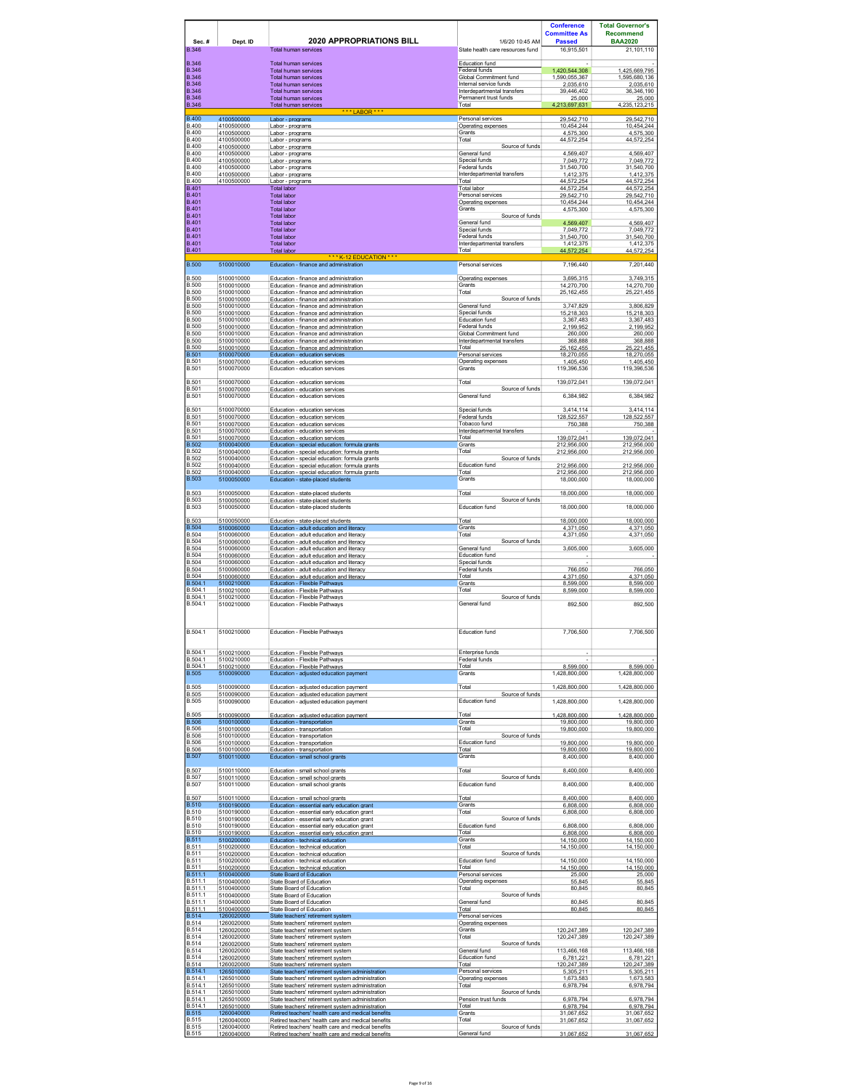|                                              |                                        |                                                                                                                                                          |                                                                        | <b>Conference</b><br><b>Committee As</b>    | <b>Total Governor's</b><br><b>Recommend</b> |
|----------------------------------------------|----------------------------------------|----------------------------------------------------------------------------------------------------------------------------------------------------------|------------------------------------------------------------------------|---------------------------------------------|---------------------------------------------|
| Sec.#<br><b>B.346</b>                        | Dept. ID                               | <b>2020 APPROPRIATIONS BILL</b><br><b>Total human services</b>                                                                                           | 1/6/20 10:45 AM<br>State health care resources fund                    | <b>Passed</b><br>16,915,501                 | <b>BAA2020</b><br>21,101,110                |
| <b>B.346</b><br><b>B.346</b>                 |                                        | Total human services                                                                                                                                     | <b>Education fund</b>                                                  |                                             |                                             |
| <b>B.346</b><br><b>B.346</b>                 |                                        | Total human services<br>Total human services<br>Total human services                                                                                     | Federal funds<br>Global Commitment fund<br>Internal service funds      | 1,420,544,308<br>1.590.055.367<br>2,035,610 | 1,425,669,795<br>1.595.680.136<br>2,035,610 |
| <b>B.346</b><br><b>B.346</b>                 |                                        | <b>Total human services</b><br>Total human services                                                                                                      | Interdepartmental transfers<br>Permanent trust funds                   | 39,446,402<br>25,000                        | 36,346,190<br>25,000                        |
| <b>B.346</b>                                 |                                        | <b>Total human services</b><br>***LABOR***                                                                                                               | Total                                                                  | 4,213,697,631                               | 4,235,123,215                               |
| <b>B.400</b><br><b>B.400</b><br><b>B.400</b> | 4100500000<br>4100500000<br>4100500000 | Labor - programs<br>Labor - programs<br>Labor - programs                                                                                                 | Personal services<br>Operating expenses<br>Grants                      | 29,542,710<br>10.454.244<br>4,575,300       | 29,542,710<br>10.454.244<br>4,575,300       |
| <b>B.400</b><br><b>B.400</b>                 | 4100500000<br>4100500000               | Labor - programs<br>Labor - programs                                                                                                                     | Total<br>Source of funds                                               | 44.572.254                                  | 44.572.254                                  |
| <b>B.400</b><br><b>B.400</b>                 | 4100500000<br>4100500000               | Labor - programs<br>Labor - programs                                                                                                                     | General fund<br>Special funds                                          | 4,569,407<br>7,049,772                      | 4,569,407<br>7,049,772                      |
| <b>B.400</b><br><b>B.400</b><br><b>B.400</b> | 4100500000<br>4100500000<br>4100500000 | Labor - programs<br>Labor - programs<br>Labor - programs                                                                                                 | Federal funds<br>Interdepartmental transfers<br>Total                  | 31,540,700<br>1,412,375<br>44,572,254       | 31,540,700<br>1,412,375<br>44,572,254       |
| <b>B.401</b><br><b>B.401</b>                 |                                        | <b>Total labor</b><br><b>Total labor</b>                                                                                                                 | Total labor<br>Personal services                                       | 44 572 254<br>29,542,710                    | 44.572.254<br>29,542,710                    |
| <b>B.401</b><br><b>B.401</b>                 |                                        | <b>Total labor</b><br><b>Total labor</b>                                                                                                                 | Operating expenses<br>Grants                                           | 10,454,244<br>4,575,300                     | 10,454,244<br>4,575,300                     |
| <b>B.401</b><br><b>B.401</b>                 |                                        | <b>Total labor</b><br><b>Total labor</b>                                                                                                                 | Source of funds<br>General fund                                        | 4.569.407                                   | 4,569,407                                   |
| <b>B.401</b><br><b>B.401</b><br><b>B.401</b> |                                        | <b>Total labor</b><br><b>Total labor</b><br><b>Total labor</b>                                                                                           | Special funds<br>Federal funds<br>Interdepartmental transfers          | 7,049,772<br>31.540.700<br>1.412.375        | 7,049,772<br>31.540.700<br>1,412,375        |
| <b>B.401</b>                                 |                                        | Total labor<br>*** K-12 EDUCATION ***                                                                                                                    | Total                                                                  | 44.572.254                                  | 44.572.254                                  |
| <b>B.500</b><br><b>B.500</b>                 | 5100010000<br>5100010000               | Education - finance and administration<br>Education - finance and administration                                                                         | Personal services<br>Operating expenses                                | 7,196,440<br>3,695,315                      | 7,201,440<br>3,749,315                      |
| <b>B.500</b><br><b>B.500</b>                 | 5100010000<br>5100010000               | Education - finance and administration<br>Education - finance and administration                                                                         | Grants<br>Total                                                        | 14,270,700<br>25, 162, 455                  | 14,270,700<br>25,221,455                    |
| <b>B.500</b><br><b>B.500</b>                 | 5100010000<br>5100010000               | Education - finance and administration<br>Education - finance and administration                                                                         | Source of funds<br>General fund                                        | 3,747,829                                   | 3,806,829                                   |
| <b>B.500</b><br><b>B.500</b>                 | 5100010000<br>5100010000               | Education - finance and administration<br>Education - finance and administration                                                                         | Special funds<br>Education fund                                        | 15.218.303<br>3 367 483                     | 15.218.303<br>3.367.483                     |
| <b>B.500</b><br><b>B.500</b><br><b>B.500</b> | 5100010000<br>5100010000<br>5100010000 | Education - finance and administration<br>Education - finance and administration<br>Education - finance and administration                               | Federal funds<br>Global Commitment fund<br>Interdepartmental transfers | 2,199,952<br>260,000<br>368,888             | 2,199,952<br>260,000<br>368,888             |
| <b>B.500</b><br><b>B.501</b>                 | 5100010000<br>5100070000               | Education - finance and administration<br>Education - education services                                                                                 | Total<br>Personal services                                             | 25,162,455<br>18,270,055                    | 25,221,455<br>18,270,055                    |
| <b>B.501</b><br><b>B.501</b>                 | 5100070000<br>5100070000               | Education - education services<br>Education - education services                                                                                         | Operating expenses<br>Grants                                           | 1.405.450<br>119,396,536                    | 1.405.450<br>119,396,536                    |
| <b>B.501</b><br><b>B.501</b>                 | 5100070000<br>5100070000               | Education - education services<br>Education - education services                                                                                         | Total<br>Source of funds                                               | 139,072,041                                 | 139,072,041                                 |
| <b>B.501</b>                                 | 5100070000                             | Education - education services                                                                                                                           | General fund                                                           | 6,384,982                                   | 6,384,982                                   |
| <b>B.501</b><br><b>B.501</b>                 | 5100070000<br>5100070000               | Education - education services<br>Education - education services                                                                                         | Special funds<br>Federal funds                                         | 3 4 1 4 1 1 4<br>128.522.557                | 3.414.114<br>128,522,557                    |
| <b>B.501</b><br><b>B.501</b><br><b>B.501</b> | 5100070000<br>5100070000<br>5100070000 | Education - education services<br>Education - education services<br>Education - education services                                                       | Tobacco fund<br>Interdepartmental transfers<br>Total                   | 750.388<br>139,072,041                      | 750.388<br>139,072,041                      |
| <b>B.502</b><br><b>B.502</b>                 | 5100040000<br>5100040000               | Education - special education: formula grants<br>Education - special education: formula grants                                                           | Grants<br>Total                                                        | 212,956,000<br>212,956,000                  | 212,956,000<br>212,956,000                  |
| <b>B.502</b><br><b>B.502</b>                 | 5100040000<br>5100040000               | Education - special education: formula grants<br>Education - special education: formula grants                                                           | Source of funds<br>Education fund                                      | 212,956,000                                 | 212,956,000                                 |
| <b>B.502</b><br><b>B.503</b>                 | 5100040000<br>5100050000               | Education - special education: formula grants<br>Education - state-placed students                                                                       | Total<br>Grants                                                        | 212.956.000<br>18,000,000                   | 212.956.000<br>18,000,000                   |
| <b>B.503</b><br><b>B.503</b>                 | 5100050000<br>5100050000               | Education - state-placed students<br>Education - state-placed students                                                                                   | Total<br>Source of funds                                               | 18,000,000                                  | 18,000,000                                  |
| <b>B.503</b><br><b>B.503</b>                 | 5100050000                             | Education - state-placed students                                                                                                                        | Education fund<br>Total                                                | 18,000,000                                  | 18,000,000                                  |
| <b>B.504</b><br><b>B.504</b>                 | 5100050000<br>5100060000<br>5100060000 | Education - state-placed students<br>Education - adult education and literacy<br>Education - adult education and literacv                                | Grants<br>Total                                                        | 18,000,000<br>4,371,050<br>4.371.050        | 18,000,000<br>4,371,050<br>4.371.050        |
| <b>B.504</b><br><b>B.504</b>                 | 5100060000<br>5100060000               | Education - adult education and literacy<br>Education - adult education and literacy                                                                     | Source of funds<br>General fund                                        | 3,605,000                                   | 3,605,000                                   |
| <b>B.504</b><br><b>B.504</b>                 | 5100060000<br>5100060000               | Education - adult education and literacy<br>Education - adult education and literacy                                                                     | <b>Education fund</b><br>Special funds                                 | 766.050                                     |                                             |
| <b>B.504</b><br><b>B.504</b><br>B.504.1      | 5100060000<br>5100060000<br>5100210000 | Education - adult education and literacy<br>Education - adult education and literacy<br>Education - Flexible Pathwavs                                    | Federal funds<br>Total<br>Grants                                       | 4,371,050<br>8.599.000                      | 766,050<br>4,371,050<br>8.599.000           |
| B.504.1<br>B.504.1                           | 5100210000<br>5100210000               | Education - Flexible Pathways<br>Education - Flexible Pathwavs                                                                                           | Total<br>Source of funds                                               | 8,599,000                                   | 8,599,000                                   |
| B.504.1                                      | 5100210000                             | Education - Flexible Pathways                                                                                                                            | General fund                                                           | 892,500                                     | 892,500                                     |
| B.504.1                                      | 5100210000                             | Education - Flexible Pathways                                                                                                                            | Education fund                                                         | 7,706,500                                   | 7,706,500                                   |
|                                              |                                        |                                                                                                                                                          |                                                                        |                                             |                                             |
| <b>B 5041</b><br>B.504.1<br>B.504.1          | 5100210000<br>5100210000<br>5100210000 | Education - Flexible Pathways<br>Education - Flexible Pathways<br>Education - Flexible Pathways                                                          | Enterprise funds<br>Federal funds<br>Total                             | 8,599,000                                   | 8,599,000                                   |
| <b>B.505</b>                                 | 5100090000                             | Education - adjusted education payment                                                                                                                   | Grants                                                                 | 1,428,800,000                               | 1,428,800,000                               |
| <b>B.505</b><br><b>B.505</b>                 | 5100090000<br>5100090000               | Education - adiusted education payment<br>Education - adjusted education payment                                                                         | Total<br>Source of funds                                               | 1.428.800.000                               | 1.428.800.000                               |
| <b>B.505</b>                                 | 5100090000                             | Education - adjusted education payment<br>Education - adjusted education payment                                                                         | Education fund                                                         | 1,428,800,000                               | 1,428,800,000                               |
| <b>B.505</b><br><b>B.506</b><br><b>B.506</b> | 5100090000<br>5100100000<br>5100100000 | Education - transportation<br>Education - transportation                                                                                                 | Total<br>Grants<br>Total                                               | 1,428,800,000<br>19 800 000<br>19,800,000   | 1,428,800,000<br>19,800,000<br>19,800,000   |
| <b>B.506</b><br><b>B.506</b>                 | 5100100000<br>5100100000               | Education - transportation<br>Education - transportation                                                                                                 | Source of funds<br>Education fund                                      | 19,800,000                                  | 19,800,000                                  |
| <b>B.506</b><br><b>B.507</b>                 | 5100100000<br>5100110000               | Education - transportation<br>Education - small school grants                                                                                            | Total<br>Grants                                                        | 19.800.000<br>8,400,000                     | 19.800.000<br>8,400,000                     |
| <b>B.507</b><br><b>B.507</b>                 | 5100110000<br>5100110000               | Education - small school grants<br>Education - small school grants                                                                                       | Total<br>Source of funds                                               | 8,400,000                                   | 8,400,000                                   |
| <b>B.507</b>                                 | 5100110000                             | Education - small school grants                                                                                                                          | Education fund                                                         | 8,400,000                                   | 8,400,000                                   |
| <b>B.507</b><br><b>B.510</b>                 | 5100110000<br>5100190000               | Education - small school grants<br>Education - essential early education grant                                                                           | Total<br>Grants                                                        | 8.400.000<br>6,808,000                      | 8.400.000<br>6,808,000                      |
| <b>B.510</b><br><b>B.510</b><br><b>B.510</b> | 5100190000<br>5100190000<br>5100190000 | Education - essential early education grant<br>Education - essential early education grant<br>Education - essential early education grant                | Total<br>Source of funds<br>Education fund                             | 6.808.000<br>6.808.000                      | 6.808.000<br>6,808,000                      |
| <b>B.510</b><br><b>B.511</b>                 | 5100190000<br>5100200000               | Education - essential early education grant<br>Education - technical education                                                                           | Total<br>Grants                                                        | 6,808,000<br>14,150,000                     | 6,808,000<br>14,150,000                     |
| <b>B.511</b><br><b>B.511</b><br><b>B.511</b> | 5100200000<br>5100200000<br>5100200000 | Education - technical education<br>Education - technical education                                                                                       | Total<br>Source of funds<br>Education fund                             | 14,150,000                                  | 14,150,000                                  |
| <b>B.511</b><br>B.511.1                      | 5100200000<br>5100400000               | Education - technical education<br>Education - technical education<br><b>State Board of Education</b>                                                    | Total<br>Personal services                                             | 14.150.000<br>14,150,000<br>25,000          | 14.150.000<br>14,150,000<br>25,000          |
| B.511.1<br>B.511.1                           | 5100400000<br>5100400000               | State Board of Education<br>State Board of Education                                                                                                     | Operating expenses<br>Total                                            | 55.845<br>80,845                            | 55,845<br>80,845                            |
| B.511.1<br>B.511.1<br>B.511.1                | 5100400000<br>5100400000<br>5100400000 | State Board of Education<br>State Board of Education<br>State Board of Education                                                                         | Source of funds<br>General fund<br>Total                               | 80,845<br>80.845                            | 80,845<br>80.845                            |
| <b>B.514</b><br><b>B.514</b>                 | 1260020000<br>1260020000               | State teachers' retirement system<br>State teachers' retirement system                                                                                   | Personal services<br>Operating expenses                                |                                             |                                             |
| <b>B.514</b><br><b>B.514</b><br><b>B.514</b> | 1260020000<br>1260020000               | State teachers' retirement system<br>State teachers' retirement system                                                                                   | Grants<br>Total<br>Source of funds                                     | 120,247,389<br>120,247,389                  | 120,247,389<br>120,247,389                  |
| <b>B.514</b><br><b>B.514</b>                 | 1260020000<br>1260020000<br>1260020000 | State teachers' retirement system<br>State teachers' retirement system<br>State teachers' retirement system                                              | General fund<br><b>Education fund</b>                                  | 113,466,168<br>6,781,221                    | 113,466,168<br>6,781,221                    |
| <b>B.514</b><br>B.514.1                      | 1260020000<br>1265010000               | State teachers' retirement system<br>State teachers' retirement system administration                                                                    | Total<br>Personal services                                             | 120,247,389<br>5.305.211                    | 120,247,389<br>5.305.211                    |
| B.514.1<br>B.514.1                           | 1265010000<br>1265010000               | State teachers' retirement system administration<br>State teachers' retirement system administration                                                     | Operating expenses<br>Total                                            | 1,673,583<br>6.978.794                      | 1,673,583<br>6.978.794                      |
| B.514.1<br>B.514.1<br>B.514.1                | 1265010000<br>1265010000<br>1265010000 | State teachers' retirement system administration<br>State teachers' retirement system administration<br>State teachers' retirement system administration | Source of funds<br>Pension trust funds<br>Total                        | 6,978,794<br>6,978,794                      | 6,978,794<br>6,978,794                      |
| <b>B.515</b><br><b>B.515</b>                 | 1260040000<br>1260040000               | Retired teachers' health care and medical benefits<br>Retired teachers' health care and medical benefits                                                 | Grants<br>Total                                                        | 31.067.652<br>31,067,652                    | 31.067.652<br>31,067,652                    |
| <b>B.515</b><br><b>B.515</b>                 | 1260040000<br>1260040000               | Retired teachers' health care and medical benefits<br>Retired teachers' health care and medical benefits                                                 | Source of funds<br>General fund                                        | 31.067.652                                  | 31.067.652                                  |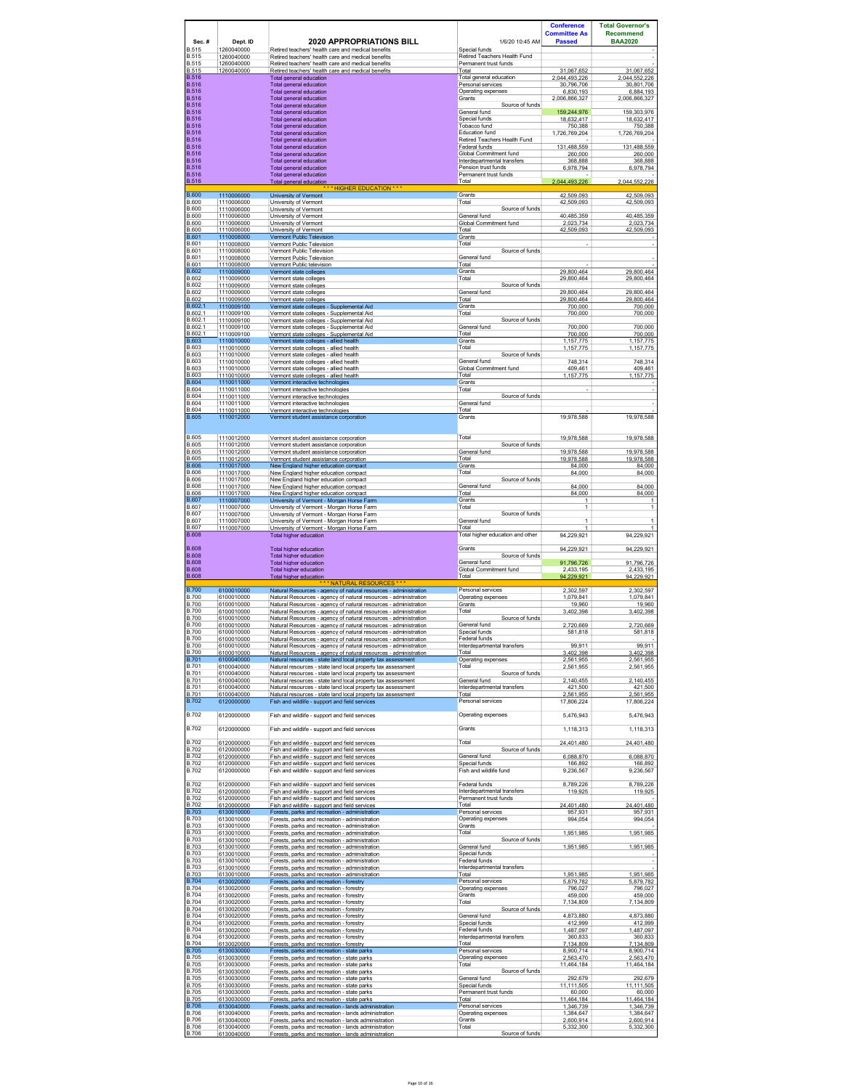| Sec.#                                        | Dept. ID                               | <b>2020 APPROPRIATIONS BILL</b>                                                                                                                                | 1/6/20 10:45 AM                                                        | <b>Conference</b><br><b>Committee As</b><br><b>Passed</b> | <b>Total Governor's</b><br><b>Recommend</b><br><b>BAA2020</b> |
|----------------------------------------------|----------------------------------------|----------------------------------------------------------------------------------------------------------------------------------------------------------------|------------------------------------------------------------------------|-----------------------------------------------------------|---------------------------------------------------------------|
| <b>B.515</b><br><b>B.515</b><br><b>B.515</b> | 1260040000<br>1260040000<br>1260040000 | Retired teachers' health care and medical benefits<br>Retired teachers' health care and medical benefits<br>Retired teachers' health care and medical benefits | Special funds<br>Retired Teachers Health Fund<br>Permanent trust funds |                                                           |                                                               |
| <b>B.515</b><br><b>B.516</b>                 | 1260040000                             | Retired teachers' health care and medical benefits<br><b>Total general education</b>                                                                           | Total<br>Total general education                                       | 31,067,652<br>2,044,493,226                               | 31,067,652<br>2,044,552,226                                   |
| <b>B.516</b>                                 |                                        | Total general education                                                                                                                                        | Personal services                                                      | 30,796,706                                                | 30,801,706                                                    |
| <b>B.516</b><br><b>B.516</b>                 |                                        | Total general education<br>Total general education                                                                                                             | Operating expenses<br>Grants                                           | 6,830,193<br>2,006,866,327                                | 6,884,193<br>2,006,866,327                                    |
| <b>B.516</b><br><b>B.516</b>                 |                                        | Total general education<br>Total general education                                                                                                             | Source of funds<br>General fund                                        | 159,244,976                                               | 159,303,976                                                   |
| <b>B.516</b><br><b>B.516</b>                 |                                        | Total general education<br>Total general education                                                                                                             | Special funds<br>Tobacco fund                                          | 18.632.417<br>750,388                                     | 18.632.417<br>750,388                                         |
| <b>B.516</b><br><b>B.516</b>                 |                                        | Total general education<br>Total general education                                                                                                             | Education fund<br>Retired Teachers Health Fund                         | 1,726,769,204                                             | 1,726,769,204                                                 |
| <b>B.516</b>                                 |                                        | Total general education                                                                                                                                        | Federal funds                                                          | 131,488,559                                               | 131,488,559                                                   |
| <b>B.516</b><br><b>B.516</b>                 |                                        | Total general education<br>Total general education                                                                                                             | Global Commitment fund<br>Interdepartmental transfers                  | 260,000<br>368,888                                        | 260,000<br>368,888                                            |
| <b>B.516</b><br><b>B.516</b>                 |                                        | Total general education<br>Total general education                                                                                                             | Pension trust funds<br>Permanent trust funds                           | 6.978.794                                                 | 6.978.794                                                     |
| <u>B.516</u>                                 |                                        | Total general education<br>* HIGHER EDUCATION ***                                                                                                              | Total                                                                  | 2,044,493,226                                             | 2,044,552,226                                                 |
| <b>B.600</b><br>B.600                        | 1110006000<br>1110006000               | University of Vermont<br>University of Vermont                                                                                                                 | Grants<br>Total                                                        | 42,509,093<br>42,509,093                                  | 42,509,093<br>42,509,093                                      |
| <b>B.600</b><br><b>B.600</b>                 | 1110006000<br>1110006000               | University of Vermont                                                                                                                                          | Source of funds<br>General fund                                        | 40.485.359                                                | 40.485.359                                                    |
| B.600                                        | 1110006000                             | University of Vermont<br>University of Vermont                                                                                                                 | Global Commitment fund                                                 | 2,023,734                                                 | 2,023,734                                                     |
| <b>B.600</b><br><b>B.601</b>                 | 1110006000<br>1110008000               | University of Vermont<br>Vermont Public Television                                                                                                             | Total<br>Grants                                                        | 42.509.093                                                | 42.509.093                                                    |
| B.601<br>B.601                               | 1110008000<br>1110008000               | Vermont Public Television<br>Vermont Public Television                                                                                                         | Total<br>Source of funds                                               |                                                           |                                                               |
| B.601<br>B.601                               | 1110008000<br>1110008000               | Vermont Public Television<br>Vermont Public television                                                                                                         | General fund<br>Total                                                  |                                                           |                                                               |
| <b>B.602</b><br>B.602                        | 1110009000<br>1110009000               | Vermont state colleges<br>Vermont state colleges                                                                                                               | Grants<br>Total                                                        | 29,800,464<br>29.800.464                                  | 29,800,464<br>29.800.464                                      |
| B.602<br>B.602                               | 1110009000<br>1110009000               | Vermont state colleges<br>Vermont state colleges                                                                                                               | Source of funds<br>General fund                                        | 29.800.464                                                | 29.800.464                                                    |
| <b>B.602</b>                                 | 1110009000                             | Vermont state colleges<br>Vermont state colleges - Supplemental Aid                                                                                            | Total                                                                  | 29,800,464                                                | 29,800,464                                                    |
| B.602.<br>B.602.1                            | 1110009100<br>1110009100               | Vermont state colleges - Supplemental Aid                                                                                                                      | Grants<br>Total                                                        | 700,000<br>700,000                                        | 700,000<br>700,000                                            |
| B.602.1<br>B.602.1                           | 1110009100<br>1110009100               | Vermont state colleges - Supplemental Aid<br>Vermont state colleges - Supplemental Aid                                                                         | Source of funds<br>General fund                                        | 700,000                                                   | 700.000                                                       |
| B.602.1<br><b>B.603</b>                      | 1110009100<br>1110010000               | Vermont state colleges - Supplemental Aid<br>Vermont state colleges - allied health                                                                            | Total<br>Grants                                                        | 700,000<br>1.157.775                                      | 700,000<br>1.157.775                                          |
| <b>B.603</b><br>B.603                        | 1110010000<br>1110010000               | Vermont state colleges - allied health<br>Vermont state colleges - allied health                                                                               | Total<br>Source of funds                                               | 1,157,775                                                 | 1, 157, 775                                                   |
| B.603<br>B.603                               | 1110010000<br>1110010000               | Vermont state colleges - allied health<br>Vermont state colleges - allied health                                                                               | General fund<br>Global Commitment fund                                 | 748,314<br>409.461                                        | 748.314<br>409.461                                            |
| <b>B.603</b><br><b>B.604</b>                 | 1110010000<br>1110011000               | Vermont state colleges - allied health                                                                                                                         | Total                                                                  | 1,157,775                                                 | 1,157,775                                                     |
| <b>B.604</b><br>B.604                        | 1110011000                             | Vermont interactive technologies<br>Vermont interactive technologies                                                                                           | Grants<br>Total                                                        |                                                           |                                                               |
| B.604                                        | 1110011000<br>1110011000               | Vermont interactive technologies<br>Vermont interactive technologies                                                                                           | Source of funds<br>General fund                                        |                                                           |                                                               |
| B.604<br><b>B.605</b>                        | 1110011000<br>1110012000               | Vermont interactive technologies<br>Vermont student assistance corporation                                                                                     | Total<br>Grants                                                        | 19,978,588                                                | 19,978,588                                                    |
|                                              |                                        |                                                                                                                                                                |                                                                        |                                                           |                                                               |
| B.605<br>B.605                               | 1110012000<br>1110012000               | Vermont student assistance corporation<br>Vermont student assistance corporation                                                                               | Total<br>Source of funds                                               | 19,978,588                                                | 19,978,588                                                    |
| B.605<br><b>B.605</b>                        | 1110012000<br>1110012000               | Vermont student assistance corporation<br>Vermont student assistance corporation                                                                               | General fund<br>Total                                                  | 19.978.588<br>19,978,588                                  | 19.978.588<br>19,978,588                                      |
| <b>B.606</b>                                 | 1110017000                             | New England higher education compact                                                                                                                           | Grants                                                                 | 84.000                                                    | 84.000                                                        |
| B.606<br>B.606                               | 1110017000<br>1110017000               | New England higher education compact<br>New England higher education compact                                                                                   | Total<br>Source of funds                                               | 84,000                                                    | 84,000                                                        |
| B.606<br>B.606                               | 1110017000<br>1110017000               | New England higher education compact<br>New England higher education compact                                                                                   | General fund<br>Total                                                  | 84.000<br>84,000                                          | 84.000<br>84,000                                              |
| <b>B.607</b><br>B.607                        | 1110007000<br>1110007000               | University of Vermont - Morgan Horse Farm<br>University of Vermont - Morgan Horse Farm                                                                         | Grants<br>Total                                                        | 1<br>$\mathbf{1}$                                         | 1<br>1                                                        |
| B.607<br>B.607                               | 1110007000<br>1110007000               | University of Vermont - Morgan Horse Farm<br>University of Vermont - Morgan Horse Farm                                                                         | Source of funds<br>General fund                                        | 1                                                         | 1                                                             |
| B.607<br>B.608                               | 1110007000                             | University of Vermont - Morgan Horse Farm<br>Total higher education                                                                                            | Total<br>Total higher education and other                              | 1<br>94,229,921                                           | 1<br>94,229,921                                               |
| <b>B.608</b>                                 |                                        | Total higher education                                                                                                                                         | Grants                                                                 | 94,229,921                                                | 94,229,921                                                    |
| B.608<br>B.608                               |                                        | Total higher education<br><b>Total higher education</b>                                                                                                        | Source of funds<br>General fund                                        | 91.796.726                                                | 91.796.726                                                    |
| B.608<br>B.608                               |                                        | Total higher education                                                                                                                                         | Global Commitment fund<br>Total                                        | 2,433,195<br>94.229.921                                   | 2,433,195<br>94.229.921                                       |
| <b>B.700</b>                                 | 6100010000                             | <b>Total higher education</b><br>* NATURAL RESOURCES * *<br>Natural Resources - agency of natural resources - administration                                   | Personal services                                                      | 2,302,597                                                 | 2,302,597                                                     |
| <b>B.700</b><br><b>B.700</b>                 | 6100010000<br>6100010000               | Natural Resources - agency of natural resources - administration<br>Natural Resources - agency of natural resources - administration                           | Operating expenses<br>Grants                                           | 1,079,841<br>19,960                                       | 1,079,841<br>19,960                                           |
| B.700<br><b>B.700</b>                        | 6100010000<br>6100010000               | Natural Resources - agency of natural resources - administration<br>Natural Resources - agency of natural resources - administration                           | Total<br>Source of funds                                               | 3,402,398                                                 | 3,402,398                                                     |
| <b>B.700</b><br><b>B.700</b>                 | 6100010000                             | Natural Resources - agency of natural resources - administration                                                                                               | General fund<br>Special funds                                          | 2.720.669                                                 | 2.720.669                                                     |
| <b>B.700</b>                                 | 6100010000<br>6100010000               | Natural Resources - agency of natural resources - administration<br>Natural Resources - agency of natural resources - administration                           | Federal funds                                                          | 581,818                                                   | 581,818                                                       |
| <b>B.700</b><br><b>B.700</b>                 | 6100010000<br>6100010000               | Natural Resources - agency of natural resources - administration<br>Natural Resources - agency of natural resources - administration                           | Interdepartmental transfers<br>Total                                   | 99,911<br>3,402,398                                       | 99,911<br>3,402,398                                           |
| <b>B.701</b><br><b>B.701</b>                 | 6100040000<br>6100040000               | Natural resources - state land local property tax assessment<br>Natural resources - state land local property tax assessment                                   | Operating expenses<br>Total                                            | 2,561,955<br>2,561,955                                    | 2,561,955<br>2,561,955                                        |
| B.701<br><b>B.701</b>                        | 6100040000<br>6100040000               | Natural resources - state land local property tax assessment<br>Natural resources - state land local property tax assessment                                   | Source of funds<br>General fund                                        | 2,140,455                                                 | 2,140,455                                                     |
| B.701<br>B.701                               | 6100040000<br>6100040000               | Natural resources - state land local property tax assessment<br>Natural resources - state land local property tax assessment                                   | Interdepartmental transfers<br>Total                                   | 421.500<br>2,561,955                                      | 421.500<br>2,561,955                                          |
| <b>B.702</b>                                 | 6120000000                             | Fish and wildlife - support and field services                                                                                                                 | Personal services                                                      | 17,806,224                                                | 17,806,224                                                    |
| <b>B.702</b>                                 | 6120000000                             | Fish and wildlife - support and field services                                                                                                                 | Operating expenses                                                     | 5,476,943                                                 | 5,476,943                                                     |
| <b>B.702</b>                                 | 6120000000                             | Fish and wildlife - support and field services                                                                                                                 | Grants                                                                 | 1,118,313                                                 | 1,118,313                                                     |
| <b>B.702</b>                                 | 6120000000                             | Fish and wildlife - support and field services                                                                                                                 | Total                                                                  | 24,401,480                                                | 24,401,480                                                    |
| <b>B.702</b><br><b>B.702</b>                 | 6120000000<br>6120000000               | Fish and wildlife - support and field services<br>Fish and wildlife - support and field services                                                               | Source of funds<br>General fund                                        | 6,088,870                                                 | 6,088,870                                                     |
| B.702<br>B.702                               | 6120000000<br>6120000000               | Fish and wildlife - support and field services<br>Fish and wildlife - support and field services                                                               | Special funds<br>Fish and wildlife fund                                | 166,892<br>9.236.567                                      | 166,892<br>9 236 567                                          |
| B.702                                        | 6120000000                             | Fish and wildlife - support and field services                                                                                                                 | Federal funds                                                          | 8,789,226                                                 | 8,789,226                                                     |
| <b>B.702</b><br><b>B.702</b>                 | 6120000000<br>6120000000               | Fish and wildlife - support and field services<br>Fish and wildlife - support and field services                                                               | Interdepartmental transfers<br>Permanent trust funds                   | 119,925                                                   | 119,925                                                       |
| <b>B.702</b><br><b>B.703</b>                 | 6120000000                             | Fish and wildlife - support and field services                                                                                                                 | Total<br>Personal services                                             | 24,401,480                                                | 24,401,480                                                    |
| B.703                                        | 6130010000<br>6130010000               | Forests. parks and recreation - administration<br>Forests, parks and recreation - administration                                                               | Operating expenses                                                     | 957.931<br>994,054                                        | 957.931<br>994,054                                            |
| B.703<br><b>B.703</b>                        | 6130010000<br>6130010000               | Forests, parks and recreation - administration<br>Forests, parks and recreation - administration                                                               | Grants<br>Total                                                        | 1,951,985                                                 | 1,951,985                                                     |
| B.703<br>B.703                               | 6130010000<br>6130010000               | Forests, parks and recreation - administration<br>Forests, parks and recreation - administration                                                               | Source of funds<br>General fund                                        | 1,951,985                                                 | 1,951,985                                                     |
| <b>B.703</b><br>B.703                        | 6130010000<br>6130010000               | Forests, parks and recreation - administration<br>Forests. parks and recreation - administration                                                               | Special funds<br>Federal funds                                         |                                                           |                                                               |
| B.703<br><b>B.703</b>                        | 6130010000<br>6130010000               | Forests, parks and recreation - administration<br>Forests, parks and recreation - administration                                                               | Interdepartmental transfers<br>Total                                   | 1,951,985                                                 | 1,951,985                                                     |
| <b>B.704</b><br><b>B.704</b>                 | 6130020000<br>6130020000               | Forests, parks and recreation - forestry<br>Forests, parks and recreation - forestry                                                                           | Personal services<br>Operating expenses                                | 5,879,782<br>796.027                                      | 5,879,782<br>796.027                                          |
| <b>B.704</b><br><b>B.704</b>                 | 6130020000<br>6130020000               | Forests, parks and recreation - forestry<br>Forests, parks and recreation - forestry                                                                           | Grants<br>Total                                                        | 459,000<br>7,134,809                                      | 459,000<br>7,134,809                                          |
| <b>B.704</b><br><b>B.704</b>                 | 6130020000<br>6130020000               | Forests. parks and recreation - forestrv                                                                                                                       | Source of funds<br>General fund                                        | 4,873,880                                                 | 4,873,880                                                     |
| B.704<br><b>B.704</b>                        | 6130020000                             | Forests, parks and recreation - forestry<br>Forests. parks and recreation - forestrv                                                                           | Special funds<br>Federal funds                                         | 412.999                                                   | 412.999                                                       |
| B.704                                        | 6130020000<br>6130020000               | Forests, parks and recreation - forestry<br>Forests, parks and recreation - forestry                                                                           | Interdepartmental transfers                                            | 1,487,097<br>360,833                                      | 1,487,097<br>360,833                                          |
| B.704<br><b>B.705</b>                        | 6130020000<br>6130030000               | Forests, parks and recreation - forestry<br>Forests, parks and recreation - state parks                                                                        | Total<br>Personal services                                             | 7.134.809<br>8,900,714                                    | 7,134,809<br>8,900,714                                        |
| <b>B.705</b><br><b>B.705</b>                 | 6130030000<br>6130030000               | Forests, parks and recreation - state parks<br>Forests, parks and recreation - state parks                                                                     | Operating expenses<br>Total                                            | 2,563,470<br>11,464,184                                   | 2,563,470<br>11,464,184                                       |
| <b>B.705</b><br><b>B.705</b>                 | 6130030000<br>6130030000               | Forests. parks and recreation - state parks<br>Forests, parks and recreation - state parks                                                                     | Source of funds<br>General fund                                        | 292,679                                                   | 292,679                                                       |
| <b>B.705</b><br><b>B.705</b>                 | 6130030000<br>6130030000               | Forests. parks and recreation - state parks<br>Forests, parks and recreation - state parks                                                                     | Special funds<br>Permanent trust funds                                 | 11.111.505<br>60,000                                      | 11.111.505<br>60,000                                          |
| <b>B.705</b><br><b>B.706</b>                 | 6130030000<br>6130040000               | Forests, parks and recreation - state parks<br>Forests, parks and recreation - lands administration                                                            | Total<br>Personal services                                             | 11,464,184<br>1,346,739                                   | 11,464,184<br>1,346,739                                       |
| B.706<br>B.706                               | 6130040000<br>6130040000               | Forests, parks and recreation - lands administration                                                                                                           | Operating expenses<br>Grants                                           | 1,384,647<br>2.600.914                                    | 1,384,647                                                     |
| <b>B.706</b>                                 | 6130040000                             | Forests, parks and recreation - lands administration<br>Forests, parks and recreation - lands administration                                                   | Total<br>Source of funds                                               | 5,332,300                                                 | 2,600,914<br>5,332,300                                        |
| <b>B.706</b>                                 | 6130040000                             | Forests, parks and recreation - lands administration                                                                                                           |                                                                        |                                                           |                                                               |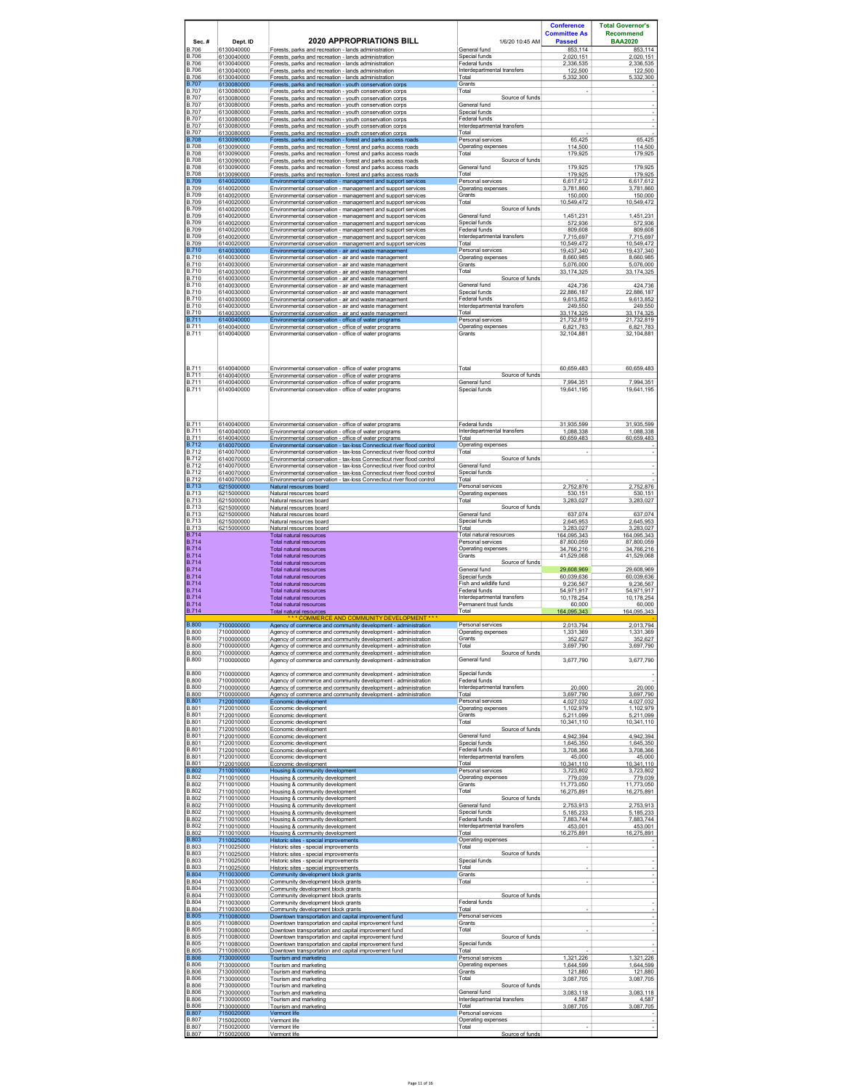| Sec.#                                        | Dept. ID                 | <b>2020 APPROPRIATIONS BILL</b>                                                                                                                | 1/6/20 10:45 AM                                      | <b>Conference</b><br><b>Committee As</b><br><b>Passed</b> | <b>Total Governor's</b><br><b>Recommend</b><br><b>BAA2020</b> |
|----------------------------------------------|--------------------------|------------------------------------------------------------------------------------------------------------------------------------------------|------------------------------------------------------|-----------------------------------------------------------|---------------------------------------------------------------|
| B.706<br><b>B.706</b>                        | 6130040000<br>6130040000 | Forests, parks and recreation - lands administration<br>Forests, parks and recreation - lands administration                                   | General fund<br>Special funds                        | 853,114<br>2.020.151                                      | 853,114<br>2,020,151                                          |
| <b>B.706</b><br><b>B.706</b>                 | 6130040000<br>6130040000 | Forests. parks and recreation - lands administration<br>Forests, parks and recreation - lands administration                                   | Federal funds<br>Interdepartmental transfers         | 2.336.535<br>122,500                                      | 2.336.535<br>122,500                                          |
| <b>B.706</b><br><b>B.707</b>                 | 6130040000<br>6130080000 | Forests, parks and recreation - lands administration<br>Forests, parks and recreation - youth conservation corps                               | Total<br>Grants                                      | 5.332.300                                                 | 5.332.300                                                     |
| <b>B.707</b><br><b>B.707</b>                 | 6130080000<br>6130080000 | Forests, parks and recreation - youth conservation corps<br>Forests, parks and recreation - youth conservation corps                           | Total<br>Source of funds                             | $\overline{\phantom{a}}$                                  |                                                               |
| <b>B.707</b><br><b>B.707</b>                 | 6130080000<br>6130080000 | Forests, parks and recreation - youth conservation corps<br>Forests, parks and recreation - youth conservation corps                           | General fund<br>Special funds                        |                                                           |                                                               |
| <b>B.707</b><br><b>B.707</b>                 | 6130080000<br>6130080000 | Forests, parks and recreation - youth conservation corps<br>Forests. parks and recreation - vouth conservation corps                           | Federal funds<br>Interdepartmental transfers         |                                                           |                                                               |
| <b>B.707</b><br><b>B.708</b>                 | 6130080000<br>6130090000 | Forests, parks and recreation - youth conservation corps<br>Forests. parks and recreation - forest and parks access roads                      | Total<br>Personal services                           | 65.425                                                    | 65.425                                                        |
| <b>B.708</b><br><b>B.708</b>                 | 6130090000<br>6130090000 | Forests, parks and recreation - forest and parks access roads<br>Forests, parks and recreation - forest and parks access roads                 | Operating expenses<br>Total                          | 114,500<br>179,925                                        | 114,500<br>179,925                                            |
| <b>B.708</b><br><b>B.708</b>                 | 6130090000<br>6130090000 | Forests, parks and recreation - forest and parks access roads<br>Forests, parks and recreation - forest and parks access roads                 | Source of funds<br>General fund                      | 179.925                                                   | 179.925                                                       |
| <b>B.708</b>                                 | 6130090000               | Forests, parks and recreation - forest and parks access roads                                                                                  | Total                                                | 179 925                                                   | 179,925                                                       |
| <b>B.709</b><br><b>B.709</b><br><b>B.709</b> | 6140020000<br>6140020000 | Environmental conservation - management and support services<br>Environmental conservation - management and support services                   | Personal services<br>Operating expenses<br>Grants    | 6,617,612<br>3 781 860                                    | 6,617,612<br>3.781.860                                        |
| <b>B.709</b>                                 | 6140020000<br>6140020000 | Environmental conservation - management and support services<br>Environmental conservation - management and support services                   | Total                                                | 150.000<br>10,549,472                                     | 150,000<br>10,549,472                                         |
| B.709<br><b>B.709</b>                        | 6140020000<br>6140020000 | Environmental conservation - management and support services<br>Environmental conservation - management and support services                   | Source of funds<br>General fund                      | 1,451,231                                                 | 1,451,231                                                     |
| <b>B.709</b><br><b>B.709</b>                 | 6140020000<br>6140020000 | Environmental conservation - management and support services<br>Environmental conservation - management and support services                   | Special funds<br>Federal funds                       | 572,936<br>809.608                                        | 572,936<br>809,608                                            |
| <b>B.709</b><br><b>B.709</b>                 | 6140020000<br>6140020000 | Environmental conservation - management and support services<br>Environmental conservation - management and support services                   | Interdepartmental transfers<br>Total                 | 7.715.697<br>10,549,472                                   | 7.715.697<br>10,549,472                                       |
| <b>B.710</b><br><b>B.710</b>                 | 6140030000<br>6140030000 | Environmental conservation - air and waste management<br>Environmental conservation - air and waste management                                 | Personal services<br>Operating expenses              | 19.437.340<br>8,660,985                                   | 19.437.340<br>8,660,985                                       |
| <b>B.710</b><br>B.710                        | 6140030000<br>6140030000 | Environmental conservation - air and waste management<br>Environmental conservation - air and waste management                                 | Grants<br>Total                                      | 5,076,000<br>33,174,325                                   | 5,076,000<br>33,174,325                                       |
| <b>B.710</b><br><b>B.710</b>                 | 6140030000<br>6140030000 | Environmental conservation - air and waste management<br>Environmental conservation - air and waste management                                 | Source of funds<br>General fund                      | 424,736                                                   | 424,736                                                       |
| <b>B.710</b><br><b>B.710</b>                 | 6140030000<br>6140030000 | Environmental conservation - air and waste management<br>Environmental conservation - air and waste management                                 | Special funds<br>Federal funds                       | 22,886,187<br>9.613.852                                   | 22,886,187<br>9.613.852                                       |
| <b>B.710</b><br><b>B.710</b>                 | 6140030000<br>6140030000 | Environmental conservation - air and waste management<br>Environmental conservation - air and waste management                                 | Interdepartmental transfers<br>Total                 | 249.550<br>33.174.325                                     | 249,550<br>33.174.325                                         |
| <b>B.711</b><br><b>B.711</b>                 | 6140040000<br>6140040000 | Environmental conservation - office of water programs<br>Environmental conservation - office of water programs                                 | Personal services<br>Operating expenses              | 21,732,819<br>6.821.783                                   | 21,732,819<br>6.821.783                                       |
| <b>B.711</b>                                 | 6140040000               | Environmental conservation - office of water programs                                                                                          | Grants                                               | 32,104,881                                                | 32,104,881                                                    |
|                                              |                          |                                                                                                                                                |                                                      |                                                           |                                                               |
|                                              |                          |                                                                                                                                                |                                                      |                                                           |                                                               |
| <b>B.711</b><br><b>B.711</b>                 | 6140040000<br>6140040000 | Environmental conservation - office of water programs<br>Environmental conservation - office of water programs                                 | Total<br>Source of funds                             | 60,659,483                                                | 60,659,483                                                    |
| <b>B.711</b><br><b>B.711</b>                 | 6140040000<br>6140040000 | Environmental conservation - office of water programs<br>Environmental conservation - office of water programs                                 | General fund<br>Special funds                        | 7,994,351<br>19,641,195                                   | 7,994,351<br>19,641,195                                       |
|                                              |                          |                                                                                                                                                |                                                      |                                                           |                                                               |
|                                              |                          |                                                                                                                                                |                                                      |                                                           |                                                               |
| <b>B.711</b><br><b>B.711</b>                 | 6140040000<br>6140040000 | Environmental conservation - office of water programs<br>Environmental conservation - office of water programs                                 | Federal funds<br>Interdepartmental transfers         | 31,935,599<br>1.088.338                                   | 31,935,599<br>1.088.338                                       |
| <b>B.711</b><br><b>B.712</b>                 | 6140040000<br>6140070000 | Environmental conservation - office of water programs<br>Environmental conservation - tax-loss Connecticut river flood control                 | Total<br>Operating expenses                          | 60,659,483                                                | 60,659,483                                                    |
| <b>B.712</b><br><b>B.712</b>                 | 6140070000<br>6140070000 | Environmental conservation - tax-loss Connecticut river flood control<br>Environmental conservation - tax-loss Connecticut river flood control | Total<br>Source of funds                             |                                                           |                                                               |
| <b>B.712</b><br><b>B.712</b>                 | 6140070000<br>6140070000 | Environmental conservation - tax-loss Connecticut river flood control<br>Environmental conservation - tax-loss Connecticut river flood control | General fund<br>Special funds                        |                                                           |                                                               |
| <b>B.712</b>                                 | 6140070000               | Environmental conservation - tax-loss Connecticut river flood control                                                                          | Total                                                |                                                           |                                                               |
| <b>B.713</b><br><b>B.713</b>                 | 6215000000<br>6215000000 | Natural resources board<br>Natural resources board                                                                                             | Personal services<br>Operating expenses              | 2,752,876<br>530.151                                      | 2,752,876<br>530.151                                          |
| <b>B.713</b><br><b>B.713</b>                 | 6215000000<br>6215000000 | Natural resources board<br>Natural resources board                                                                                             | Total<br>Source of funds                             | 3,283,027                                                 | 3,283,027                                                     |
| B.713<br><b>B.713</b>                        | 6215000000<br>6215000000 | Natural resources board<br>Natural resources board                                                                                             | General fund<br>Special funds                        | 637,074<br>2,645,953                                      | 637,074<br>2,645,953                                          |
| <b>B.713</b><br><b>B.714</b>                 | 6215000000               | Natural resources board<br><b>Total natural resources</b>                                                                                      | Total<br>Total natural resources                     | 3,283,027<br>164.095.343                                  | 3,283,027<br>164.095.343                                      |
| <b>B.714</b><br><b>B.714</b>                 |                          | Total natural resources<br>Total natural resources                                                                                             | Personal services<br>Operating expenses              | 87.800.059<br>34,766,216                                  | 87.800.059<br>34,766,216                                      |
| <b>B.714</b><br><b>B.714</b>                 |                          | <b>Total natural resources</b><br>Total natural resources                                                                                      | Grants<br>Source of funds                            | 41.529.068                                                | 41.529.068                                                    |
| <b>B.714</b><br><b>B.714</b>                 |                          | Total natural resources<br><b>Total natural resources</b>                                                                                      | General fund<br>Special funds                        | 29,608,969<br>60,039,636                                  | 29,608,969<br>60,039,636                                      |
| <b>B.714</b><br><b>B.714</b>                 |                          | <b>Total natural resources</b><br><b>Total natural resources</b>                                                                               | Fish and wildlife fund<br>Federal funds              | 9,236,567<br>54.971.917                                   | 9,236,567<br>54,971,917                                       |
| <b>B.714</b><br><b>B.714</b>                 |                          | <b>Total natural resources</b><br>Total natural resources                                                                                      | Interdepartmental transfers<br>Permanent trust funds | 10,178,254<br>60.000                                      | 10,178,254<br>60.000                                          |
| <b>B.714</b>                                 |                          | <b>Total natural resources</b><br><b>COMMERCE AND COMMUNITY DEVELOPMENT ***</b>                                                                | Total                                                | 164,095,343                                               | 164,095,343                                                   |
| <b>B.800</b><br><b>B.800</b>                 | 7100000000<br>7100000000 | Agency of commerce and community development - administration<br>Agency of commerce and community development - administration                 | Personal services<br>Operating expenses              | 2,013,794<br>1.331.369                                    | 2,013,794<br>1,331,369                                        |
| B.800<br><b>B.800</b>                        | 7100000000<br>7100000000 | Agency of commerce and community development - administration<br>Agency of commerce and community development - administration                 | Grants<br>Total                                      | 352,627<br>3,697,790                                      | 352.627<br>3,697,790                                          |
| <b>B.800</b>                                 | 7100000000               | Agency of commerce and community development - administration                                                                                  | Source of funds                                      |                                                           | 3,677,790                                                     |
| <b>B.800</b><br><b>B.800</b>                 | 7100000000               | Agency of commerce and community development - administration                                                                                  | General fund<br>Special funds                        | 3,677,790                                                 |                                                               |
| <b>B.800</b>                                 | 7100000000<br>7100000000 | Agency of commerce and community development - administration<br>Agency of commerce and community development - administration                 | Federal funds                                        |                                                           |                                                               |
| <b>B.800</b><br><b>B.800</b>                 | 7100000000<br>7100000000 | Agency of commerce and community development - administration<br>Agency of commerce and community development - administration                 | Interdepartmental transfers<br>Total                 | 20.000<br>3,697,790                                       | 20,000<br>3,697,790                                           |
| <b>B.801</b><br><b>B.801</b>                 | 7120010000<br>7120010000 | Economic development<br>Economic development                                                                                                   | Personal services<br>Operating expenses              | 4,027,032<br>1.102.979                                    | 4,027,032<br>1,102,979                                        |
| <b>B.801</b><br><b>B.801</b>                 | 7120010000<br>7120010000 | Economic development<br>Economic development                                                                                                   | Grants<br>Total                                      | 5.211.099<br>10,341,110                                   | 5.211.099<br>10,341,110                                       |
| B.801<br><b>B.801</b>                        | 7120010000<br>7120010000 | Economic development<br>Economic development                                                                                                   | Source of funds<br>General fund                      | 4,942,394                                                 | 4,942,394                                                     |
| <b>B.801</b><br><b>B.801</b>                 | 7120010000<br>7120010000 | Economic development<br>Economic development                                                                                                   | Special funds<br>Federal funds                       | 1,645,350<br>3,708,366                                    | 1,645,350<br>3,708,366                                        |
| <b>B.801</b><br><b>B.801</b>                 | 7120010000<br>7120010000 | Economic development<br>Economic development                                                                                                   | Interdepartmental transfers<br>Total                 | 45,000<br>10.341.110                                      | 45,000<br>10,341,110                                          |
| <b>B.802</b><br>B.802                        | 7110010000<br>7110010000 | Housing & community development<br>Housing & community development                                                                             | Personal services<br>Operating expenses              | 3,723,802<br>779.039                                      | 3,723,802<br>779.039                                          |
| B.802<br><b>B.802</b>                        | 7110010000<br>7110010000 | Housing & community development<br>Housing & community development                                                                             | Grants<br>Total                                      | 11,773,050<br>16.275.891                                  | 11,773,050<br>16.275.891                                      |
| B.802<br>B.802                               | 7110010000<br>7110010000 | Housing & community development<br>Housing & community development                                                                             | Source of funds<br>General fund                      | 2,753,913                                                 | 2,753,913                                                     |
| <b>B.802</b><br><b>B.802</b>                 | 7110010000<br>7110010000 | Housing & community development<br>Housing & community development                                                                             | Special funds<br>Federal funds                       | 5,185,233<br>7,883,744                                    | 5,185,233<br>7,883,744                                        |
| <b>B.802</b><br><b>B.802</b>                 | 7110010000<br>7110010000 | Housing & community development<br>Housing & community development                                                                             | Interdepartmental transfers<br>Total                 | 453,001<br>16,275,891                                     | 453,001<br>16,275,891                                         |
| <b>B.803</b><br><b>B.803</b>                 | 7110025000               | Historic sites - special improvements                                                                                                          | Operating expenses<br>Total                          |                                                           |                                                               |
| <b>B.803</b>                                 | 7110025000<br>7110025000 | Historic sites - special improvements<br>Historic sites - special improvements                                                                 | Source of funds                                      |                                                           |                                                               |
| <b>B.803</b><br><b>B.803</b>                 | 7110025000<br>7110025000 | Historic sites - special improvements<br>Historic sites - special improvements                                                                 | Special funds<br>Total                               |                                                           |                                                               |
| <b>B.804</b><br><b>B.804</b>                 | 7110030000<br>7110030000 | Community development block grants<br>Community development block grants                                                                       | Grants<br>Total                                      | ٠                                                         |                                                               |
| <b>B.804</b><br><b>B.804</b>                 | 7110030000<br>7110030000 | Community development block grants<br>Community development block grants                                                                       | Source of funds                                      |                                                           |                                                               |
| B.804<br><b>B.804</b>                        | 7110030000<br>7110030000 | Community development block grants<br>Community development block grants                                                                       | Federal funds<br>Total                               |                                                           |                                                               |
| <b>B.805</b><br><b>B.805</b>                 | 7110080000<br>7110080000 | Downtown transportation and capital improvement fund<br>Downtown transportation and capital improvement fund                                   | Personal services<br>Grants                          |                                                           |                                                               |
| <b>B.805</b><br><b>B.805</b>                 | 7110080000<br>7110080000 | Downtown transportation and capital improvement fund<br>Downtown transportation and capital improvement fund                                   | Total<br>Source of funds                             |                                                           |                                                               |
| <b>B.805</b><br><b>B.805</b>                 | 7110080000<br>7110080000 | Downtown transportation and capital improvement fund<br>Downtown transportation and capital improvement fund                                   | Special funds<br>Total                               |                                                           |                                                               |
| <b>B.806</b><br><b>B.806</b>                 | 7130000000<br>7130000000 | Tourism and marketing<br>Tourism and marketing                                                                                                 | Personal services<br>Operating expenses              | 1,321,226<br>1.644.599                                    | 1,321,226<br>1.644.599                                        |
| <b>B.806</b><br><b>B.806</b>                 | 7130000000<br>7130000000 | Tourism and marketing<br>Tourism and marketing                                                                                                 | Grants<br>Total                                      | 121,880<br>3,087,705                                      | 121,880<br>3,087,705                                          |
| <b>B.806</b><br><b>B.806</b>                 | 7130000000<br>7130000000 | Tourism and marketing<br>Tourism and marketing                                                                                                 | Source of funds<br>General fund                      | 3,083,118                                                 | 3,083,118                                                     |
| <b>B.806</b>                                 | 7130000000               | Tourism and marketing                                                                                                                          | Interdepartmental transfers                          | 4,587                                                     | 4,587                                                         |
| B.806<br><b>B.807</b>                        | 7130000000<br>7150020000 | Tourism and marketing<br>Vermont life                                                                                                          | Total<br>Personal services                           | 3,087,705                                                 | 3,087,705                                                     |
| <b>B.807</b><br>B.807                        | 7150020000<br>7150020000 | Vermont life<br>Vermont life                                                                                                                   | Operating expenses<br>Total                          | $\overline{\phantom{a}}$                                  |                                                               |
| <b>B.807</b>                                 | 7150020000               | Vermont life                                                                                                                                   | Source of funds                                      |                                                           |                                                               |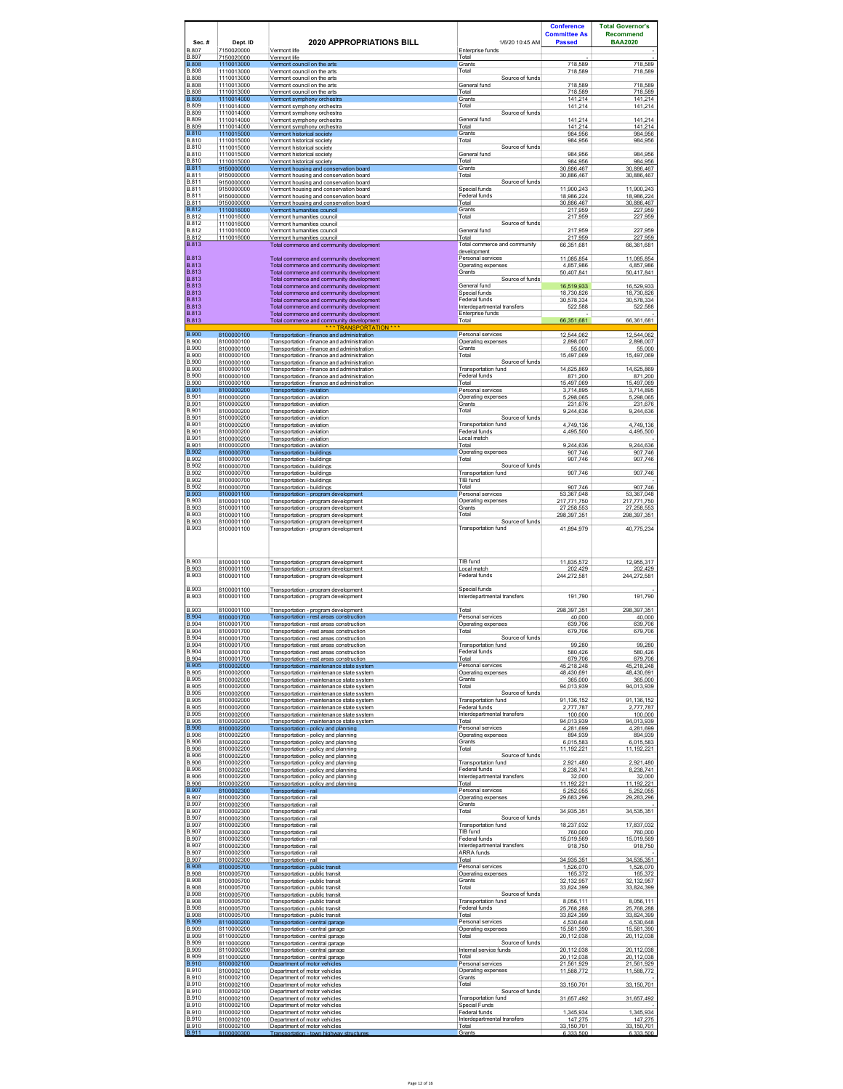| Sec.#                                        | Dept. ID                               | <b>2020 APPROPRIATIONS BILL</b>                                                                                                           | 1/6/20 10:45 AM                                                  | <b>Conference</b><br><b>Committee As</b><br><b>Passed</b> | <b>Total Governor's</b><br><b>Recommend</b><br><b>BAA2020</b> |
|----------------------------------------------|----------------------------------------|-------------------------------------------------------------------------------------------------------------------------------------------|------------------------------------------------------------------|-----------------------------------------------------------|---------------------------------------------------------------|
| B.807<br><b>B.807</b>                        | 7150020000<br>7150020000               | Vermont life<br>Vermont life                                                                                                              | Enterprise funds<br>Total                                        |                                                           |                                                               |
| <b>B.808</b><br><b>B.808</b><br><b>B.808</b> | 1110013000<br>1110013000               | Vermont council on the arts<br>Vermont council on the arts                                                                                | Grants<br>Total                                                  | 718,589<br>718,589                                        | 718,589<br>718,589                                            |
| B.808<br><b>B.808</b>                        | 1110013000<br>1110013000<br>1110013000 | Vermont council on the arts<br>Vermont council on the arts<br>Vermont council on the arts                                                 | Source of funds<br>General fund<br>Total                         | 718.589<br>718,589                                        | 718.589<br>718,589                                            |
| <b>B.809</b><br>B.809                        | 1110014000<br>1110014000               | Vermont symphony orchestra<br>Vermont symphony orchestra                                                                                  | Grants<br>Total                                                  | 141,214<br>141,214                                        | 141,214<br>141,214                                            |
| B.809<br><b>B.809</b>                        | 1110014000<br>1110014000               | Vermont symphony orchestra<br>Vermont symphony orchestra                                                                                  | Source of funds<br>General fund                                  | 141,214                                                   | 141,214                                                       |
| <b>B.809</b><br><b>B.810</b>                 | 1110014000<br>1110015000               | Vermont symphony orchestra<br>Vermont historical societv                                                                                  | Total<br>Grants                                                  | 141,214<br>984.956                                        | 141,214<br>984.956                                            |
| <b>B.810</b><br><b>B.810</b>                 | 1110015000<br>1110015000               | Vermont historical society<br>Vermont historical society                                                                                  | Total<br>Source of funds                                         | 984,956                                                   | 984,956                                                       |
| <b>B.810</b><br><b>B.810</b><br><b>B.811</b> | 1110015000<br>1110015000<br>9150000000 | Vermont historical society<br>Vermont historical society                                                                                  | General fund<br>Total<br>Grants                                  | 984.956<br>984,956<br>30,886,467                          | 984,956<br>984,956<br>30,886,467                              |
| <b>B.811</b><br>B.811                        | 9150000000<br>9150000000               | Vermont housing and conservation board<br>Vermont housing and conservation board<br>Vermont housing and conservation board                | Total<br>Source of funds                                         | 30,886,467                                                | 30.886.467                                                    |
| B.811<br><b>B.811</b>                        | 9150000000<br>9150000000               | Vermont housing and conservation board<br>Vermont housing and conservation board                                                          | Special funds<br>Federal funds                                   | 11,900,243<br>18.986.224                                  | 11,900,243<br>18.986.224                                      |
| <b>B.811</b><br><b>B.812</b>                 | 9150000000<br>1110016000               | Vermont housing and conservation board<br>Vermont humanities council                                                                      | Total<br>Grants                                                  | 30,886,467<br>217.959                                     | 30,886,467<br>227.959                                         |
| <b>B.812</b><br><b>B.812</b>                 | 1110016000<br>1110016000               | Vermont humanities council<br>Vermont humanities council                                                                                  | Total<br>Source of funds                                         | 217,959                                                   | 227,959                                                       |
| <b>B.812</b><br><b>B.812</b>                 | 1110016000<br>1110016000               | Vermont humanities council<br>Vermont humanities council                                                                                  | General fund<br>Total                                            | 217.959<br>217,959                                        | 227,959<br>227,959                                            |
| <b>B.813</b><br><b>B.813</b>                 |                                        | Total commerce and community development                                                                                                  | Total commerce and community<br>development<br>Personal services | 66,351,681                                                | 66,361,681                                                    |
| <b>B.813</b><br>B 813                        |                                        | Total commerce and community development<br>Total commerce and community development<br>Total commerce and community development          | Operating expenses<br>Grants                                     | 11.085.854<br>4.857.986<br>50,407,841                     | 11.085.854<br>4,857,986<br>50,417,841                         |
| <b>B.813</b><br><b>B.813</b>                 |                                        | Total commerce and community development<br>Total commerce and community development                                                      | Source of funds<br>General fund                                  | 16.519.933                                                | 16,529,933                                                    |
| <b>B.813</b><br><b>B.813</b>                 |                                        | Total commerce and community development<br>Total commerce and community development                                                      | Special funds<br>Federal funds                                   | 18,730,826<br>30,578,334                                  | 18,730,826<br>30,578,334                                      |
| <b>B.813</b><br><b>B.813</b>                 |                                        | Total commerce and community development<br>Total commerce and community development                                                      | Interdenartmental transfers<br>Enterprise funds                  | 522.588                                                   | 522.588                                                       |
| <b>B.813</b>                                 |                                        | Total commerce and community development<br>TRANSPORTATION * * *                                                                          | Total                                                            | 66.351.681                                                | 66.361.681                                                    |
| <b>B.900</b><br><b>B.900</b><br>B.900        | 8100000100<br>8100000100<br>8100000100 | Transportation - finance and administration<br>Transportation - finance and administration                                                | Personal services<br>Operating expenses<br>Grants                | 12,544,062<br>2898007                                     | 12,544,062<br>2,898,007                                       |
| <b>B.900</b><br><b>B.900</b>                 | 8100000100<br>8100000100               | Transportation - finance and administration<br>Transportation - finance and administration<br>Transportation - finance and administration | Total<br>Source of funds                                         | 55,000<br>15,497,069                                      | 55,000<br>15,497,069                                          |
| <b>B.900</b><br><b>B.900</b>                 | 8100000100<br>8100000100               | Transportation - finance and administration<br>Transportation - finance and administration                                                | Transportation fund<br>Federal funds                             | 14.625.869<br>871,200                                     | 14.625.869<br>871,200                                         |
| <b>B.900</b><br><b>B.901</b>                 | 8100000100<br>8100000200               | Transportation - finance and administration<br>Transportation - aviation                                                                  | Total<br>Personal services                                       | 15.497.069<br>3,714,895                                   | 15.497.069<br>3,714,895                                       |
| B.901<br><b>B.901</b>                        | 8100000200<br>8100000200               | Transportation - aviation<br>Transportation - aviation                                                                                    | Operating expenses<br>Grants                                     | 5,298,065<br>231,676                                      | 5,298,065<br>231,676                                          |
| B.901<br>B.901                               | 8100000200<br>8100000200               | Transportation - aviation<br>Transportation - aviation                                                                                    | Total<br>Source of funds                                         | 9,244,636                                                 | 9,244,636                                                     |
| <b>B.901</b><br>B.901                        | 8100000200<br>8100000200               | Transportation - aviation<br>Transportation - aviation                                                                                    | Transportation fund<br>Federal funds                             | 4,749,136<br>4.495.500                                    | 4,749,136<br>4.495.500                                        |
| B.901<br><b>B.901</b>                        | 8100000200<br>8100000200               | Transportation - aviation<br>Transportation - aviation                                                                                    | Local match<br>Total                                             | 9,244,636                                                 | 9,244,636                                                     |
| <b>B.902</b><br>B.902                        | 8100000700<br>8100000700               | Transportation - buildings<br>Transportation - buildings                                                                                  | Operating expenses<br>Total                                      | 907,746<br>907,746                                        | 907,746<br>907,746                                            |
| <b>B.902</b><br><b>B.902</b><br>B.902        | 8100000700<br>8100000700               | Transportation - buildings<br>Transportation - buildings                                                                                  | Source of funds<br>Transportation fund<br>TIB fund               | 907,746                                                   | 907,746                                                       |
| <b>B.902</b><br><b>B.903</b>                 | 8100000700<br>8100000700<br>8100001100 | Transportation - buildings<br>Transportation - buildings<br>Transportation - program development                                          | Total<br>Personal services                                       | 907,746<br>53.367.048                                     | 907,746<br>53.367.048                                         |
| <b>B.903</b><br><b>B.903</b>                 | 8100001100<br>8100001100               | Transportation - program development<br>Transportation - program development                                                              | Operating expenses<br>Grants                                     | 217,771,750<br>27,258,553                                 | 217,771,750<br>27,258,553                                     |
| <b>B.903</b><br>B.903                        | 8100001100<br>8100001100               | Transportation - program development<br>Transportation - program development                                                              | Total<br>Source of funds                                         | 298,397,351                                               | 298,397,351                                                   |
| <b>B.903</b>                                 | 8100001100                             | Transportation - program development                                                                                                      | Transportation fund                                              | 41,894,979                                                | 40,775,234                                                    |
| <b>B.903</b><br><b>B.903</b><br><b>B.903</b> | 8100001100<br>8100001100<br>8100001100 | Transportation - program development<br>Transportation - program development<br>Transportation - program development                      | TIB fund<br>Local match<br>Federal funds                         | 11,835,572<br>202.429<br>244,272,581                      | 12,955,317<br>202 429<br>244,272,581                          |
| <b>B.903</b><br><b>B.903</b>                 | 8100001100<br>8100001100               | Transportation - program development<br>Transportation - program development                                                              | Special funds<br>Interdepartmental transfers                     | 191,790                                                   | 191,790                                                       |
| <b>B.903</b>                                 | 8100001100                             | Transportation - program development                                                                                                      | Total                                                            | 298, 397, 351                                             | 298,397,351                                                   |
| <b>B.904</b><br><b>B.904</b>                 | 8100001700<br>8100001700               | Transportation - rest areas construction<br>Transportation - rest areas construction                                                      | Personal services<br>Operating expenses                          | 40.000<br>639.706                                         | 40.000<br>639,706                                             |
| <b>B.904</b><br><b>B.904</b><br>B.904        | 8100001700<br>8100001700<br>8100001700 | Transportation - rest areas construction<br>Transportation - rest areas construction<br>Transportation - rest areas construction          | Total<br>Source of funds<br><b>Transportation fund</b>           | 679,706<br>99,280                                         | 679,706<br>99,280                                             |
| <b>B.904</b><br><b>B.904</b>                 | 8100001700<br>8100001700               | Transportation - rest areas construction<br>Transportation - rest areas construction                                                      | Federal funds<br>Total                                           | 580,426<br>679,706                                        | 580,426<br>679,706                                            |
| <b>B.905</b><br><b>B.905</b>                 | 8100002000<br>8100002000               | Transportation - maintenance state svstem<br>Transportation - maintenance state system                                                    | Personal services<br>Operating expenses                          | 45.218.248<br>48,430,691                                  | 45.218.248<br>48,430,691                                      |
| <b>B.905</b><br><b>B.905</b>                 | 8100002000<br>8100002000               | Transportation - maintenance state system<br>Transportation - maintenance state system                                                    | Grants<br>Total                                                  | 365.000<br>94,013,939                                     | 365.000<br>94,013,939                                         |
| <b>B.905</b><br><b>B.905</b>                 | 8100002000<br>8100002000               | Transportation - maintenance state system<br>Transportation - maintenance state system                                                    | Source of funds<br>Transportation fund                           | 91,136,152                                                | 91,136,152                                                    |
| <b>B.905</b><br><b>B.905</b>                 | 8100002000<br>8100002000               | Transportation - maintenance state system<br>Transportation - maintenance state system                                                    | Federal funds<br>Interdepartmental transfers                     | 2,777,787<br>100,000                                      | 2,777,787<br>100,000                                          |
| <b>B.905</b><br><b>B.906</b>                 | 8100002000<br>8100002200               | Transportation - maintenance state system<br>Transportation - policy and planning                                                         | Total<br>Personal services                                       | 94,013,939<br>4.281.699                                   | 94,013,939<br>4.281.699                                       |
| <b>B.906</b><br><b>B.906</b><br><b>B.906</b> | 8100002200<br>8100002200<br>8100002200 | Transportation - policy and planning<br>Transportation - policy and planning<br>Transportation - policy and planning                      | Operating expenses<br>Grants<br>Total                            | 894,939<br>6.015.583<br>11,192,221                        | 894,939<br>6.015.583                                          |
| <b>B.906</b><br><b>B.906</b>                 | 8100002200<br>8100002200               | Transportation - policy and planning                                                                                                      | Source of funds<br>Transportation fund                           |                                                           | 11,192,221                                                    |
| <b>B.906</b><br><b>B.906</b>                 | 8100002200<br>8100002200               | Transportation - policy and planning<br>Transportation - policy and planning<br>Transportation - policy and planning                      | Federal funds<br>Interdepartmental transfers                     | 2,921,480<br>8,238,741<br>32,000                          | 2,921,480<br>8,238,741<br>32,000                              |
| <b>B.906</b><br><b>B.907</b>                 | 8100002200<br>8100002300               | Transportation - policy and planning<br>Transportation - rail                                                                             | Total<br>Personal services                                       | 11,192,221<br>5.252.055                                   | 11,192,221<br>5.252.055                                       |
| <b>B.907</b><br><b>B.907</b>                 | 8100002300<br>8100002300               | Transportation - rail<br>Transportation - rail                                                                                            | Operating expenses<br>Grants                                     | 29,683,296                                                | 29,283,296                                                    |
| <b>B.907</b><br>B.907                        | 8100002300<br>8100002300               | Transportation - rail<br>Transportation - rail                                                                                            | Total<br>Source of funds                                         | 34,935,351                                                | 34,535,351                                                    |
| <b>B.907</b><br><b>B.907</b>                 | 8100002300<br>8100002300               | Transportation - rail<br>Transportation - rail                                                                                            | Transportation fund<br>TIB fund                                  | 18,237,032<br>760,000                                     | 17,837,032<br>760,000                                         |
| <b>B.907</b><br><b>B.907</b>                 | 8100002300<br>8100002300               | Transportation - rail<br>Transportation - rail                                                                                            | Federal funds<br>Interdepartmental transfers                     | 15.019.569<br>918,750                                     | 15.019.569<br>918,750                                         |
| <b>B.907</b><br><b>B.907</b>                 | 8100002300<br>8100002300               | Transportation - rail<br>Transportation - rail                                                                                            | ARRA funds<br>Total                                              | 34,935,351                                                | 34,535,351                                                    |
| <b>B.908</b><br><b>B.908</b><br><b>B.908</b> | 8100005700<br>8100005700<br>8100005700 | Transportation - public transit<br>Transportation - public transit<br>Transportation - public transit                                     | Personal services<br>Operating expenses<br>Grants                | 1,526,070<br>165.372<br>32,132,957                        | 1,526,070<br>165,372<br>32,132,957                            |
| <b>B.908</b><br><b>B.908</b>                 | 8100005700<br>8100005700               | Transportation - public transit<br>Transportation - public transit                                                                        | Total<br>Source of funds                                         | 33,824,399                                                | 33,824,399                                                    |
| <b>B.908</b><br><b>B.908</b>                 | 8100005700<br>8100005700               | Transportation - public transit<br>Transportation - public transit                                                                        | Transportation fund<br>Federal funds                             | 8.056.111<br>25,768,288                                   | 8.056.111<br>25,768,288                                       |
| <b>B.908</b><br><b>B.909</b>                 | 8100005700<br>8110000200               | Transportation - public transit<br>Transportation - central garage                                                                        | Total<br>Personal services                                       | 33.824.399<br>4,530,648                                   | 33.824.399<br>4,530,648                                       |
| <b>B.909</b><br><b>B.909</b>                 | 8110000200<br>8110000200               | Transportation - central garage<br>Transportation - central garage                                                                        | Operating expenses<br>Total                                      | 15,581,390<br>20,112,038                                  | 15,581,390<br>20,112,038                                      |
| <b>B.909</b><br>B.909                        | 8110000200<br>8110000200               | Transportation - central garage<br>Transportation - central garage                                                                        | Source of funds<br>Internal service funds                        | 20,112,038                                                | 20,112,038                                                    |
| <b>B.909</b><br><b>B.910</b>                 | 8110000200<br>8100002100               | Transportation - central garage<br>Department of motor vehicles                                                                           | Total<br>Personal services                                       | 20,112,038<br>21.561.929                                  | 20,112,038<br>21.561.929                                      |
| B.910<br><b>B.910</b><br>B.910               | 8100002100<br>8100002100               | Department of motor vehicles<br>Department of motor vehicles                                                                              | Operating expenses<br>Grants<br>Total                            | 11,588,772                                                | 11,588,772                                                    |
| B.910<br><b>B.910</b>                        | 8100002100<br>8100002100<br>8100002100 | Department of motor vehicles<br>Department of motor vehicles<br>Department of motor vehicles                                              | Source of funds<br>Transportation fund                           | 33,150,701<br>31,657,492                                  | 33,150,701<br>31,657,492                                      |
| <b>B.910</b><br>B.910                        | 8100002100<br>8100002100               | Department of motor vehicles<br>Department of motor vehicles                                                                              | <b>Special Funds</b><br>Federal funds                            | 1.345.934                                                 | 1.345.934                                                     |
| <b>B.910</b><br><b>B.910</b>                 | 8100002100<br>8100002100               | Department of motor vehicles<br>Department of motor vehicles                                                                              | Interdepartmental transfers<br>Total                             | 147,275<br>33.150.701                                     | 147,275<br>33.150.701                                         |
| <b>B.911</b>                                 | 8100000300                             | Transportation - town highway structures                                                                                                  | Grants                                                           | 6.333.500                                                 | 6.333,500                                                     |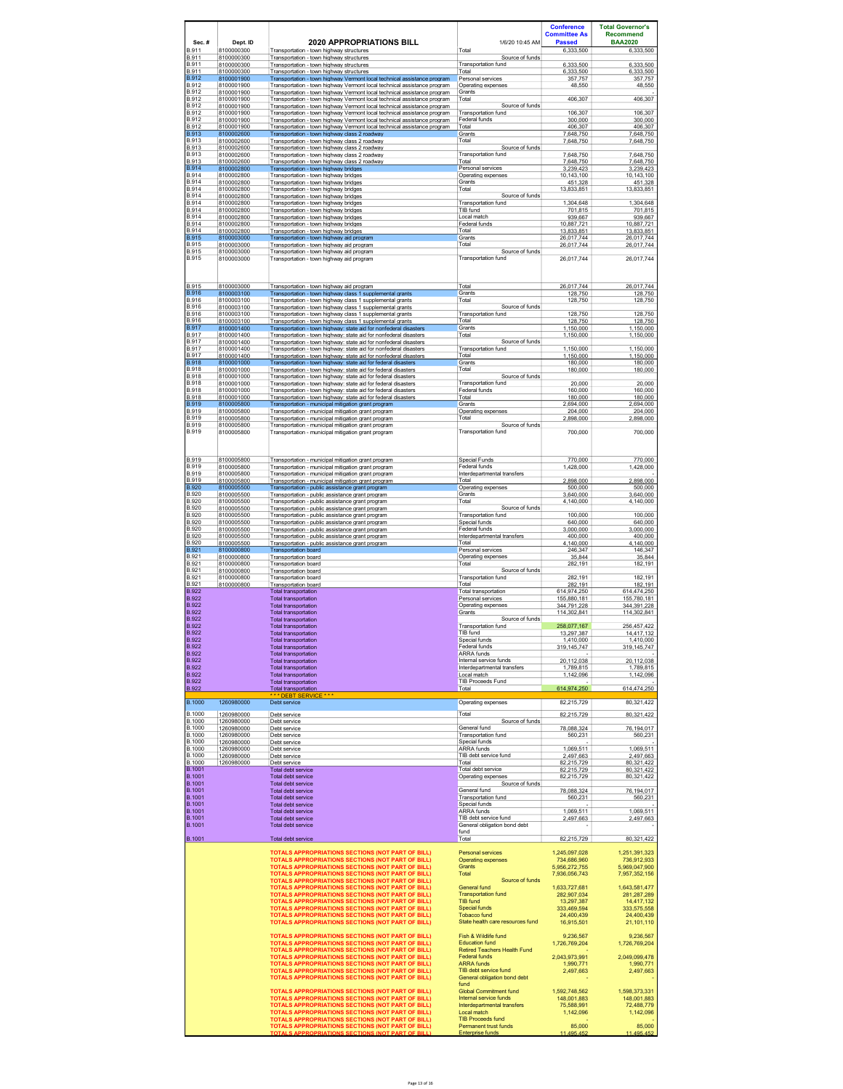|                                |                          |                                                                                                                                                      |                                                   | <b>Conference</b>            | <b>Total Governor's</b>      |
|--------------------------------|--------------------------|------------------------------------------------------------------------------------------------------------------------------------------------------|---------------------------------------------------|------------------------------|------------------------------|
|                                |                          |                                                                                                                                                      |                                                   | <b>Committee As</b>          | <b>Recommend</b>             |
| Sec.#<br><b>B.911</b>          | Dept. ID<br>8100000300   | <b>2020 APPROPRIATIONS BILL</b><br>Transportation - town highway structures                                                                          | 1/6/20 10:45 AM<br>Total                          | <b>Passed</b><br>6,333,500   | <b>BAA2020</b><br>6,333,500  |
| B.911                          | 8100000300               | Transportation - town highway structures                                                                                                             | Source of funds                                   |                              |                              |
| B.911<br><b>B.911</b>          | 8100000300<br>8100000300 | Transportation - town highway structures<br>Transportation - town highway structures                                                                 | <b>Transportation fund</b><br>Total               | 6.333.500<br>6,333,500       | 6.333.500<br>6,333,500       |
| <b>B.912</b><br><b>B.912</b>   | 8100001900<br>8100001900 | Transportation - town highway Vermont local technical assistance program                                                                             | Personal services                                 | 357,757                      | 357,757                      |
| <b>B.912</b>                   | 8100001900               | Transportation - town highway Vermont local technical assistance program<br>Transportation - town highway Vermont local technical assistance program | Operating expenses<br>Grants                      | 48,550                       | 48,550                       |
| B.912<br><b>B.912</b>          | 8100001900<br>8100001900 | Transportation - town highway Vermont local technical assistance program<br>Transportation - town highway Vermont local technical assistance program | Total<br>Source of funds                          | 406,307                      | 406,307                      |
| <b>B.912</b>                   | 8100001900               | Transportation - town highway Vermont local technical assistance program                                                                             | Transportation fund                               | 106 307                      | 106.307                      |
| B.912<br><b>B.912</b>          | 8100001900<br>8100001900 | Transportation - town highway Vermont local technical assistance program<br>Transportation - town highway Vermont local technical assistance program | Federal funds<br>Total                            | 300.000<br>406.307           | 300,000<br>406.307           |
| <b>B.913</b><br>B.913          | 8100002600<br>8100002600 | Transportation - town highway class 2 roadway                                                                                                        | Grants<br>Total                                   | 7,648,750                    | 7,648,750                    |
| <b>B.913</b>                   | 8100002600               | Transportation - town highway class 2 roadway<br>Transportation - town highway class 2 roadway                                                       | Source of funds                                   | 7,648,750                    | 7,648,750                    |
| <b>B.913</b><br><b>B.913</b>   | 8100002600<br>8100002600 | Transportation - town highway class 2 roadway                                                                                                        | Transportation fund<br>Total                      | 7,648,750<br>7.648.750       | 7,648,750<br>7,648,750       |
| <b>B.914</b>                   | 8100002800               | Transportation - town highway class 2 roadway<br>Transportation - town highway bridges                                                               | Personal services                                 | 3,239,423                    | 3,239,423                    |
| <b>B.914</b><br><b>B.914</b>   | 8100002800<br>8100002800 | Transportation - town highway bridges<br>Transportation - town highway bridges                                                                       | Operating expenses<br>Grants                      | 10.143.100<br>451,328        | 10.143.100<br>451,328        |
| <b>B.914</b>                   | 8100002800               | Transportation - town highway bridges                                                                                                                | Total                                             | 13.833.851                   | 13.833.851                   |
| <b>B.914</b><br><b>B.914</b>   | 8100002800<br>8100002800 | Transportation - town highway bridges<br>Transportation - town highway bridges                                                                       | Source of funds<br>Transportation fund            | 1,304,648                    | 1,304,648                    |
| <b>B.914</b><br><b>B.914</b>   | 8100002800<br>8100002800 | Transportation - town highway bridges                                                                                                                | TIB fund<br>Local match                           | 701,815<br>939.667           | 701,815                      |
| <b>B.914</b>                   | 8100002800               | Transportation - town highway bridges<br>Transportation - town highway bridges                                                                       | Federal funds                                     | 10,887,721                   | 939,667<br>10,887,721        |
| <b>B.914</b><br><b>B.915</b>   | 8100002800<br>8100003000 | Transportation - town highway bridges<br>Transportation - town highway aid program                                                                   | Total<br>Grants                                   | 13,833,851<br>26.017.744     | 13,833,851<br>26.017.744     |
| <b>B.915</b>                   | 8100003000               | Transportation - town highway aid program                                                                                                            | Total                                             | 26,017,744                   | 26,017,744                   |
| <b>B.915</b><br><b>B.915</b>   | 8100003000<br>8100003000 | Transportation - town highway aid program<br>Transportation - town highway aid program                                                               | Source of funds<br>Transportation fund            | 26,017,744                   | 26,017,744                   |
|                                |                          |                                                                                                                                                      |                                                   |                              |                              |
|                                |                          |                                                                                                                                                      |                                                   |                              |                              |
| B.915<br><b>B.916</b>          | 8100003000<br>8100003100 | Transportation - town highway aid program<br>Transportation - town highway class 1 supplemental grants                                               | Total<br>Grants                                   | 26,017,744<br>128.750        | 26,017,744<br>128.750        |
| <b>B.916</b>                   | 8100003100               | Transportation - town highway class 1 supplemental grants                                                                                            | Total                                             | 128,750                      | 128,750                      |
| <b>B.916</b><br>B.916          | 8100003100<br>8100003100 | Transportation - town highway class 1 supplemental grants<br>Transportation - town highway class 1 supplemental grants                               | Source of funds<br>Transportation fund            | 128,750                      | 128,750                      |
| <b>B.916</b>                   | 8100003100               | Transportation - town highway class 1 supplemental grants                                                                                            | Total                                             | 128,750                      | 128,750                      |
| <b>B.917</b><br><b>B.917</b>   | 8100001400<br>8100001400 | Transportation - town highway: state aid for nonfederal disasters<br>Transportation - town highway: state aid for nonfederal disasters               | Grants<br>Total                                   | 1.150.000<br>1,150,000       | 1.150.000<br>1,150,000       |
| <b>B.917</b>                   | 8100001400               | Transportation - town highway: state aid for nonfederal disasters                                                                                    | Source of funds                                   |                              |                              |
| <b>B.917</b><br><b>B.917</b>   | 8100001400<br>8100001400 | Transportation - town highway: state aid for nonfederal disasters<br>Transportation - town highway: state aid for nonfederal disasters               | Transportation fund<br>Total                      | 1,150,000<br>1,150,000       | 1,150,000<br>1,150,000       |
| <b>B.918</b><br><b>B.918</b>   | 8100001000<br>8100001000 | Transportation - town highway: state aid for federal disasters                                                                                       | Grants<br>Total                                   | 180,000                      | 180,000<br>180,000           |
| <b>B.918</b>                   | 8100001000               | Transportation - town highway: state aid for federal disasters<br>Transportation - town highway: state aid for federal disasters                     | Source of funds                                   | 180,000                      |                              |
| <b>B.918</b><br><b>B.918</b>   | 8100001000<br>8100001000 | Transportation - town highway: state aid for federal disasters<br>Transportation - town highway: state aid for federal disasters                     | Transportation fund<br>Federal funds              | 20,000<br>160,000            | 20,000<br>160.000            |
| <b>B.918</b>                   | 8100001000               | Transportation - town highway: state aid for federal disasters                                                                                       | Total                                             | 180,000                      | 180,000                      |
| <b>B.919</b><br><b>B.919</b>   | 8100005800<br>8100005800 | Transportation - municipal mitigation grant program<br>Transportation - municipal mitigation grant program                                           | Grants<br>Operating expenses                      | 2,694,000<br>204,000         | 2,694,000<br>204,000         |
| <b>B.919</b>                   | 8100005800               | Transportation - municipal mitigation grant program                                                                                                  | Total                                             | 2,898,000                    | 2,898,000                    |
| <b>B.919</b><br><b>B.919</b>   | 8100005800<br>8100005800 | Transportation - municipal mitigation grant program<br>Transportation - municipal mitigation grant program                                           | Source of funds<br>Transportation fund            | 700.000                      | 700,000                      |
|                                |                          |                                                                                                                                                      |                                                   |                              |                              |
|                                |                          |                                                                                                                                                      |                                                   |                              |                              |
| B.919<br><b>B.919</b>          | 8100005800<br>8100005800 | Transportation - municipal mitigation grant program                                                                                                  | Special Funds<br>Federal funds                    | 770,000                      | 770,000                      |
| <b>B.919</b>                   | 8100005800               | Transportation - municipal mitigation grant program<br>Transportation - municipal mitigation grant program                                           | Interdepartmental transfers                       | 1,428,000                    | 1,428,000                    |
| <b>B.919</b><br><b>B.920</b>   | 8100005800<br>8100005500 | Transportation - municipal mitigation grant program                                                                                                  | Total<br>Operating expenses                       | 2.898.000<br>500,000         | 2,898.000<br>500,000         |
| <b>B.920</b>                   | 8100005500               | Transportation - public assistance grant program<br>Transportation - public assistance grant program                                                 | Grants                                            | 3.640.000                    | 3.640.000                    |
| <b>B.920</b><br><b>B.920</b>   | 8100005500<br>8100005500 | Transportation - public assistance grant program<br>Transportation - public assistance grant program                                                 | Total<br>Source of funds                          | 4,140,000                    | 4,140,000                    |
| <b>B.920</b>                   | 8100005500               | Transportation - public assistance grant program                                                                                                     | Transportation fund                               | 100,000                      | 100,000                      |
| <b>B.920</b><br><b>B.920</b>   | 8100005500<br>8100005500 | Transportation - public assistance grant program<br>Transportation - public assistance grant program                                                 | Special funds<br>Federal funds                    | 640.000<br>3,000,000         | 640,000<br>3,000,000         |
| <b>B.920</b><br><b>B.920</b>   | 8100005500               | Transportation - public assistance grant program                                                                                                     | Interdepartmental transfers<br>Total              | 400,000                      | 400,000                      |
| <b>B.921</b>                   | 8100005500<br>8100000800 | Transportation - public assistance grant program<br><b>Transportation board</b>                                                                      | Personal services                                 | 4.140.000<br>246,347         | 4.140.000<br>146,347         |
| B.921<br><b>B.921</b>          | 8100000800<br>8100000800 | Transportation board<br>Transportation board                                                                                                         | Operating expenses<br>Total                       | 35,844<br>282,191            | 35,844<br>182,191            |
| <b>B.921</b>                   | 8100000800               | Transportation board                                                                                                                                 | Source of funds                                   |                              |                              |
| B.921<br><b>B.921</b>          | 8100000800<br>8100000800 | <b>Transportation board</b><br>Transportation board                                                                                                  | Transportation fund<br>Total                      | 282,191<br>282,191           | 182,191<br>182,191           |
| <b>B.922</b><br><b>B.922</b>   |                          | Total transportation<br><b>Total transportation</b>                                                                                                  | Total transportation<br>Personal services         | 614.974.250<br>155,880,181   | 614.474.250<br>155,780,181   |
| <b>B.922</b>                   |                          | Total transportation                                                                                                                                 | Operating expenses                                | 344.791.228                  | 344.391.228                  |
| <b>B.922</b><br><b>B.922</b>   |                          | Total transportation<br><b>Total transportation</b>                                                                                                  | Grants<br>Source of funds                         | 114,302,841                  | 114,302,841                  |
| <b>B.922</b><br><b>B.922</b>   |                          | Total transportation<br><b>Total transportation</b>                                                                                                  | Transportation fund<br>TIB fund                   | 258,077,167<br>13.297.387    | 256,457,422<br>14.417.132    |
| <b>B.922</b>                   |                          | Total transportation                                                                                                                                 | Special funds                                     | 1,410,000                    | 1,410,000                    |
| <b>B.922</b><br><b>B.922</b>   |                          | <b>Total transportation</b><br><b>Total transportation</b>                                                                                           | Federal funds<br><b>ARRA</b> funds                | 319, 145, 747                | 319, 145, 747                |
| <b>B.922</b>                   |                          | <b>Total transportation</b>                                                                                                                          | Internal service funds                            | 20,112,038                   | 20,112,038                   |
| <b>B.922</b><br><b>B.922</b>   |                          | Total transportation<br><b>Total transportation</b>                                                                                                  | Interdepartmental transfers<br>Local match        | 1.789.815<br>1,142,096       | 1.789.815<br>1,142,096       |
| <b>B.922</b><br><b>B.922</b>   |                          | <b>Total transportation</b><br><b>Total transportation</b>                                                                                           | <b>TIB Proceeds Fund</b><br>Total                 | 614,974,250                  | 614,474,250                  |
|                                |                          | DEBT SERVIC                                                                                                                                          |                                                   |                              |                              |
| <b>B.1000</b>                  | 1260980000               | Debt service                                                                                                                                         | Operating expenses                                | 82,215,729                   | 80,321,422                   |
| <b>B.1000</b><br><b>B.1000</b> | 1260980000<br>1260980000 | Debt service<br>Debt service                                                                                                                         | Total<br>Source of funds                          | 82,215,729                   | 80,321,422                   |
| <b>B.1000</b><br><b>B.1000</b> | 1260980000               | Debt service                                                                                                                                         | General fund<br><b>Transportation fund</b>        | 78.088.324                   | 76.194.017                   |
| <b>B.1000</b>                  | 1260980000<br>1260980000 | Debt service<br>Debt service                                                                                                                         | Special funds                                     | 560,231                      | 560,231                      |
| <b>B.1000</b><br><b>B.1000</b> | 1260980000<br>1260980000 | Debt service<br>Debt service                                                                                                                         | ARRA funds<br>TIB debt service fund               | 1,069,511<br>2,497,663       | 1,069,511<br>2,497,663       |
| <b>B.1000</b>                  | 1260980000               | Debt service                                                                                                                                         | Total                                             | 82,215,729                   | 80,321,422                   |
| <b>B.1001</b><br><b>B.1001</b> |                          | Total debt service<br>Total debt service                                                                                                             | Total debt service<br>Operating expenses          | 82,215,729<br>82,215,729     | 80 321 422<br>80,321,422     |
| <b>B.1001</b>                  |                          | Total debt service                                                                                                                                   | Source of funds                                   |                              |                              |
| B.1001<br><b>B.1001</b>        |                          | Total debt service<br>Total debt service                                                                                                             | General fund<br>Transportation fund               | 78.088.324<br>560,231        | 76.194.017<br>560,231        |
| B 1001<br><b>B.1001</b>        |                          | Total debt service<br>Total debt service                                                                                                             | Special funds<br><b>ARRA</b> funds                | 1,069,511                    | 1,069,511                    |
| <b>B.1001</b>                  |                          | Total debt service                                                                                                                                   | TIB debt service fund                             | 2,497,663                    | 2,497,663                    |
| <b>B.1001</b>                  |                          | Total debt service                                                                                                                                   | General obligation bond debt<br>fund              |                              |                              |
| <b>B.1001</b>                  |                          | Total debt service                                                                                                                                   | Total                                             | 82.215.729                   | 80.321.422                   |
|                                |                          | TOTALS APPROPRIATIONS SECTIONS (NOT PART OF BILL)                                                                                                    | Personal services                                 | 1.245.097.028                | 1.251.391.323                |
|                                |                          | TOTALS APPROPRIATIONS SECTIONS (NOT PART OF BILL)<br>TOTALS APPROPRIATIONS SECTIONS (NOT PART OF BILL)                                               | <b>Operating expenses</b><br>Grants               | 734,686,960<br>5.956.272.755 | 736,912,933<br>5,969,047,900 |
|                                |                          | TOTALS APPROPRIATIONS SECTIONS (NOT PART OF BILL)<br>TOTALS APPROPRIATIONS SECTIONS (NOT PART OF BILL)                                               | Total                                             | 7,936,056,743                | 7,957,352,156                |
|                                |                          | TOTALS APPROPRIATIONS SECTIONS (NOT PART OF BILL)                                                                                                    | Source of funds<br>General fund                   | 1,633,727,681                | 1,643,581,477                |
|                                |                          | TOTALS APPROPRIATIONS SECTIONS (NOT PART OF BILL)<br>TOTALS APPROPRIATIONS SECTIONS (NOT PART OF BILL)                                               | <b>Transportation fund</b><br><b>TIB</b> fund     | 282,907,034<br>13.297.387    | 281,287,289<br>14.417.132    |
|                                |                          | TOTALS APPROPRIATIONS SECTIONS (NOT PART OF BILL)                                                                                                    | Special funds                                     | 333,469,594                  | 333,575,558                  |
|                                |                          | TOTALS APPROPRIATIONS SECTIONS (NOT PART OF BILL)<br>TOTALS APPROPRIATIONS SECTIONS (NOT PART OF BILL)                                               | Tobacco fund<br>State health care resources fund  | 24.400.439<br>16,915,501     | 24.400.439<br>21,101,110     |
|                                |                          | TOTALS APPROPRIATIONS SECTIONS (NOT PART OF BILL)                                                                                                    | Fish & Wildlife fund                              | 9,236,567                    | 9,236,567                    |
|                                |                          | TOTALS APPROPRIATIONS SECTIONS (NOT PART OF BILL)                                                                                                    | <b>Education fund</b>                             | 1,726,769,204                | 1,726,769,204                |
|                                |                          | TOTALS APPROPRIATIONS SECTIONS (NOT PART OF BILL)<br>TOTALS APPROPRIATIONS SECTIONS (NOT PART OF BILL)                                               | Retired Teachers Health Fund<br>Federal funds     | 2,043,973,991                | 2,049,099,478                |
|                                |                          | TOTALS APPROPRIATIONS SECTIONS (NOT PART OF BILL)<br>TOTALS APPROPRIATIONS SECTIONS (NOT PART OF BILL)                                               | <b>ARRA funds</b><br>TIB debt service fund        | 1.990.771<br>2,497,663       | 1.990.771<br>2,497,663       |
|                                |                          | TOTALS APPROPRIATIONS SECTIONS (NOT PART OF BILL)                                                                                                    | General obligation bond debt                      |                              |                              |
|                                |                          | TOTALS APPROPRIATIONS SECTIONS (NOT PART OF BILL)                                                                                                    | fund<br><b>Global Commitment fund</b>             | 1,592,748,562                | 1,598,373,331                |
|                                |                          | <b>TOTALS APPROPRIATIONS SECTIONS (NOT PART OF BILL)</b>                                                                                             | Internal service funds                            | 148,001,883                  | 148,001,883                  |
|                                |                          | TOTALS APPROPRIATIONS SECTIONS (NOT PART OF BILL)<br>TOTALS APPROPRIATIONS SECTIONS (NOT PART OF BILL)                                               | Interdepartmental transfers<br>Local match        | 75.588.991<br>1.142.096      | 72,488,779<br>1.142.096      |
|                                |                          | TOTALS APPROPRIATIONS SECTIONS (NOT PART OF BILL)                                                                                                    | <b>TIB Proceeds fund</b><br>Permanent trust funds |                              |                              |
|                                |                          | TOTALS APPROPRIATIONS SECTIONS (NOT PART OF BILL)<br><b>TALS APPROPRIATIONS SECTIONS (NOT PART</b>                                                   | <b>Enterprise funds</b>                           | 85.000<br>11.495.452         | 85.000<br>11.495.452         |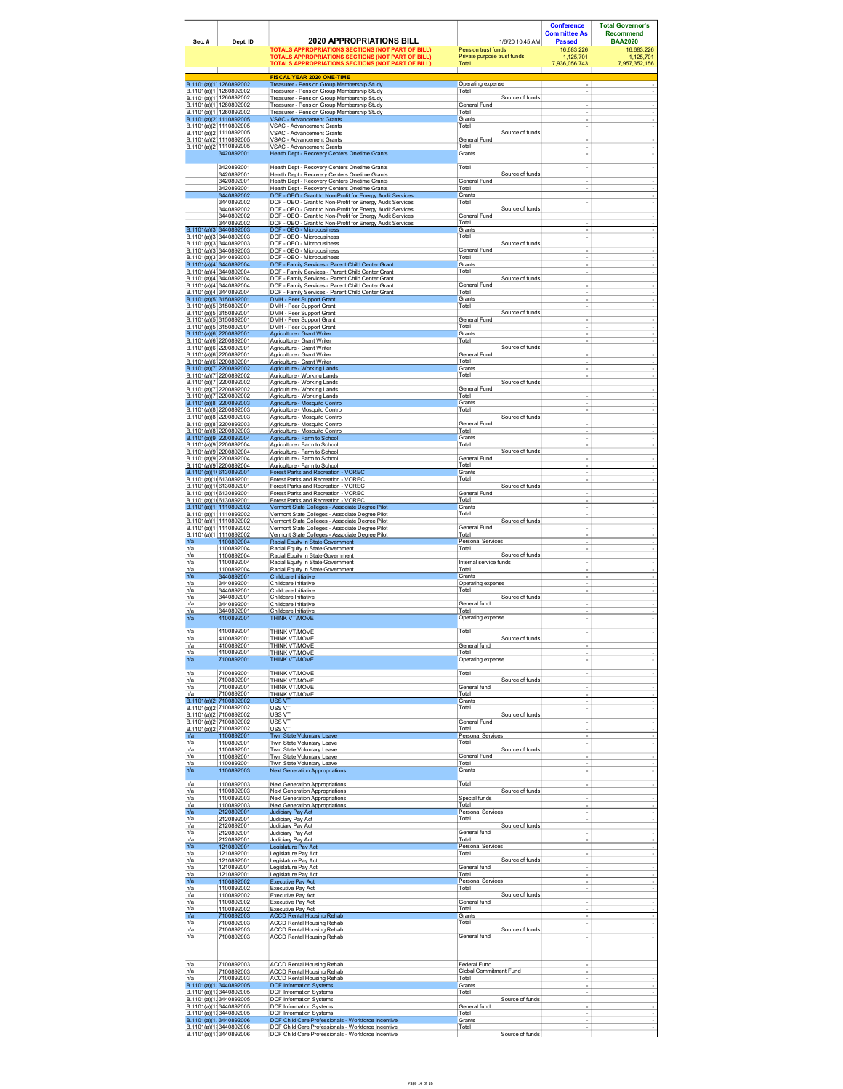|                         |                                                                                         |                                                                                                                                                                         |                                                                       | <b>Conference</b><br><b>Committee As</b> | <b>Total Governor's</b><br><b>Recommend</b><br><b>BAA2020</b> |
|-------------------------|-----------------------------------------------------------------------------------------|-------------------------------------------------------------------------------------------------------------------------------------------------------------------------|-----------------------------------------------------------------------|------------------------------------------|---------------------------------------------------------------|
| Sec.#                   | Dept. ID                                                                                | <b>2020 APPROPRIATIONS BILL</b><br><b>TOTALS APPROPRIATIONS SECTIONS (NOT PART OF BILL)</b><br><b>TOTALS APPROPRIATIONS SECTIONS (NOT PART OF BILL)</b>                 | 1/6/20 10:45 AM<br>Pension trust funds<br>Private purpose trust funds | <b>Passed</b><br>16.683.226<br>1,125,701 | 16.683.226<br>1,125,701                                       |
|                         |                                                                                         | TOTALS APPROPRIATIONS SECTIONS (NOT PART OF BILL)<br><b>FISCAL YEAR 2020 ONE-TIME</b>                                                                                   | Total                                                                 | 7.936.056.743                            | 7.957.352.156                                                 |
|                         | B.1101(a)(1) 1260892002<br>B.1101(a)(1) 1260892002                                      | Treasurer - Pension Group Membership Study<br>Treasurer - Pension Group Membership Study                                                                                | Operating expense<br>Total                                            |                                          |                                                               |
|                         | B.1101(a)(1) 1260892002<br>B.1101(a)(1) 1260892002<br><u>B.1101(a)(1) 1260892002</u>    | Treasurer - Pension Group Membership Study<br>Treasurer - Pension Group Membership Study<br>Treasurer - Pension Group Membership Study                                  | Source of funds<br>General Fund<br>Total                              |                                          |                                                               |
|                         | B.1101(a)(2) 1110892005<br>B.1101(a)(2) 1110892005                                      | <b>VSAC - Advancement Grants</b><br>VSAC - Advancement Grants                                                                                                           | Grants<br>Total                                                       | ÷                                        |                                                               |
|                         | B.1101(a)(2) 1110892005<br>B.1101(a)(2) 1110892005<br>B.1101(a)(2) 1110892005           | VSAC - Advancement Grants<br>VSAC - Advancement Grants<br>VSAC - Advancement Grants                                                                                     | Source of funds<br>General Fund<br>Total                              | ÷,                                       |                                                               |
|                         | 3420892001<br>3420892001                                                                | Health Dept - Recovery Centers Onetime Grants                                                                                                                           | Grants<br>Total                                                       |                                          |                                                               |
|                         | 3420892001<br>3420892001                                                                | Health Dept - Recovery Centers Onetime Grants<br>Health Dept - Recovery Centers Onetime Grants<br>Health Dept - Recovery Centers Onetime Grants                         | Source of funds<br>General Fund                                       | $\overline{a}$<br>$\overline{a}$         |                                                               |
|                         | 3420892001<br>3440892002<br>3440892002                                                  | Health Dept - Recovery Centers Onetime Grants<br>DCF - OEO - Grant to Non-Profit for Energy Audit Services<br>DCF - OEO - Grant to Non-Profit for Energy Audit Services | Total<br>Grants<br>Total                                              | ٠                                        |                                                               |
|                         | 3440892002<br>3440892002                                                                | DCF - OEO - Grant to Non-Profit for Energy Audit Services<br>DCF - OEO - Grant to Non-Profit for Energy Audit Services                                                  | Source of funds<br>General Fund                                       |                                          |                                                               |
|                         | 3440892002<br>B.1101(a)(3) 3440892003<br>B.1101(a)(3) 3440892003                        | DCF - OEO - Grant to Non-Profit for Energy Audit Services<br>DCF - OEO - Microbusiness<br>DCF - OEO - Microbusiness                                                     | Total<br>Grants<br>Total                                              | ÷                                        |                                                               |
|                         | B.1101(a)(3) 3440892003<br>B.1101(a)(3' 3440892003                                      | DCF - OEO - Microbusiness<br>DCF - OEO - Microbusiness                                                                                                                  | Source of funds<br>General Fund                                       |                                          |                                                               |
|                         | B.1101(a)(3) 3440892003<br>B.1101(a)(4) 3440892004<br>B.1101(a)(4) 3440892004           | DCF - OEO - Microbusiness<br>DCF - Family Services - Parent Child Center Grant<br>DCF - Family Services - Parent Child Center Grant                                     | Total<br>Grants<br>Total                                              | ÷                                        |                                                               |
|                         | B.1101(a)(4) 3440892004<br>B.1101(a)(4) 3440892004                                      | DCF - Family Services - Parent Child Center Grant<br>DCF - Family Services - Parent Child Center Grant                                                                  | Source of funds<br>General Fund                                       |                                          |                                                               |
|                         | B.1101(a)(4 3440892004<br>B.1101(a)(5' 3150892001<br>B.1101(a)(5' 3150892001            | DCF - Family Services - Parent Child Center Grant<br>DMH - Peer Support Grant<br>DMH - Peer Support Grant                                                               | Total<br>Grants<br>Total                                              |                                          |                                                               |
|                         | B.1101(a)(5' 3150892001<br>B.1101(a)(5) 3150892001                                      | DMH - Peer Support Grant<br>DMH - Peer Support Grant                                                                                                                    | Source of funds<br>General Fund                                       |                                          |                                                               |
|                         | B.1101(a)(5) 3150892001<br>B.1101(a)(6) 2200892001<br>B.1101(a)(6) 2200892001           | DMH - Peer Support Grant<br>Agriculture - Grant Writer<br>Agriculture - Grant Writer                                                                                    | Total<br>Grants<br>Total                                              | ÷<br>٠                                   |                                                               |
|                         | B.1101(a)(6) 2200892001<br>B.1101(a)(6) 2200892001                                      | Agriculture - Grant Writer<br>Agriculture - Grant Writer                                                                                                                | Source of funds<br>General Fund                                       | $\overline{a}$                           |                                                               |
|                         | <u>B.1101(a)(6' 2200892001</u><br>B.1101(a)(7) 2200892002<br>B.1101(a)(7) 2200892002    | Agriculture - Grant Writer<br>Agriculture - Working Lands<br>Agriculture - Working Lands                                                                                | Total<br>Grants<br>Total                                              |                                          |                                                               |
|                         | B.1101(a)(7) 2200892002<br>B.1101(a)(7) 2200892002                                      | Agriculture - Working Lands<br>Agriculture - Working Lands                                                                                                              | Source of funds<br>General Fund                                       |                                          |                                                               |
|                         | B.1101(a)(7 2200892002<br>B.1101(a)(8) 2200892003<br>B.1101(a)(8) 2200892003            | Agriculture - Working Lands<br>Agriculture - Mosquito Control<br>Agriculture - Mosquito Control                                                                         | Total<br>Grants<br>Total                                              | ÷                                        |                                                               |
|                         | B.1101(a)(8) 2200892003<br>B.1101(a)(8) 2200892003                                      | Agriculture - Mosquito Control<br>Aariculture - Mosauito Control                                                                                                        | Source of funds<br>General Fund                                       |                                          |                                                               |
|                         | <u>B.1101(a)(8) 2200892003</u><br>B.1101(a)(9) 2200892004<br>B.1101(a)(9) 2200892004    | Agriculture - Mosquito Control<br>Agriculture - Farm to School<br>Agriculture - Farm to School                                                                          | Total<br>Grants<br>Total                                              | ÷                                        |                                                               |
|                         | B.1101(a)(9) 2200892004<br>B.1101(a)(9) 2200892004                                      | Agriculture - Farm to School<br>Agriculture - Farm to School                                                                                                            | Source of funds<br>General Fund                                       |                                          |                                                               |
| B.1101(a)(1( 6130892001 | B.1101(a)(9) 2200892004<br>B.1101(a)(1(6130892001                                       | Agriculture - Farm to School<br>Forest Parks and Recreation - VOREC<br>Forest Parks and Recreation - VOREC                                                              | Total<br>Grants<br>Total                                              |                                          |                                                               |
|                         | B.1101(a)(1(6130892001<br>B.1101(a)(1(6130892001                                        | Forest Parks and Recreation - VOREC<br>Forest Parks and Recreation - VOREC                                                                                              | Source of funds<br>General Fund                                       |                                          |                                                               |
|                         | B.1101(a)(1(6130892001<br>B.1101(a)(1 1110892002<br>B.1101(a)(1 <sup>.</sup> 1110892002 | Forest Parks and Recreation - VOREC<br>Vermont State Colleges - Associate Degree Pilot<br>Vermont State Colleges - Associate Degree Pilot                               | Total<br>Grants<br>Total                                              | ÷<br>÷                                   |                                                               |
|                         | B.1101(a)(1 1110892002<br>B.1101(a)(1 1110892002                                        | Vermont State Colleges - Associate Degree Pilot<br>Vermont State Colleges - Associate Degree Pilot                                                                      | Source of funds<br>General Fund                                       | $\overline{a}$                           |                                                               |
| n/a<br>n/a              | B.1101(a)(1 <sup>.</sup> 1110892002<br>1100892004<br>1100892004                         | Vermont State Colleges - Associate Degree Pilot<br>Racial Equity in State Government<br>Racial Equity in State Government                                               | Total<br>Personal Services<br>Total                                   |                                          |                                                               |
| n/a<br>٦/a              | 1100892004<br>1100892004                                                                | Racial Equity in State Government<br>Racial Equity in State Government                                                                                                  | Source of funds<br>Internal service funds<br>Total                    |                                          |                                                               |
| ٦/a<br>n/a<br>n/a       | 1100892004<br>3440892001<br>3440892001                                                  | Racial Equity in State Government<br>Childcare Initiative<br>Childcare Initiative                                                                                       | Grants<br>Operating expense                                           | ÷                                        |                                                               |
| ٦/a<br>٦/a<br>٦/a       | 3440892001<br>3440892001<br>3440892001                                                  | Childcare Initiative<br>Childcare Initiative<br>Childcare Initiative                                                                                                    | Total<br>Source of funds<br>General fund                              |                                          |                                                               |
| ٦/a<br>n/a              | 3440892001<br>4100892001                                                                | Childcare Initiative<br>THINK VT/MOVE                                                                                                                                   | Total<br>Operating expense                                            | ÷                                        |                                                               |
| n/a<br>n/a              | 4100892001<br>4100892001                                                                | THINK VT/MOVE<br>THINK VT/MOVE                                                                                                                                          | Total<br>Source of funds                                              | J.                                       |                                                               |
| n/a<br>n/a              | 4100892001<br>4100892001                                                                | THINK VT/MOVE<br><b>THINK VT/MOVE</b>                                                                                                                                   | General fund<br>Total                                                 |                                          |                                                               |
| n/a<br>٦/a              | 7100892001<br>7100892001                                                                | THINK VT/MOVE<br>THINK VT/MOVE                                                                                                                                          | Operating expense<br>Total                                            | ÷<br>l,                                  |                                                               |
| n/a<br>n/a              | 7100892001<br>7100892001                                                                | THINK VT/MOVE<br>THINK VT/MOVE                                                                                                                                          | Source of funds<br>General fund                                       | ÷                                        |                                                               |
| ٦/a                     | 7100892001<br>B.1101(a)(2:7100892002<br>B.1101(a)(2 7100892002                          | THINK VT/MOVE<br>USS VT<br>USS VT                                                                                                                                       | Total<br>Grants<br>Total                                              | ÷                                        |                                                               |
|                         | B.1101(a)(2 7100892002<br>B.1101(a)(2 7100892002                                        | USS VT<br><b>USS VT</b>                                                                                                                                                 | Source of funds<br>General Fund                                       | $\overline{a}$                           |                                                               |
| n/a<br>n/a              | B.1101(a)(2 7100892002<br>1100892001<br>1100892001                                      | USS VT<br>Twin State Voluntary Leave<br>Twin State Voluntary Leave                                                                                                      | Total<br>Personal Services<br>Total                                   |                                          |                                                               |
| ٦/a<br>n/a              | 1100892001<br>1100892001                                                                | Twin State Voluntary Leave<br>Twin State Voluntary Leave                                                                                                                | Source of funds<br>General Fund<br>Total                              |                                          |                                                               |
| n/a<br>n/a              | 1100892001<br>1100892003                                                                | Twin State Voluntary Leave<br><b>Next Generation Appropriations</b>                                                                                                     | Grants                                                                |                                          |                                                               |
| n/a<br>n/a<br>n/a       | 1100892003<br>1100892003<br>1100892003                                                  | <b>Next Generation Appropriations</b><br><b>Next Generation Appropriations</b><br>Next Generation Appropriations                                                        | Total<br>Source of funds<br>Special funds                             | ÷                                        |                                                               |
| n/a<br>n/a              | 1100892003<br>2120892001                                                                | <b>Next Generation Appropriations</b><br>Judiciary Pay Act                                                                                                              | Total<br>Personal Services                                            | ÷                                        |                                                               |
| n/a<br>n/a<br>n/a       | 2120892001<br>2120892001<br>2120892001                                                  | Judiciary Pav Act<br>Judiciary Pay Act<br>Judiciary Pay Act                                                                                                             | Total<br>Source of funds<br>General fund                              | ÷                                        |                                                               |
| n/a<br>n/a              | 2120892001<br>1210892001                                                                | <b>Judiciary Pay Act</b><br>Legislature Pay Act                                                                                                                         | Total<br>Personal Services                                            |                                          |                                                               |
| n/a<br>n/a<br>٦/a       | 1210892001<br>1210892001<br>1210892001                                                  | Legislature Pay Act<br>Legislature Pay Act<br>Legislature Pay Act                                                                                                       | Total<br>Source of funds<br>General fund                              | ä,                                       |                                                               |
| n/a<br>n/a              | 1210892001<br>1100892002                                                                | Legislature Pay Act<br><b>Executive Pav Act</b>                                                                                                                         | Total<br>Personal Services                                            | ÷                                        |                                                               |
| n/a<br>n/a<br>n/a       | 1100892002<br>1100892002<br>1100892002                                                  | Executive Pay Act<br><b>Executive Pay Act</b><br>Executive Pay Act                                                                                                      | Total<br>Source of funds<br>General fund                              |                                          |                                                               |
| n/a<br>n/a              | 1100892002<br>7100892003                                                                | Executive Pay Act<br><b>ACCD Rental Housing Rehab</b>                                                                                                                   | Total<br>Grants                                                       | ٠                                        |                                                               |
| ٦/a<br>ı/a<br>n/a       | 7100892003<br>7100892003<br>7100892003                                                  | <b>ACCD Rental Housing Rehab</b><br><b>ACCD Rental Housing Rehab</b><br>ACCD Rental Housing Rehab                                                                       | Total<br>Source of funds<br>General fund                              | ÷,                                       |                                                               |
|                         |                                                                                         |                                                                                                                                                                         |                                                                       |                                          |                                                               |
| n/a<br>n/a              | 7100892003<br>7100892003                                                                | <b>ACCD Rental Housing Rehab</b><br>ACCD Rental Housing Rehab                                                                                                           | <b>Federal Fund</b><br>Global Commitment Fund                         | $\overline{a}$                           |                                                               |
| n/a                     | 7100892003<br>B.1101(a)(1) 3440892005<br>B.1101(a)(1, 3440892005                        | <b>ACCD Rental Housing Rehab</b><br><b>DCF Information Systems</b>                                                                                                      | Total<br>Grants<br>Total                                              | $\overline{\phantom{a}}$                 |                                                               |
|                         | B.1101(a)(1, 3440892005<br>B.1101(a)(1) 3440892005                                      | <b>DCF Information Systems</b><br><b>DCF Information Systems</b><br><b>DCF Information Systems</b>                                                                      | Source of funds<br>General fund                                       | $\overline{a}$                           |                                                               |
|                         | <u>B.1101(a)(1, 3440892005</u><br>B.1101(a)(1:3440892006<br>B.1101(a)(1, 3440892006     | <b>DCF Information Systems</b><br>DCF Child Care Professionals - Workforce Incentive<br>DCF Child Care Professionals - Workforce Incentive                              | Total<br>Grants                                                       |                                          |                                                               |
| B.1101(a)(1, 3440892006 |                                                                                         | DCF Child Care Professionals - Workforce Incentive                                                                                                                      | Total<br>Source of funds                                              |                                          |                                                               |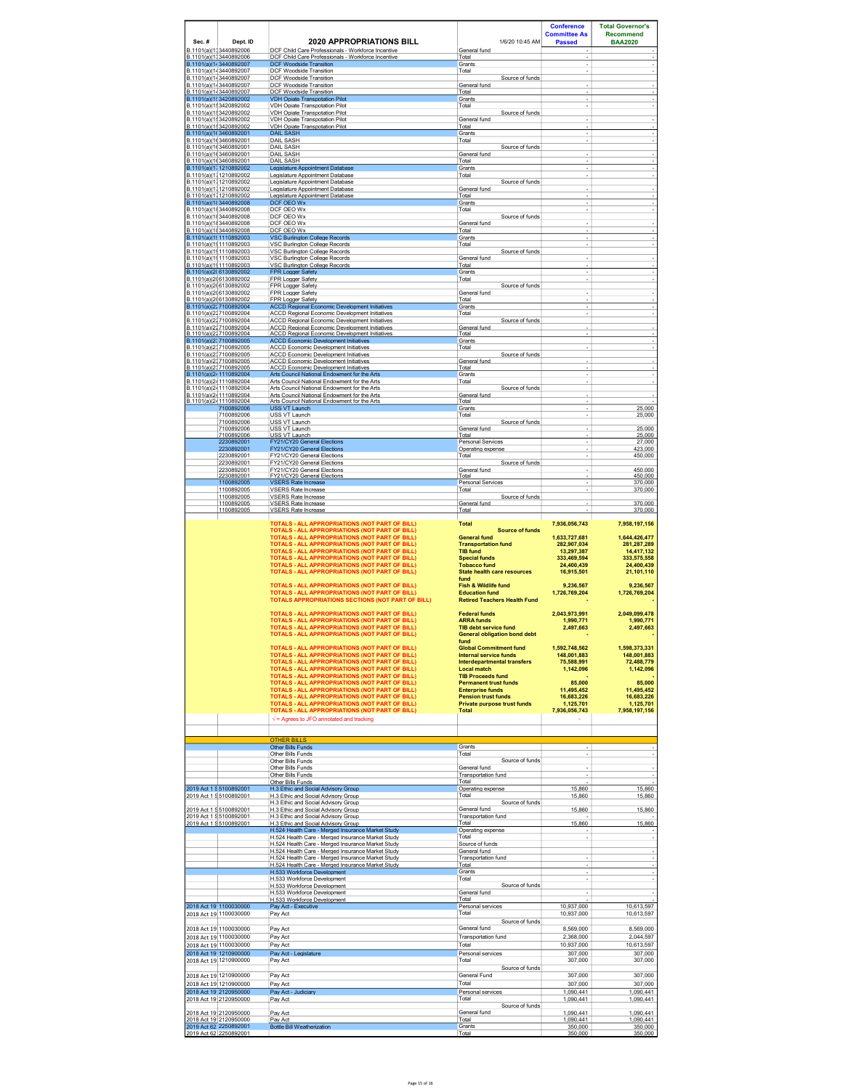| Sec.# | Dept. ID<br>B.1101(a)(1, 3440892006                                        | <b>2020 APPROPRIATIONS BILL</b><br>DCF Child Care Professionals - Workforce Incentive                                                                                                                                                                                                                                                                                                                                      | 1/6/20 10:45 AM<br>General fund                                                                                                                                                                     | <b>Conference</b><br><b>Committee As</b><br><b>Passed</b>                                              | <b>Total Governor's</b><br><b>Recommend</b><br><b>BAA2020</b>                                          |
|-------|----------------------------------------------------------------------------|----------------------------------------------------------------------------------------------------------------------------------------------------------------------------------------------------------------------------------------------------------------------------------------------------------------------------------------------------------------------------------------------------------------------------|-----------------------------------------------------------------------------------------------------------------------------------------------------------------------------------------------------|--------------------------------------------------------------------------------------------------------|--------------------------------------------------------------------------------------------------------|
|       | B.1101(a)(1, 3440892006<br>B.1101(a)(1-3440892007                          | DCF Child Care Professionals - Workforce Incentive<br><b>DCF Woodside Transition</b>                                                                                                                                                                                                                                                                                                                                       | Total<br>Grants                                                                                                                                                                                     | ÷,                                                                                                     |                                                                                                        |
|       | B.1101(a)(1-3440892007<br>B.1101(a)(1-3440892007                           | DCF Woodside Transition<br>DCF Woodside Transition                                                                                                                                                                                                                                                                                                                                                                         | Total<br>Source of funds                                                                                                                                                                            |                                                                                                        |                                                                                                        |
|       | B.1101(a)(1+3440892007<br>B.1101(a)(1-3440892007                           | <b>DCF Woodside Transition</b><br>DCF Woodside Transition                                                                                                                                                                                                                                                                                                                                                                  | General fund<br>Total                                                                                                                                                                               |                                                                                                        |                                                                                                        |
|       | B.1101(a)(1! 3420892002<br>B.1101(a)(1: 3420892002                         | <b>VDH Opiate Transpotation Pilot</b><br>VDH Opiate Transpotation Pilot                                                                                                                                                                                                                                                                                                                                                    | Grants<br>Total                                                                                                                                                                                     | ٠                                                                                                      |                                                                                                        |
|       | B.1101(a)(1: 3420892002<br>B.1101(a)(1: 3420892002                         | <b>VDH Opiate Transpotation Pilot</b><br>VDH Opiate Transpotation Pilot                                                                                                                                                                                                                                                                                                                                                    | Source of funds<br>General fund                                                                                                                                                                     | ٠                                                                                                      |                                                                                                        |
|       | B.1101(a)(1) 3420892002<br>B.1101(a)(1(3460892001                          | <b>VDH Opiate Transpotation Pilot</b><br>DAIL SASF                                                                                                                                                                                                                                                                                                                                                                         | Total<br>Grants                                                                                                                                                                                     |                                                                                                        |                                                                                                        |
|       | B.1101(a)(1(3460892001<br>B.1101(a)(1(3460892001                           | <b>DAIL SASH</b><br><b>DAIL SASH</b>                                                                                                                                                                                                                                                                                                                                                                                       | Total<br>Source of funds                                                                                                                                                                            | ÷                                                                                                      | ä,                                                                                                     |
|       | B.1101(a)(1(3460892001<br>B.1101(a)(1(3460892001                           | <b>DAIL SASH</b><br><b>DAIL SASH</b>                                                                                                                                                                                                                                                                                                                                                                                       | General fund<br>Total                                                                                                                                                                               |                                                                                                        |                                                                                                        |
|       | B.1101(a)(1' 1210892002<br><u>B.1101(a)(1) 1210892002</u>                  | Legislature Appointment Database<br>Legislature Appointment Database                                                                                                                                                                                                                                                                                                                                                       | Grants<br>Total                                                                                                                                                                                     |                                                                                                        |                                                                                                        |
|       | B.1101(a)(1) 1210892002<br>B.1101(a)(1) 1210892002                         | Legislature Appointment Database<br>Legislature Appointment Database                                                                                                                                                                                                                                                                                                                                                       | Source of funds<br>General fund                                                                                                                                                                     | ٠                                                                                                      | $\sim$                                                                                                 |
|       | <u>B.1101(a)(1   1210892002</u><br>B.1101(a)(11 3440892008                 | Legislature Appointment Database<br>DCF OEO Wx                                                                                                                                                                                                                                                                                                                                                                             | Total<br>Grants                                                                                                                                                                                     |                                                                                                        |                                                                                                        |
|       | B.1101(a)(1) 3440892008<br>B.1101(a)(1) 3440892008                         | DCF OEO Wx<br>DCF OEO Wx                                                                                                                                                                                                                                                                                                                                                                                                   | Total<br>Source of funds                                                                                                                                                                            |                                                                                                        |                                                                                                        |
|       | B.1101(a)(1) 3440892008<br>B.1101(a)(113440892008                          | DCF OEO Wx<br>DCF OEO Wx                                                                                                                                                                                                                                                                                                                                                                                                   | General fund<br>Total                                                                                                                                                                               |                                                                                                        |                                                                                                        |
|       | B.1101(a)(1! 1110892003<br>B.1101(a)(1! 1110892003                         | <b>VSC Burlinaton College Records</b><br><b>VSC Burlington College Records</b>                                                                                                                                                                                                                                                                                                                                             | Grants<br>Total                                                                                                                                                                                     | ÷,                                                                                                     | ÷.                                                                                                     |
|       | B.1101(a)(1! 1110892003<br>B.1101(a)(1! 1110892003                         | VSC Burlington College Records<br>VSC Burlington College Records                                                                                                                                                                                                                                                                                                                                                           | Source of funds<br>General fund                                                                                                                                                                     |                                                                                                        |                                                                                                        |
|       | B.1101(a)(1! 1110892003<br>B.1101(a)(2( 6130892002                         | VSC Burlington College Records<br><b>FPR Logger Safety</b>                                                                                                                                                                                                                                                                                                                                                                 | Total<br>Grants                                                                                                                                                                                     | ٠                                                                                                      |                                                                                                        |
|       | B.1101(a)(2(6130892002<br>B.1101(a)(2(6130892002                           | FPR Logger Safety<br>FPR Logger Safety                                                                                                                                                                                                                                                                                                                                                                                     | Total<br>Source of funds                                                                                                                                                                            | ÷                                                                                                      |                                                                                                        |
|       | B.1101(a)(2(6130892002<br>B.1101(a)(2(6130892002                           | FPR Logger Safety<br>FPR Logger Safety                                                                                                                                                                                                                                                                                                                                                                                     | General fund<br>Total                                                                                                                                                                               | ٠                                                                                                      | $\overline{\phantom{a}}$                                                                               |
|       | B.1101(a)(2) 7100892004<br>B.1101(a)(2) 7100892004                         | <b>ACCD Regional Economic Development Initiatives</b><br>ACCD Regional Economic Development Initiatives                                                                                                                                                                                                                                                                                                                    | Grants<br>Total                                                                                                                                                                                     | ÷                                                                                                      | ٠                                                                                                      |
|       | B.1101(a)(2) 7100892004<br>B.1101(a)(2) 7100892004                         | ACCD Regional Economic Development Initiatives<br><b>ACCD Regional Economic Development Initiatives</b>                                                                                                                                                                                                                                                                                                                    | Source of funds<br>General fund                                                                                                                                                                     |                                                                                                        |                                                                                                        |
|       | B.1101(a)(2) 7100892004<br>B.1101(a)(2, 7100892005                         | <b>ACCD Regional Economic Development Initiatives</b><br><b>ACCD Economic Development Initiatives</b>                                                                                                                                                                                                                                                                                                                      | Total<br>Grants                                                                                                                                                                                     |                                                                                                        | ÷,                                                                                                     |
|       | B.1101(a)(2) 7100892005<br>B.1101(a)(2) 7100892005                         | <b>ACCD Economic Development Initiatives</b><br><b>ACCD Economic Development Initiatives</b>                                                                                                                                                                                                                                                                                                                               | Total<br>Source of funds                                                                                                                                                                            |                                                                                                        |                                                                                                        |
|       | B 1101(a)(2) 7100892005<br>B.1101(a)(2, 7100892005                         | <b>ACCD Fconomic Development Initiatives</b><br><b>ACCD Economic Development Initiatives</b>                                                                                                                                                                                                                                                                                                                               | General fund<br>Total                                                                                                                                                                               |                                                                                                        |                                                                                                        |
|       | B.1101(a)(2+1110892004<br>B.1101(a)(2-1110892004                           | Arts Council National Endowment for the Arts<br>Arts Council National Endowment for the Arts                                                                                                                                                                                                                                                                                                                               | Grants<br>Total                                                                                                                                                                                     | ÷,                                                                                                     |                                                                                                        |
|       | B.1101(a)(2-1110892004<br>B 1101(a)(2-1110892004                           | Arts Council National Endowment for the Arts<br>Arts Council National Endowment for the Arts                                                                                                                                                                                                                                                                                                                               | Source of funds<br>General fund                                                                                                                                                                     | ÷,                                                                                                     |                                                                                                        |
|       | B.1101(a)(2-1110892004<br>7100892006                                       | Arts Council National Endowment for the Arts<br><b>USS VT Launch</b>                                                                                                                                                                                                                                                                                                                                                       | Total<br>Grants                                                                                                                                                                                     | ٠                                                                                                      | 25,000                                                                                                 |
|       | 7100892006<br>7100892006                                                   | USS VT Launch<br>USS VT Launch                                                                                                                                                                                                                                                                                                                                                                                             | Total<br>Source of funds                                                                                                                                                                            | ÷                                                                                                      | 25,000                                                                                                 |
|       | 7100892006<br>7100892006                                                   | USS VT Launch<br>USS VT Launch                                                                                                                                                                                                                                                                                                                                                                                             | General fund<br>Total                                                                                                                                                                               | ٠                                                                                                      | 25.000<br>25,000                                                                                       |
|       | 2230892001<br>2230892001                                                   | FY21/CY20 General Elections<br>FY21/CY20 General Elections                                                                                                                                                                                                                                                                                                                                                                 | Personal Services<br>Operating expense                                                                                                                                                              |                                                                                                        | 27,000<br>423,000                                                                                      |
|       | 2230892001<br>2230892001                                                   | FY21/CY20 General Elections<br>FY21/CY20 General Elections                                                                                                                                                                                                                                                                                                                                                                 | Total<br>Source of funds                                                                                                                                                                            | ÷                                                                                                      | 450,000                                                                                                |
|       | 2230892001<br>2230892001                                                   | FY21/CY20 General Flections<br>FY21/CY20 General Elections                                                                                                                                                                                                                                                                                                                                                                 | General fund<br>Total                                                                                                                                                                               | ٠                                                                                                      | 450,000<br>450,000                                                                                     |
|       | 1100892005<br>1100892005                                                   | <b>VSERS Rate Increase</b><br><b>VSERS Rate Increase</b>                                                                                                                                                                                                                                                                                                                                                                   | Personal Services<br>Total                                                                                                                                                                          | ÷,                                                                                                     | 370,000<br>370,000                                                                                     |
|       | 1100892005<br>1100892005                                                   | <b>VSERS Rate Increase</b><br><b>VSERS Rate Increase</b>                                                                                                                                                                                                                                                                                                                                                                   | Source of funds<br>General fund                                                                                                                                                                     | ×,                                                                                                     | 370 000                                                                                                |
|       | 1100892005                                                                 | <b>VSERS Rate Increase</b>                                                                                                                                                                                                                                                                                                                                                                                                 | Total                                                                                                                                                                                               |                                                                                                        | 370.000                                                                                                |
|       |                                                                            | TOTALS - ALL APPROPRIATIONS (NOT PART OF BILL)<br>TOTALS - ALL APPROPRIATIONS (NOT PART OF BILL)<br>TOTALS - ALL APPROPRIATIONS (NOT PART OF BILL)<br>TOTALS - ALL APPROPRIATIONS (NOT PART OF BILL)<br>TOTALS - ALL APPROPRIATIONS (NOT PART OF BILL)<br><b>TOTALS - ALL APPROPRIATIONS (NOT PART OF BILL)</b><br>TOTALS - ALL APPROPRIATIONS (NOT PART OF BILL)<br><b>TOTALS - ALL APPROPRIATIONS (NOT PART OF BILL)</b> | <b>Total</b><br><b>Source of funds</b><br><b>General fund</b><br><b>Transportation fund</b><br><b>TIB fund</b><br><b>Special funds</b><br><b>Tobacco fund</b><br><b>State health care resources</b> | 7.936.056.743<br>1,633,727,681<br>282.907.034<br>13,297,387<br>333.469.594<br>24,400,439<br>16,915,501 | 7.958.197.156<br>1,644,426,477<br>281.287.289<br>14,417,132<br>333.575.558<br>24.400.439<br>21,101,110 |
|       |                                                                            | TOTALS - ALL APPROPRIATIONS (NOT PART OF BILL)<br>TOTALS - ALL APPROPRIATIONS (NOT PART OF BILL)<br>TOTALS APPROPRIATIONS SECTIONS (NOT PART OF BILL)                                                                                                                                                                                                                                                                      | fund<br>Fish & Wildlife fund<br><b>Education fund</b><br><b>Retired Teachers Health Fund</b>                                                                                                        | 9,236,567<br>1,726,769,204                                                                             | 9,236,567<br>1,726,769,204                                                                             |
|       |                                                                            | <b>TOTALS - ALL APPROPRIATIONS (NOT PART OF BILL)</b><br>TOTALS - ALL APPROPRIATIONS (NOT PART OF BILL)<br>TOTALS - ALL APPROPRIATIONS (NOT PART OF BILL)<br>TOTALS - ALL APPROPRIATIONS (NOT PART OF BILL)                                                                                                                                                                                                                | <b>Federal funds</b><br><b>ARRA funds</b><br><b>TIB debt service fund</b><br><b>General obligation bond debt</b>                                                                                    | 2,043,973,991<br>1 990 771<br>2,497,663                                                                | 2,049,099,478<br>1.990.771<br>2,497,663                                                                |
|       |                                                                            | TOTALS - ALL APPROPRIATIONS (NOT PART OF BILL)                                                                                                                                                                                                                                                                                                                                                                             | fund<br><b>Global Commitment fund</b>                                                                                                                                                               | 1,592,748,562                                                                                          | 1,598,373,331                                                                                          |
|       |                                                                            | TOTALS - ALL APPROPRIATIONS (NOT PART OF BILL)<br>TOTALS - ALL APPROPRIATIONS (NOT PART OF BILL)                                                                                                                                                                                                                                                                                                                           | <b>Internal service funds</b><br><b>Interdepartmental transfers</b>                                                                                                                                 | 148,001,883<br>75,588,991                                                                              | 148,001,883<br>72,488,779                                                                              |
|       |                                                                            | <b>TOTALS - ALL APPROPRIATIONS (NOT PART OF BILL)</b><br><b>TOTALS - ALL APPROPRIATIONS (NOT PART OF BILL)</b>                                                                                                                                                                                                                                                                                                             | <b>Local match</b><br><b>TIB Proceeds fund</b>                                                                                                                                                      | 1,142,096                                                                                              | 1,142,096                                                                                              |
|       |                                                                            | TOTALS - ALL APPROPRIATIONS (NOT PART OF BILL)<br>TOTALS - ALL APPROPRIATIONS (NOT PART OF BILL)                                                                                                                                                                                                                                                                                                                           | <b>Permanent trust funds</b><br><b>Enterprise funds</b>                                                                                                                                             | 85.000<br>11,495,452                                                                                   | 85.000<br>11,495,452                                                                                   |
|       |                                                                            | <b>TOTALS - ALL APPROPRIATIONS (NOT PART OF BILL)</b><br>TOTALS - ALL APPROPRIATIONS (NOT PART OF BILL)                                                                                                                                                                                                                                                                                                                    | <b>Pension trust funds</b><br>Private purpose trust funds                                                                                                                                           | 16.683.226<br>1,125,701                                                                                | 16.683.226<br>1,125,701                                                                                |
|       |                                                                            | TOTALS - ALL APPROPRIATIONS (NOT PART OF BILL)<br>$\sqrt{\ }$ = Agrees to JFO annotated and tracking                                                                                                                                                                                                                                                                                                                       | <b>Total</b>                                                                                                                                                                                        | 7,936,056,743                                                                                          | 7,958,197,156                                                                                          |
|       |                                                                            |                                                                                                                                                                                                                                                                                                                                                                                                                            |                                                                                                                                                                                                     |                                                                                                        |                                                                                                        |
|       |                                                                            | <b>OTHER BILL</b><br>Other Bills Funds                                                                                                                                                                                                                                                                                                                                                                                     | Grants                                                                                                                                                                                              | ÷                                                                                                      |                                                                                                        |
|       |                                                                            | Other Bills Funds<br>Other Bills Funds                                                                                                                                                                                                                                                                                                                                                                                     | Total<br>Source of funds                                                                                                                                                                            |                                                                                                        |                                                                                                        |
|       |                                                                            | Other Bills Funds<br>Other Bills Funds                                                                                                                                                                                                                                                                                                                                                                                     | General fund<br>Transportation fund                                                                                                                                                                 | ٠                                                                                                      | ×,                                                                                                     |
|       | 2019 Act 1 \$ 5100892001                                                   | Other Bills Funds<br>H.3 Ethic and Social Advisory Group                                                                                                                                                                                                                                                                                                                                                                   | Total<br>Operating expense                                                                                                                                                                          | 15,860                                                                                                 | 15,860                                                                                                 |
|       | 2019 Act 1 \$ 5100892001                                                   | H.3 Ethic and Social Advisory Group<br>H.3 Ethic and Social Advisory Group                                                                                                                                                                                                                                                                                                                                                 | Total<br>Source of funds                                                                                                                                                                            | 15.860                                                                                                 | 15.860                                                                                                 |
|       | 2019 Act 1 \$ 5100892001<br>2019 Act 1 \$ 5100892001                       | H.3 Ethic and Social Advisory Group<br>H.3 Ethic and Social Advisory Group                                                                                                                                                                                                                                                                                                                                                 | General fund<br>Transportation fund                                                                                                                                                                 | 15,860                                                                                                 | 15,860                                                                                                 |
|       | 2019 Act 1 \$ 5100892001                                                   | H.3 Ethic and Social Advisory Group<br>H.524 Health Care - Merged Insurance Market Study                                                                                                                                                                                                                                                                                                                                   | Total<br>Operating expense                                                                                                                                                                          | 15,860                                                                                                 | 15,860                                                                                                 |
|       |                                                                            | H.524 Health Care - Merged Insurance Market Study<br>H.524 Health Care - Merged Insurance Market Study                                                                                                                                                                                                                                                                                                                     | Total<br>Source of funds                                                                                                                                                                            |                                                                                                        |                                                                                                        |
|       |                                                                            | H.524 Health Care - Merged Insurance Market Study<br>H.524 Health Care - Merged Insurance Market Study                                                                                                                                                                                                                                                                                                                     | General fund<br><b>Transportation fund</b>                                                                                                                                                          | ÷                                                                                                      |                                                                                                        |
|       |                                                                            | H.524 Health Care - Merged Insurance Market Study<br>H.533 Workforce Development                                                                                                                                                                                                                                                                                                                                           | Total<br>Grants                                                                                                                                                                                     |                                                                                                        |                                                                                                        |
|       |                                                                            | H.533 Workforce Development<br>H.533 Workforce Development                                                                                                                                                                                                                                                                                                                                                                 | Total<br>Source of funds                                                                                                                                                                            |                                                                                                        |                                                                                                        |
|       |                                                                            | H.533 Workforce Development                                                                                                                                                                                                                                                                                                                                                                                                | General fund<br>Total                                                                                                                                                                               |                                                                                                        |                                                                                                        |
|       | 2018 Act 19 1100030000                                                     | H.533 Workforce Development<br>Pav Act - Executive                                                                                                                                                                                                                                                                                                                                                                         | Personal services<br>Total                                                                                                                                                                          | 10.937.000                                                                                             | 10.613.597                                                                                             |
|       | 2018 Act 19 1100030000                                                     | Pay Act                                                                                                                                                                                                                                                                                                                                                                                                                    | Source of funds                                                                                                                                                                                     | 10,937,000                                                                                             | 10,613,597                                                                                             |
|       | 2018 Act 19 1100030000<br>2018 Act 19 1100030000                           | Pay Act<br>Pay Act                                                                                                                                                                                                                                                                                                                                                                                                         | General fund<br>Transportation fund                                                                                                                                                                 | 8,569,000<br>2,368,000                                                                                 | 8,569,000<br>2,044,597                                                                                 |
|       | 2018 Act 19 1100030000<br>2018 Act 19 1210900000                           | Pay Act<br>Pay Act - Legislature                                                                                                                                                                                                                                                                                                                                                                                           | Total<br>Personal services                                                                                                                                                                          | 10,937,000<br>307,000                                                                                  | 10,613,597<br>307,000                                                                                  |
|       | 2018 Act 19 1210900000                                                     | Pay Act                                                                                                                                                                                                                                                                                                                                                                                                                    | Total<br>Source of funds                                                                                                                                                                            | 307,000                                                                                                | 307,000                                                                                                |
|       | 2018 Act 19 1210900000                                                     | Pay Act                                                                                                                                                                                                                                                                                                                                                                                                                    | General Fund                                                                                                                                                                                        | 307,000                                                                                                | 307,000                                                                                                |
|       | 2018 Act 19 1210900000<br>2018 Act 19 2120950000                           | Pay Act<br>Pay Act - Judiciary                                                                                                                                                                                                                                                                                                                                                                                             | Total<br>Personal services                                                                                                                                                                          | 307,000<br>1,090,441                                                                                   | 307,000<br>1,090,441                                                                                   |
|       | 2018 Act 19 2120950000                                                     | Pay Act                                                                                                                                                                                                                                                                                                                                                                                                                    | Total<br>Source of funds                                                                                                                                                                            | 1,090,441                                                                                              | 1,090,441                                                                                              |
|       |                                                                            |                                                                                                                                                                                                                                                                                                                                                                                                                            |                                                                                                                                                                                                     |                                                                                                        |                                                                                                        |
|       | 2018 Act 19 2120950000<br>2018 Act 19 2120950000<br>2019 Act 62 2250892001 | Pav Act<br>Pay Act<br><b>Bottle Bill Weatherization</b>                                                                                                                                                                                                                                                                                                                                                                    | General fund<br>Total<br>Grants                                                                                                                                                                     | 1.090.441<br>1,090,441<br>350,000                                                                      | 1.090.441<br>1,090,441<br>350,000                                                                      |